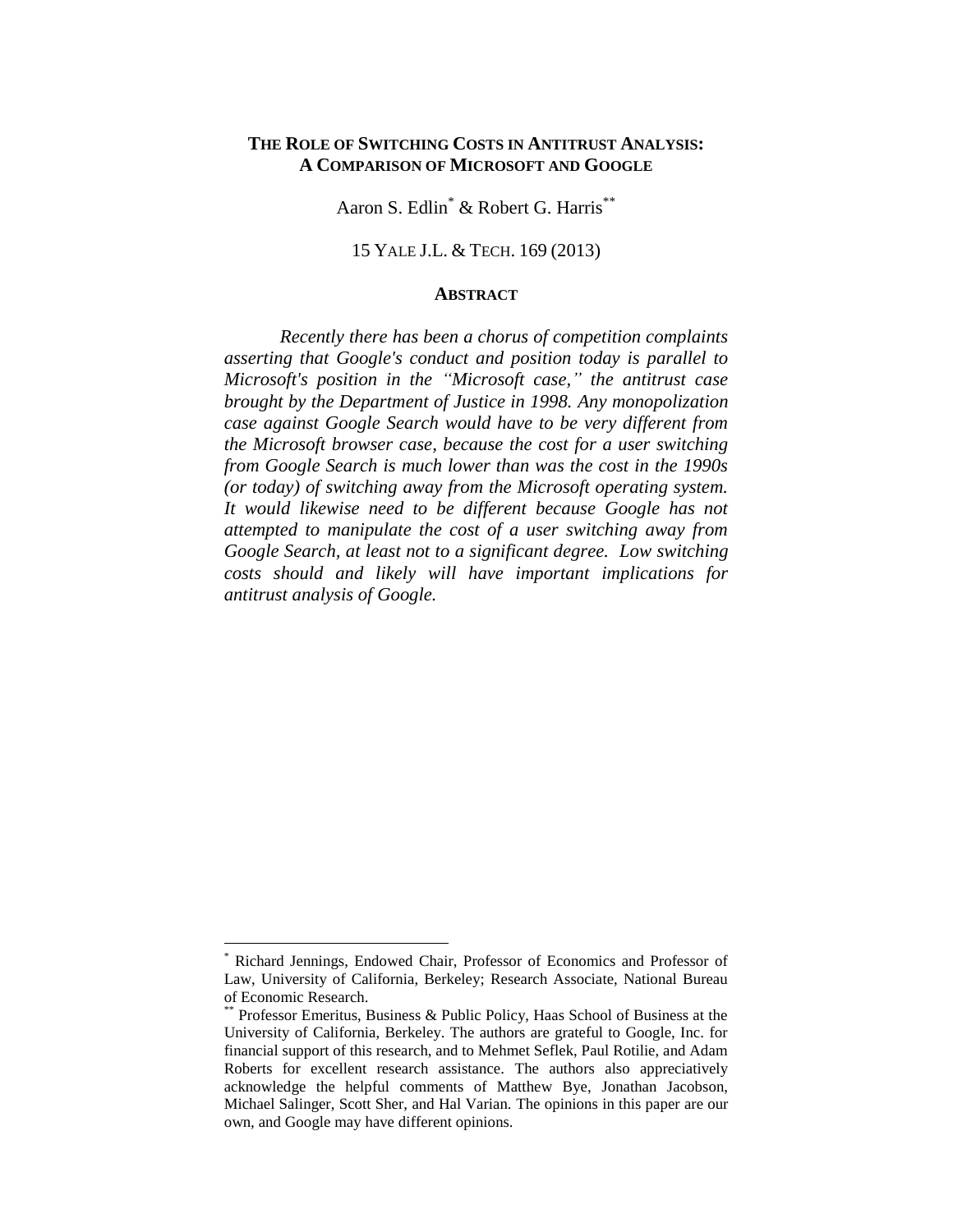Aaron S. Edlin<sup>\*</sup> & Robert G. Harris<sup>\*\*</sup>

#### 15 YALE J.L. & TECH. 169 (2013)

#### **ABSTRACT**

*Recently there has been a chorus of competition complaints asserting that Google's conduct and position today is parallel to Microsoft's position in the "Microsoft case," the antitrust case brought by the Department of Justice in 1998. Any monopolization case against Google Search would have to be very different from the Microsoft browser case, because the cost for a user switching from Google Search is much lower than was the cost in the 1990s (or today) of switching away from the Microsoft operating system. It would likewise need to be different because Google has not attempted to manipulate the cost of a user switching away from Google Search, at least not to a significant degree. Low switching costs should and likely will have important implications for antitrust analysis of Google.* 

<sup>\*</sup> Richard Jennings, Endowed Chair, Professor of Economics and Professor of Law, University of California, Berkeley; Research Associate, National Bureau of Economic Research.

Professor Emeritus, Business & Public Policy, Haas School of Business at the University of California, Berkeley. The authors are grateful to Google, Inc. for financial support of this research, and to Mehmet Seflek, Paul Rotilie, and Adam Roberts for excellent research assistance. The authors also appreciatively acknowledge the helpful comments of Matthew Bye, Jonathan Jacobson, Michael Salinger, Scott Sher, and Hal Varian. The opinions in this paper are our own, and Google may have different opinions.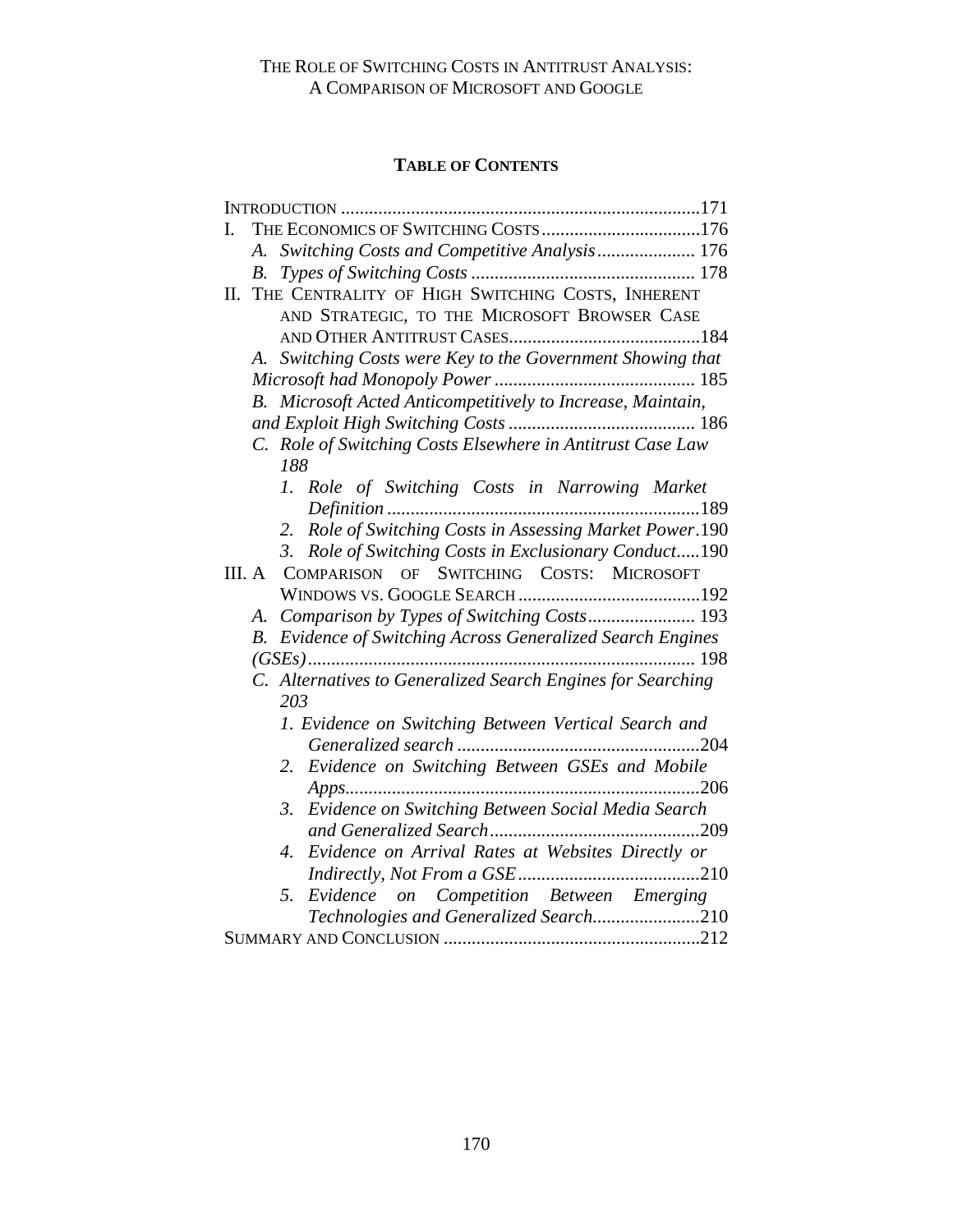# **TABLE OF CONTENTS**

| I.                                                          |
|-------------------------------------------------------------|
| A. Switching Costs and Competitive Analysis 176             |
|                                                             |
| II. THE CENTRALITY OF HIGH SWITCHING COSTS, INHERENT        |
| AND STRATEGIC, TO THE MICROSOFT BROWSER CASE                |
|                                                             |
| A. Switching Costs were Key to the Government Showing that  |
|                                                             |
| B. Microsoft Acted Anticompetitively to Increase, Maintain, |
|                                                             |
| C. Role of Switching Costs Elsewhere in Antitrust Case Law  |
| 188                                                         |
| 1. Role of Switching Costs in Narrowing Market              |
|                                                             |
| Role of Switching Costs in Assessing Market Power.190<br>2. |
| 3. Role of Switching Costs in Exclusionary Conduct190       |
| SWITCHING COSTS: MICROSOFT<br>COMPARISON OF<br>III. A       |
|                                                             |
| A. Comparison by Types of Switching Costs 193               |
| B. Evidence of Switching Across Generalized Search Engines  |
|                                                             |
| C. Alternatives to Generalized Search Engines for Searching |
| 203                                                         |
| 1. Evidence on Switching Between Vertical Search and        |
|                                                             |
| Evidence on Switching Between GSEs and Mobile<br>2.         |
|                                                             |
| Evidence on Switching Between Social Media Search<br>3.     |
|                                                             |
| Evidence on Arrival Rates at Websites Directly or<br>4.     |
|                                                             |
| Evidence on Competition Between Emerging<br>5.              |
| Technologies and Generalized Search210                      |
|                                                             |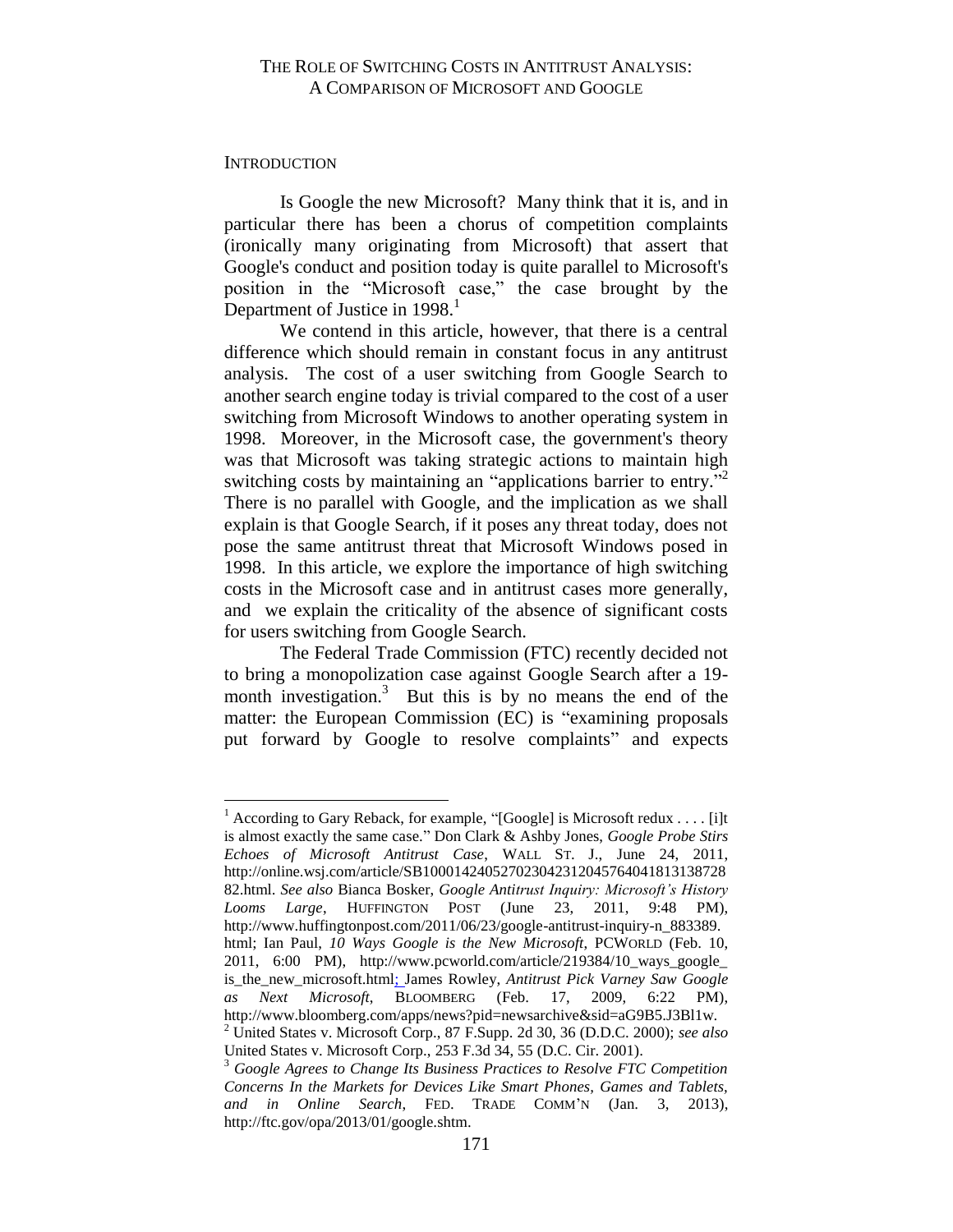#### <span id="page-2-0"></span>**INTRODUCTION**

 $\overline{a}$ 

Is Google the new Microsoft? Many think that it is, and in particular there has been a chorus of competition complaints (ironically many originating from Microsoft) that assert that Google's conduct and position today is quite parallel to Microsoft's position in the "Microsoft case," the case brought by the Department of Justice in  $1998<sup>1</sup>$ 

We contend in this article, however, that there is a central difference which should remain in constant focus in any antitrust analysis. The cost of a user switching from Google Search to another search engine today is trivial compared to the cost of a user switching from Microsoft Windows to another operating system in 1998. Moreover, in the Microsoft case, the government's theory was that Microsoft was taking strategic actions to maintain high switching costs by maintaining an "applications barrier to entry."<sup>2</sup> There is no parallel with Google, and the implication as we shall explain is that Google Search, if it poses any threat today, does not pose the same antitrust threat that Microsoft Windows posed in 1998. In this article, we explore the importance of high switching costs in the Microsoft case and in antitrust cases more generally, and we explain the criticality of the absence of significant costs for users switching from Google Search.

The Federal Trade Commission (FTC) recently decided not to bring a monopolization case against Google Search after a 19 month investigation.<sup>3</sup> But this is by no means the end of the matter: the European Commission (EC) is "examining proposals put forward by Google to resolve complaints" and expects

<sup>&</sup>lt;sup>1</sup> According to Gary Reback, for example, "[Google] is Microsoft redux . . . . [i]t is almost exactly the same case." Don Clark & Ashby Jones, *Google Probe Stirs Echoes of Microsoft Antitrust Case*, WALL ST. J., June 24, 2011, http://online.wsj.com/article/SB100014240527023042312045764041813138728 82.html. *See also* Bianca Bosker, *Google Antitrust Inquiry: Microsoft's History Looms Large*, HUFFINGTON POST (June 23, 2011, 9:48 PM), http://www.huffingtonpost.com/2011/06/23/google-antitrust-inquiry-n\_883389. html; Ian Paul, *10 Ways Google is the New Microsoft*, PCWORLD (Feb. 10, 2011, 6:00 PM), http://www.pcworld.com/article/219384/10\_ways\_google\_ is the new microsoft.html; James Rowley, *Antitrust Pick Varney Saw Google as Next Microsoft*, BLOOMBERG (Feb. 17, 2009, 6:22 PM), http://www.bloomberg.com/apps/news?pid=newsarchive&sid=aG9B5.J3Bl1w. <sup>2</sup> United States v. Microsoft Corp., 87 F.Supp. 2d 30, 36 (D.D.C. 2000); *see also*

United States v. Microsoft Corp., 253 F.3d 34, 55 (D.C. Cir. 2001).

<sup>3</sup> *Google Agrees to Change Its Business Practices to Resolve FTC Competition Concerns In the Markets for Devices Like Smart Phones, Games and Tablets, and in Online Search*, FED. TRADE COMM'N (Jan. 3, 2013), http://ftc.gov/opa/2013/01/google.shtm.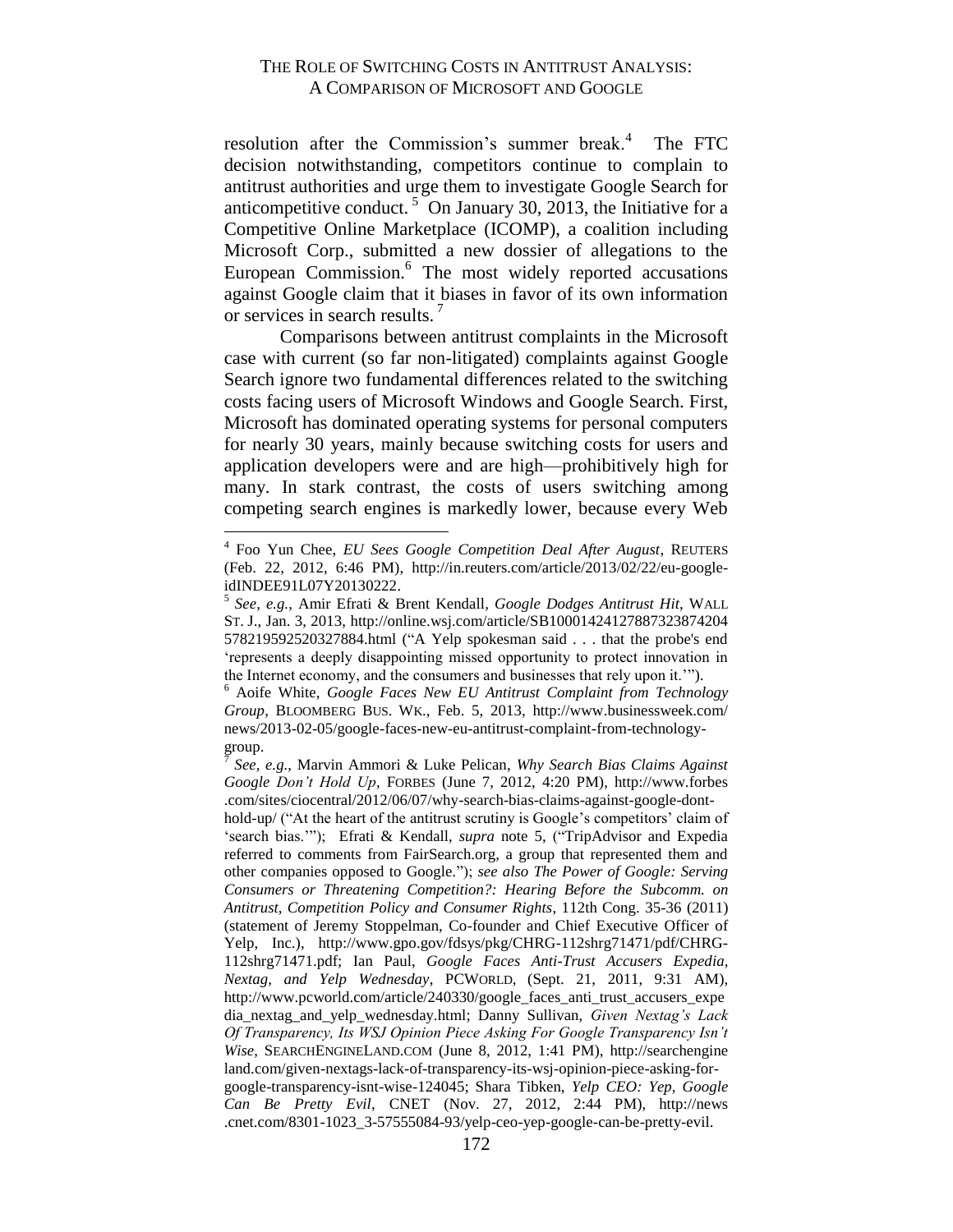resolution after the Commission's summer break.<sup>4</sup> The FTC decision notwithstanding, competitors continue to complain to antitrust authorities and urge them to investigate Google Search for anticompetitive conduct.<sup>5</sup> On January 30, 2013, the Initiative for a Competitive Online Marketplace (ICOMP), a coalition including Microsoft Corp., submitted a new dossier of allegations to the European Commission.<sup>6</sup> The most widely reported accusations against Google claim that it biases in favor of its own information or services in search results.

Comparisons between antitrust complaints in the Microsoft case with current (so far non-litigated) complaints against Google Search ignore two fundamental differences related to the switching costs facing users of Microsoft Windows and Google Search. First, Microsoft has dominated operating systems for personal computers for nearly 30 years, mainly because switching costs for users and application developers were and are high—prohibitively high for many. In stark contrast, the costs of users switching among competing search engines is markedly lower, because every Web

<sup>4</sup> Foo Yun Chee, *EU Sees Google Competition Deal After August*, REUTERS (Feb. 22, 2012, 6:46 PM), http://in.reuters.com/article/2013/02/22/eu-googleidINDEE91L07Y20130222.

<sup>5</sup> *See, e.g.*, Amir Efrati & Brent Kendall*, Google Dodges Antitrust Hit*, WALL ST. J., Jan. 3, 2013, http://online.wsj.com/article/SB10001424127887323874204 578219592520327884.html ("A Yelp spokesman said . . . that the probe's end 'represents a deeply disappointing missed opportunity to protect innovation in the Internet economy, and the consumers and businesses that rely upon it.'").

<sup>6</sup> Aoife White, *Google Faces New EU Antitrust Complaint from Technology Group*, BLOOMBERG BUS. WK., Feb. 5, 2013, http://www.businessweek.com/ news/2013-02-05/google-faces-new-eu-antitrust-complaint-from-technologygroup.

<sup>7</sup> *See, e.g.*, Marvin Ammori & Luke Pelican, *Why Search Bias Claims Against Google Don't Hold Up*, FORBES (June 7, 2012, 4:20 PM), http://www.forbes .com/sites/ciocentral/2012/06/07/why-search-bias-claims-against-google-dont-

hold-up/ ("At the heart of the antitrust scrutiny is Google's competitors' claim of 'search bias.'"); Efrati & Kendall, *supra* note 5, ("TripAdvisor and Expedia referred to comments from FairSearch.org, a group that represented them and other companies opposed to Google."); *see also The Power of Google: Serving Consumers or Threatening Competition?: Hearing Before the Subcomm. on Antitrust, Competition Policy and Consumer Rights*, 112th Cong. 35-36 (2011) (statement of Jeremy Stoppelman, Co-founder and Chief Executive Officer of Yelp, Inc.), http://www.gpo.gov/fdsys/pkg/CHRG-112shrg71471/pdf/CHRG-112shrg71471.pdf; Ian Paul, *Google Faces Anti-Trust Accusers Expedia, Nextag, and Yelp Wednesday*, PCWORLD, (Sept. 21, 2011, 9:31 AM), http://www.pcworld.com/article/240330/google faces anti-trust accusers expe dia\_nextag\_and\_yelp\_wednesday.html; Danny Sullivan, *[Given Nextag's Lack](http://searchengineland.com/given-nextags-lack-of-transparency-its-wsj-opinion-piece-asking-for-google-transparency-isnt-wise-124045)  [Of Transparency, Its WSJ Opinion Piece Asking For Google Transparency Isn't](http://searchengineland.com/given-nextags-lack-of-transparency-its-wsj-opinion-piece-asking-for-google-transparency-isnt-wise-124045)  [Wise](http://searchengineland.com/given-nextags-lack-of-transparency-its-wsj-opinion-piece-asking-for-google-transparency-isnt-wise-124045)*, SEARCHENGINELAND.COM (June 8, 2012, 1:41 PM), http://searchengine land.com/given-nextags-lack-of-transparency-its-wsj-opinion-piece-asking-forgoogle-transparency-isnt-wise-124045; Shara Tibken, *Yelp CEO: Yep, Google Can Be Pretty Evil*, CNET (Nov. 27, 2012, 2:44 PM), [http://news](http://news.cnet.com/8301-1023_3-57555084-93/yelp-ceo-yep-google-can-be-pretty-evil) [.cnet.com/8301-1023\\_3-57555084-93/yelp-ceo-yep-google-can-be-pretty-evil.](http://news.cnet.com/8301-1023_3-57555084-93/yelp-ceo-yep-google-can-be-pretty-evil)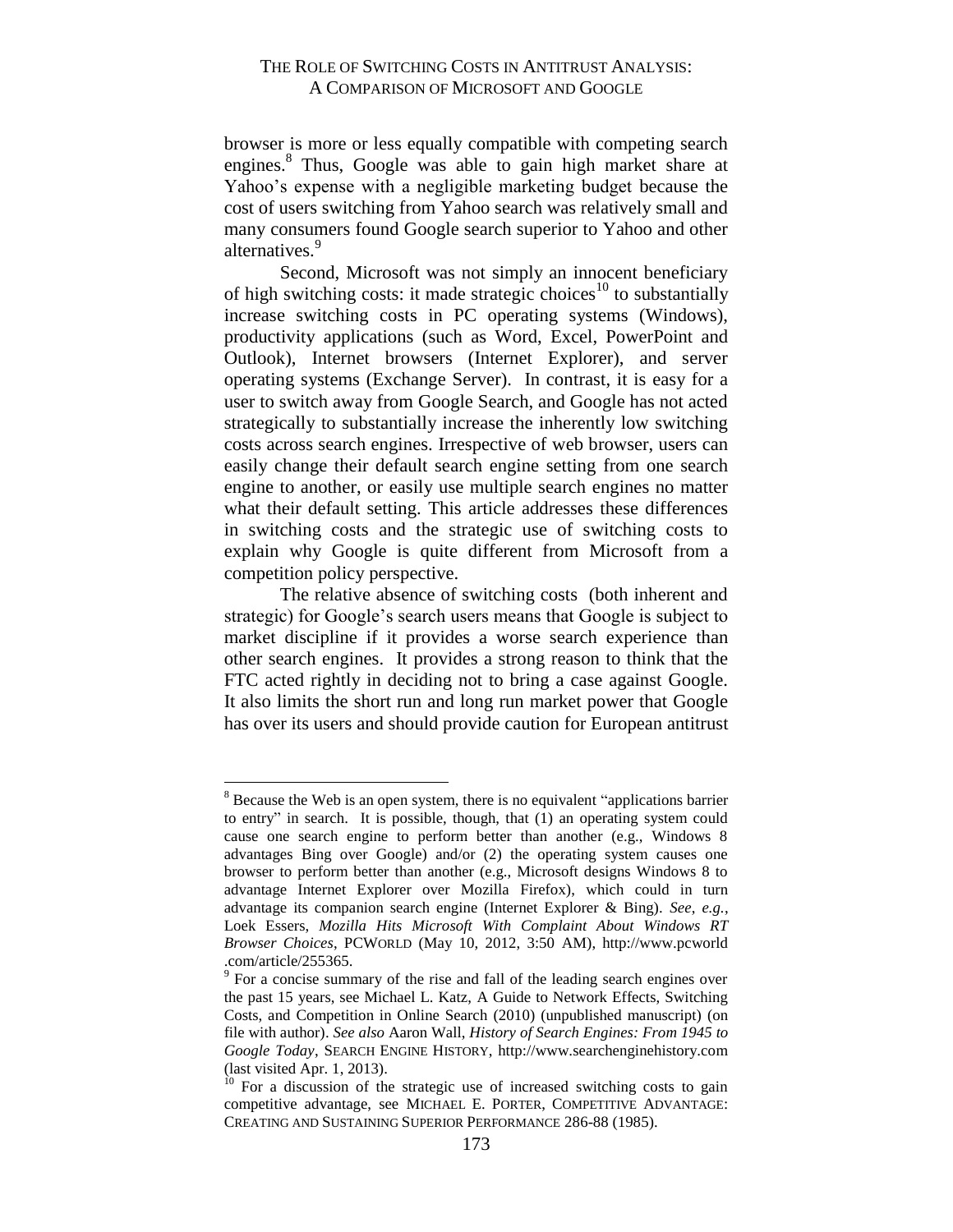browser is more or less equally compatible with competing search engines.<sup>8</sup> Thus, Google was able to gain high market share at Yahoo's expense with a negligible marketing budget because the cost of users switching from Yahoo search was relatively small and many consumers found Google search superior to Yahoo and other alternatives.<sup>9</sup>

Second, Microsoft was not simply an innocent beneficiary of high switching costs: it made strategic choices<sup>10</sup> to substantially increase switching costs in PC operating systems (Windows), productivity applications (such as Word, Excel, PowerPoint and Outlook), Internet browsers (Internet Explorer), and server operating systems (Exchange Server). In contrast, it is easy for a user to switch away from Google Search, and Google has not acted strategically to substantially increase the inherently low switching costs across search engines. Irrespective of web browser, users can easily change their default search engine setting from one search engine to another, or easily use multiple search engines no matter what their default setting. This article addresses these differences in switching costs and the strategic use of switching costs to explain why Google is quite different from Microsoft from a competition policy perspective.

The relative absence of switching costs (both inherent and strategic) for Google's search users means that Google is subject to market discipline if it provides a worse search experience than other search engines. It provides a strong reason to think that the FTC acted rightly in deciding not to bring a case against Google. It also limits the short run and long run market power that Google has over its users and should provide caution for European antitrust

<sup>&</sup>lt;sup>8</sup> Because the Web is an open system, there is no equivalent "applications barrier" to entry" in search. It is possible, though, that (1) an operating system could cause one search engine to perform better than another (e.g., Windows 8 advantages Bing over Google) and/or (2) the operating system causes one browser to perform better than another (e.g., Microsoft designs Windows 8 to advantage Internet Explorer over Mozilla Firefox), which could in turn advantage its companion search engine (Internet Explorer & Bing). *See*, *e.g.*, Loek Essers, *Mozilla Hits Microsoft With Complaint About Windows RT Browser Choices*, PCWORLD (May 10, 2012, 3:50 AM), http://www.pcworld .com/article/255365.

 $9^9$  For a concise summary of the rise and fall of the leading search engines over the past 15 years, see Michael L. Katz, A Guide to Network Effects, Switching Costs, and Competition in Online Search (2010) (unpublished manuscript) (on file with author). *See also* Aaron Wall, *History of Search Engines: From 1945 to Google Today*, SEARCH ENGINE HISTORY, http://www.searchenginehistory.com (last visited Apr. 1, 2013).

 $10$  For a discussion of the strategic use of increased switching costs to gain competitive advantage, see MICHAEL E. PORTER, COMPETITIVE ADVANTAGE: CREATING AND SUSTAINING SUPERIOR PERFORMANCE 286-88 (1985).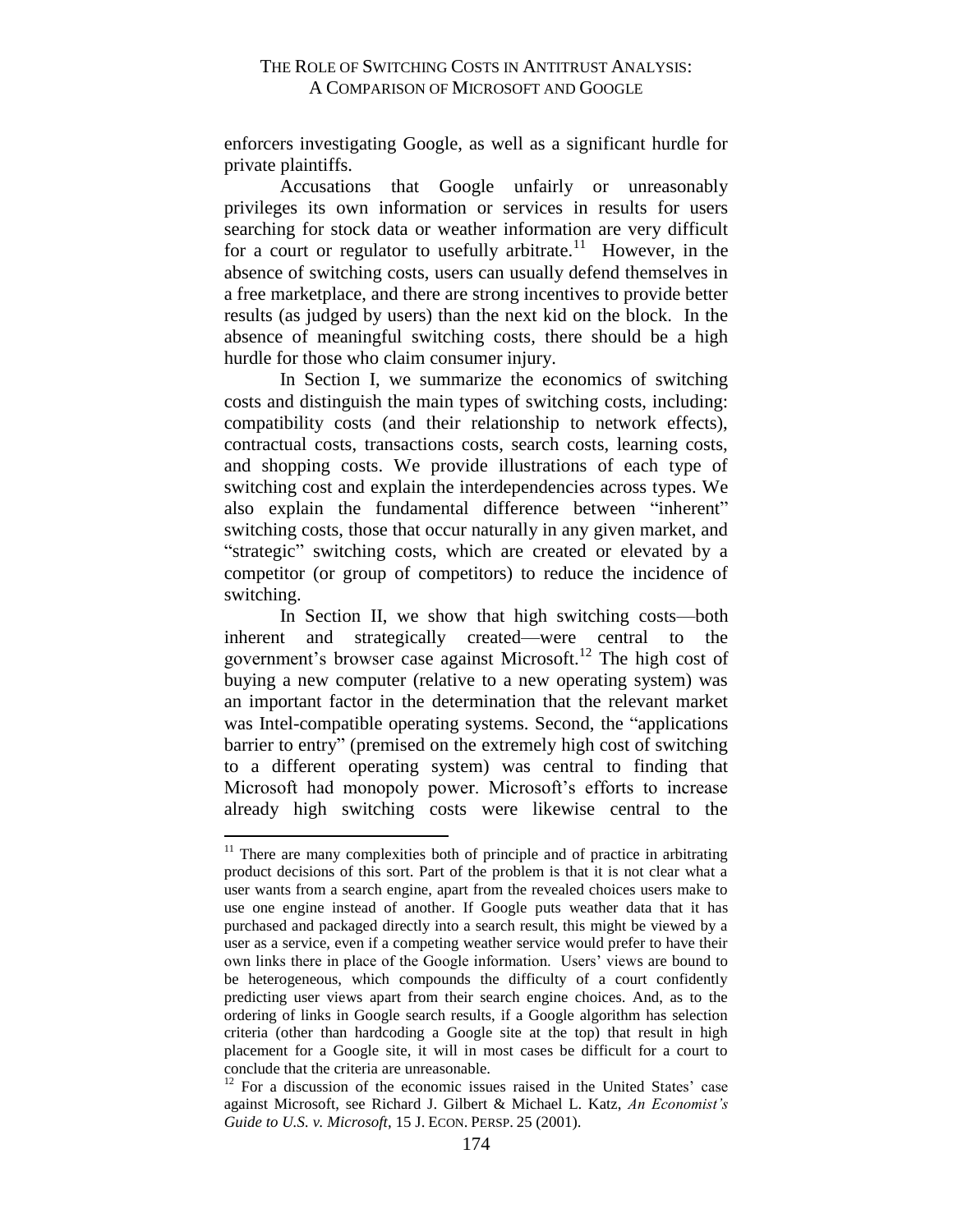enforcers investigating Google, as well as a significant hurdle for private plaintiffs.

Accusations that Google unfairly or unreasonably privileges its own information or services in results for users searching for stock data or weather information are very difficult for a court or regulator to usefully arbitrate.<sup>11</sup> However, in the absence of switching costs, users can usually defend themselves in a free marketplace, and there are strong incentives to provide better results (as judged by users) than the next kid on the block. In the absence of meaningful switching costs, there should be a high hurdle for those who claim consumer injury.

In Section I, we summarize the economics of switching costs and distinguish the main types of switching costs, including: compatibility costs (and their relationship to network effects), contractual costs, transactions costs, search costs, learning costs, and shopping costs. We provide illustrations of each type of switching cost and explain the interdependencies across types. We also explain the fundamental difference between "inherent" switching costs, those that occur naturally in any given market, and "strategic" switching costs, which are created or elevated by a competitor (or group of competitors) to reduce the incidence of switching.

In Section II, we show that high switching costs—both inherent and strategically created—were central to the government's browser case against Microsoft.<sup>12</sup> The high cost of buying a new computer (relative to a new operating system) was an important factor in the determination that the relevant market was Intel-compatible operating systems. Second, the "applications barrier to entry" (premised on the extremely high cost of switching to a different operating system) was central to finding that Microsoft had monopoly power. Microsoft's efforts to increase already high switching costs were likewise central to the

 $11$  There are many complexities both of principle and of practice in arbitrating product decisions of this sort. Part of the problem is that it is not clear what a user wants from a search engine, apart from the revealed choices users make to use one engine instead of another. If Google puts weather data that it has purchased and packaged directly into a search result, this might be viewed by a user as a service, even if a competing weather service would prefer to have their own links there in place of the Google information. Users' views are bound to be heterogeneous, which compounds the difficulty of a court confidently predicting user views apart from their search engine choices. And, as to the ordering of links in Google search results, if a Google algorithm has selection criteria (other than hardcoding a Google site at the top) that result in high placement for a Google site, it will in most cases be difficult for a court to conclude that the criteria are unreasonable.

 $12$  For a discussion of the economic issues raised in the United States' case against Microsoft, see Richard J. Gilbert & Michael L. Katz, *An Economist's Guide to U.S. v. Microsoft*, 15 J. ECON. PERSP. 25 (2001).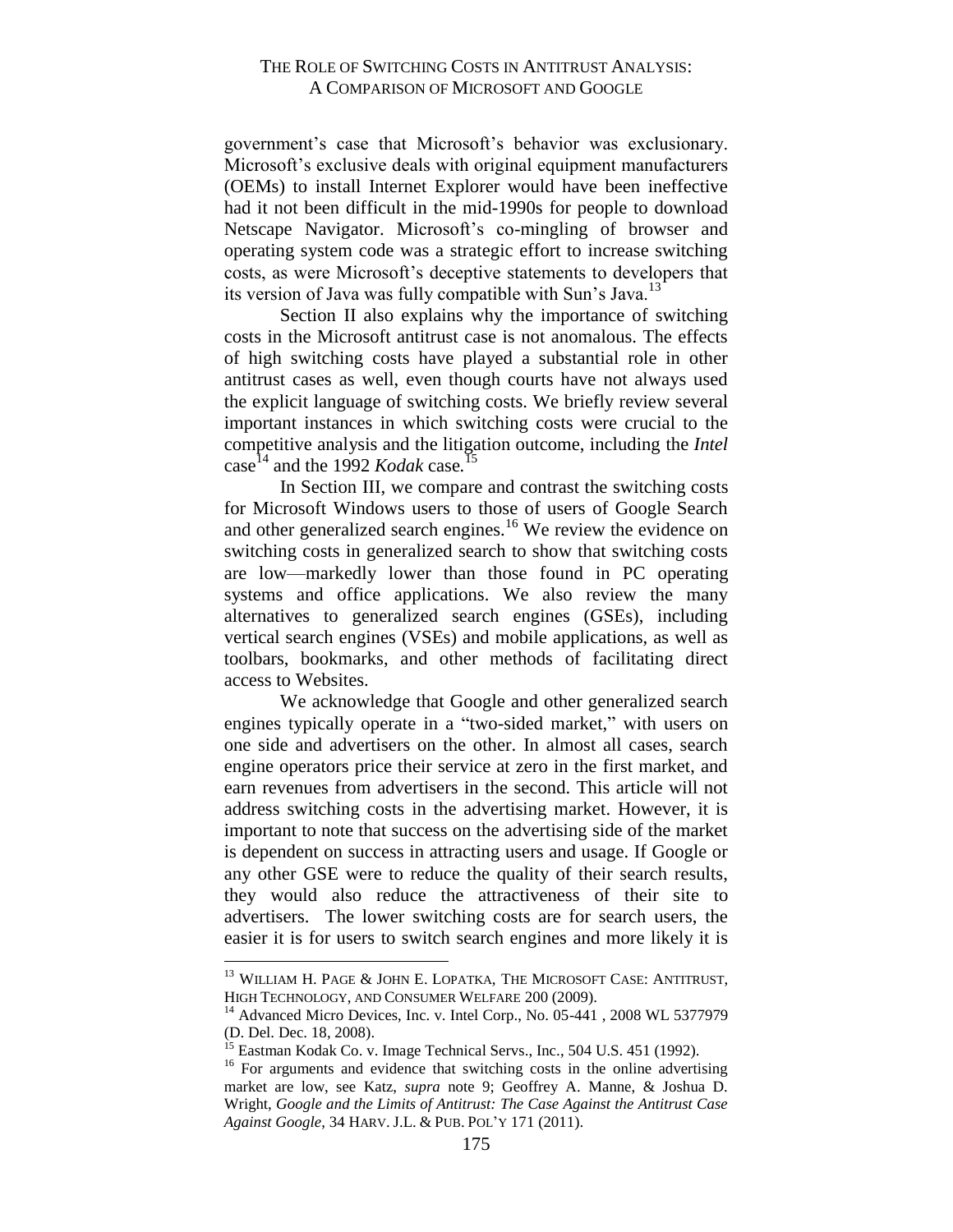government's case that Microsoft's behavior was exclusionary. Microsoft's exclusive deals with original equipment manufacturers (OEMs) to install Internet Explorer would have been ineffective had it not been difficult in the mid-1990s for people to download Netscape Navigator. Microsoft's co-mingling of browser and operating system code was a strategic effort to increase switching costs, as were Microsoft's deceptive statements to developers that its version of Java was fully compatible with Sun's Java.<sup>13</sup>

Section II also explains why the importance of switching costs in the Microsoft antitrust case is not anomalous. The effects of high switching costs have played a substantial role in other antitrust cases as well, even though courts have not always used the explicit language of switching costs. We briefly review several important instances in which switching costs were crucial to the competitive analysis and the litigation outcome, including the *Intel* case <sup>14</sup> and the 1992 *Kodak* case*.* 15

In Section III, we compare and contrast the switching costs for Microsoft Windows users to those of users of Google Search and other generalized search engines.<sup>16</sup> We review the evidence on switching costs in generalized search to show that switching costs are low—markedly lower than those found in PC operating systems and office applications. We also review the many alternatives to generalized search engines (GSEs), including vertical search engines (VSEs) and mobile applications, as well as toolbars, bookmarks, and other methods of facilitating direct access to Websites.

We acknowledge that Google and other generalized search engines typically operate in a "two-sided market," with users on one side and advertisers on the other. In almost all cases, search engine operators price their service at zero in the first market, and earn revenues from advertisers in the second. This article will not address switching costs in the advertising market. However, it is important to note that success on the advertising side of the market is dependent on success in attracting users and usage. If Google or any other GSE were to reduce the quality of their search results, they would also reduce the attractiveness of their site to advertisers. The lower switching costs are for search users, the easier it is for users to switch search engines and more likely it is

<sup>&</sup>lt;sup>13</sup> WILLIAM H. PAGE & JOHN E. LOPATKA, THE MICROSOFT CASE: ANTITRUST, HIGH TECHNOLOGY, AND CONSUMER WELFARE 200 (2009).

<sup>&</sup>lt;sup>14</sup> Advanced Micro Devices, Inc. v. Intel Corp., No. 05-441, 2008 WL 5377979 (D. Del. Dec. 18, 2008).

<sup>&</sup>lt;sup>15</sup> Eastman Kodak Co. v. Image Technical Servs., Inc., 504 U.S. 451 (1992).

<sup>&</sup>lt;sup>16</sup> For arguments and evidence that switching costs in the online advertising market are low, see Katz, *supra* note 9; Geoffrey A. Manne, & Joshua D. Wright, *Google and the Limits of Antitrust: The Case Against the Antitrust Case Against Google*, 34 HARV. J.L. & PUB. POL'Y 171 (2011).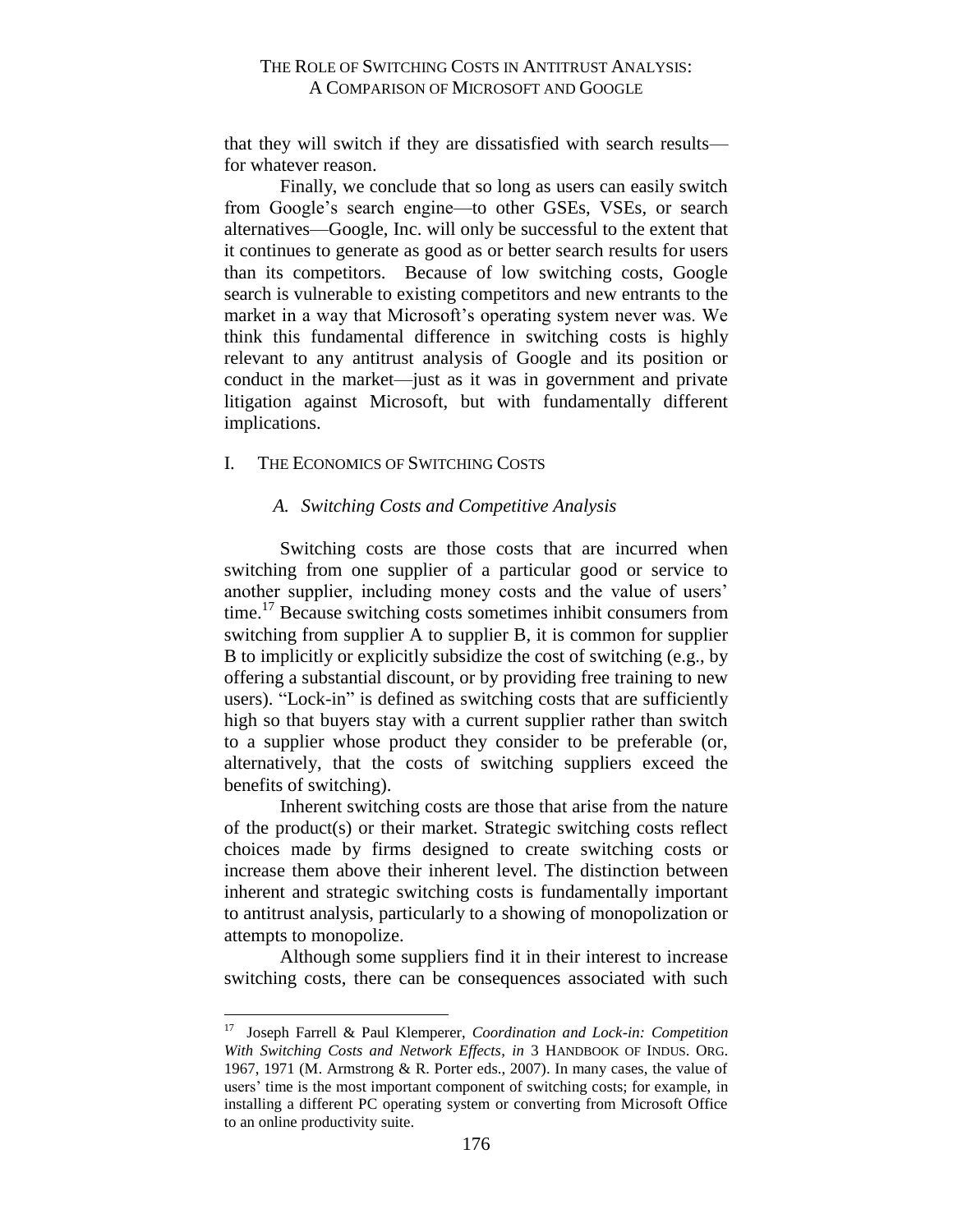that they will switch if they are dissatisfied with search results for whatever reason.

Finally, we conclude that so long as users can easily switch from Google's search engine—to other GSEs, VSEs, or search alternatives—Google, Inc. will only be successful to the extent that it continues to generate as good as or better search results for users than its competitors. Because of low switching costs, Google search is vulnerable to existing competitors and new entrants to the market in a way that Microsoft's operating system never was. We think this fundamental difference in switching costs is highly relevant to any antitrust analysis of Google and its position or conduct in the market—just as it was in government and private litigation against Microsoft, but with fundamentally different implications.

#### <span id="page-7-0"></span>I. THE ECONOMICS OF SWITCHING COSTS

#### <span id="page-7-1"></span>*A. Switching Costs and Competitive Analysis*

Switching costs are those costs that are incurred when switching from one supplier of a particular good or service to another supplier, including money costs and the value of users' time.<sup>17</sup> Because switching costs sometimes inhibit consumers from switching from supplier A to supplier B, it is common for supplier B to implicitly or explicitly subsidize the cost of switching (e.g., by offering a substantial discount, or by providing free training to new users). "Lock-in" is defined as switching costs that are sufficiently high so that buyers stay with a current supplier rather than switch to a supplier whose product they consider to be preferable (or, alternatively, that the costs of switching suppliers exceed the benefits of switching).

Inherent switching costs are those that arise from the nature of the product(s) or their market. Strategic switching costs reflect choices made by firms designed to create switching costs or increase them above their inherent level. The distinction between inherent and strategic switching costs is fundamentally important to antitrust analysis, particularly to a showing of monopolization or attempts to monopolize.

Although some suppliers find it in their interest to increase switching costs, there can be consequences associated with such

<sup>17</sup> Joseph Farrell & Paul Klemperer, *Coordination and Lock-in: Competition With Switching Costs and Network Effects*, *in* 3 HANDBOOK OF INDUS. ORG. 1967, 1971 (M. Armstrong & R. Porter eds., 2007). In many cases, the value of users' time is the most important component of switching costs; for example, in installing a different PC operating system or converting from Microsoft Office to an online productivity suite.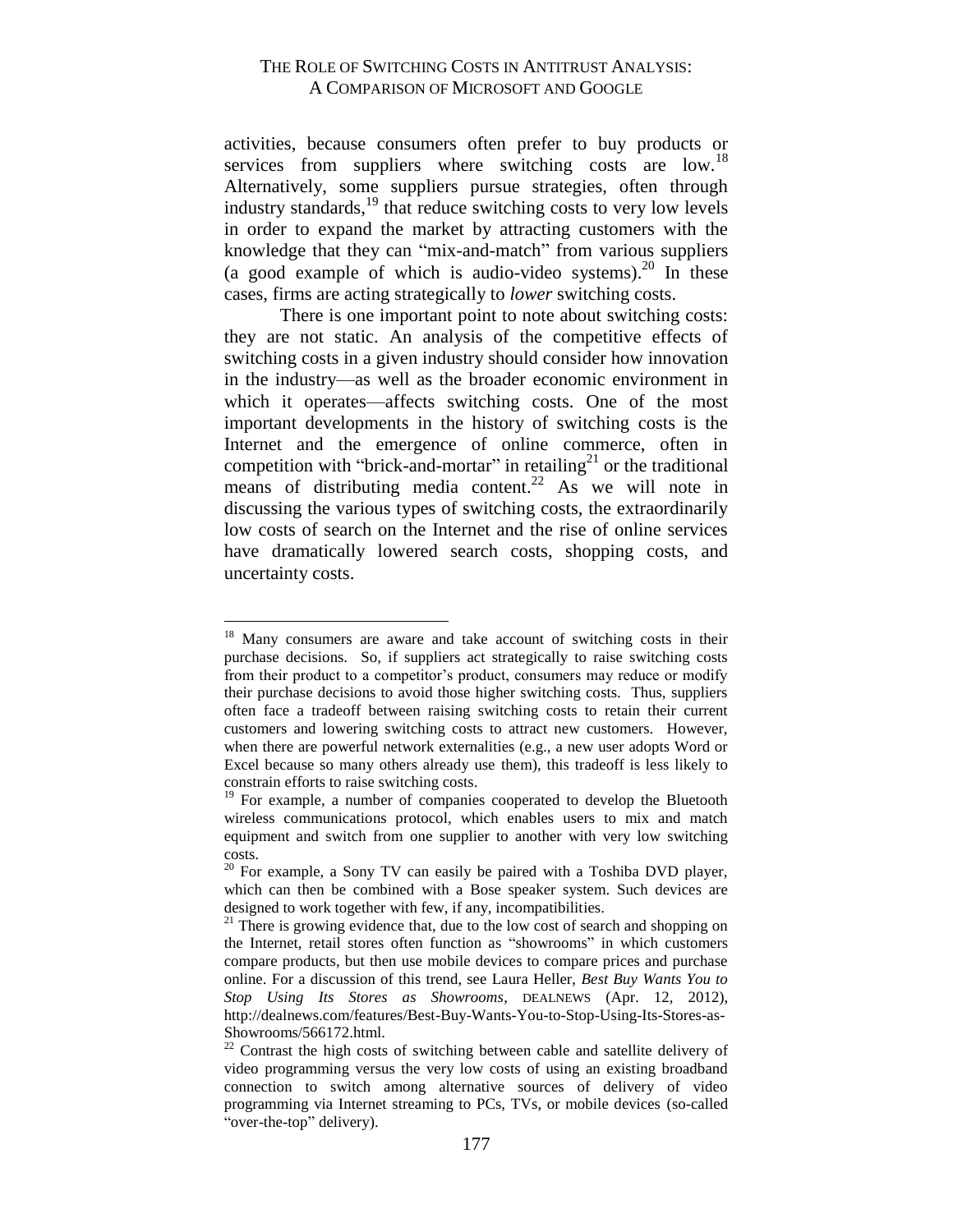activities, because consumers often prefer to buy products or services from suppliers where switching costs are low.<sup>18</sup> Alternatively, some suppliers pursue strategies, often through industry standards,<sup>19</sup> that reduce switching costs to very low levels in order to expand the market by attracting customers with the knowledge that they can "mix-and-match" from various suppliers (a good example of which is audio-video systems).<sup>20</sup> In these cases, firms are acting strategically to *lower* switching costs.

There is one important point to note about switching costs: they are not static. An analysis of the competitive effects of switching costs in a given industry should consider how innovation in the industry—as well as the broader economic environment in which it operates—affects switching costs. One of the most important developments in the history of switching costs is the Internet and the emergence of online commerce, often in competition with "brick-and-mortar" in retailing<sup>21</sup> or the traditional means of distributing media content.<sup>22</sup> As we will note in discussing the various types of switching costs, the extraordinarily low costs of search on the Internet and the rise of online services have dramatically lowered search costs, shopping costs, and uncertainty costs.

<sup>&</sup>lt;sup>18</sup> Many consumers are aware and take account of switching costs in their purchase decisions. So, if suppliers act strategically to raise switching costs from their product to a competitor's product, consumers may reduce or modify their purchase decisions to avoid those higher switching costs. Thus, suppliers often face a tradeoff between raising switching costs to retain their current customers and lowering switching costs to attract new customers. However, when there are powerful network externalities (e.g., a new user adopts Word or Excel because so many others already use them), this tradeoff is less likely to constrain efforts to raise switching costs.

<sup>&</sup>lt;sup>19</sup> For example, a number of companies cooperated to develop the Bluetooth wireless communications protocol, which enables users to mix and match equipment and switch from one supplier to another with very low switching costs.

 $20$  For example, a Sony TV can easily be paired with a Toshiba DVD player, which can then be combined with a Bose speaker system. Such devices are designed to work together with few, if any, incompatibilities.

 $21$ <sup>21</sup> There is growing evidence that, due to the low cost of search and shopping on the Internet, retail stores often function as "showrooms" in which customers compare products, but then use mobile devices to compare prices and purchase online. For a discussion of this trend, see Laura Heller, *Best Buy Wants You to Stop Using Its Stores as Showrooms*, DEALNEWS (Apr. 12, 2012), http://dealnews.com/features/Best-Buy-Wants-You-to-Stop-Using-Its-Stores-as-Showrooms/566172.html.

 $22$  Contrast the high costs of switching between cable and satellite delivery of video programming versus the very low costs of using an existing broadband connection to switch among alternative sources of delivery of video programming via Internet streaming to PCs, TVs, or mobile devices (so-called "over-the-top" delivery).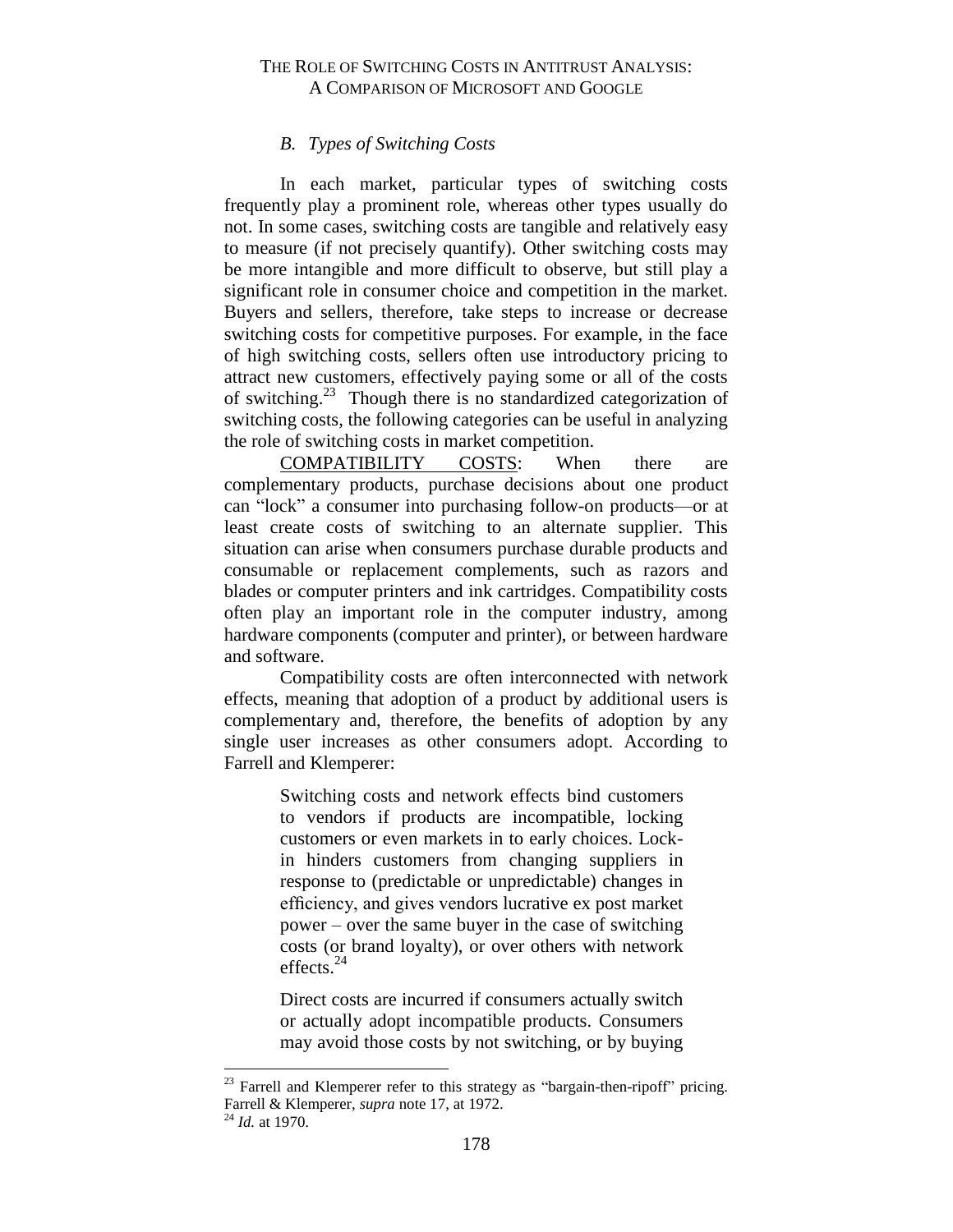# *B. Types of Switching Costs*

<span id="page-9-0"></span>In each market, particular types of switching costs frequently play a prominent role, whereas other types usually do not. In some cases, switching costs are tangible and relatively easy to measure (if not precisely quantify). Other switching costs may be more intangible and more difficult to observe, but still play a significant role in consumer choice and competition in the market. Buyers and sellers, therefore, take steps to increase or decrease switching costs for competitive purposes. For example, in the face of high switching costs, sellers often use introductory pricing to attract new customers, effectively paying some or all of the costs of switching.<sup>23</sup> Though there is no standardized categorization of switching costs, the following categories can be useful in analyzing the role of switching costs in market competition.

COMPATIBILITY COSTS: When there are complementary products, purchase decisions about one product can "lock" a consumer into purchasing follow-on products—or at least create costs of switching to an alternate supplier. This situation can arise when consumers purchase durable products and consumable or replacement complements, such as razors and blades or computer printers and ink cartridges. Compatibility costs often play an important role in the computer industry, among hardware components (computer and printer), or between hardware and software.

Compatibility costs are often interconnected with network effects, meaning that adoption of a product by additional users is complementary and, therefore, the benefits of adoption by any single user increases as other consumers adopt. According to Farrell and Klemperer:

> Switching costs and network effects bind customers to vendors if products are incompatible, locking customers or even markets in to early choices. Lockin hinders customers from changing suppliers in response to (predictable or unpredictable) changes in efficiency, and gives vendors lucrative ex post market power – over the same buyer in the case of switching costs (or brand loyalty), or over others with network effects. $^{24}$

> Direct costs are incurred if consumers actually switch or actually adopt incompatible products. Consumers may avoid those costs by not switching, or by buying

Farrell and Klemperer refer to this strategy as "bargain-then-ripoff" pricing. Farrell & Klemperer, *supra* note 17, at 1972. <sup>24</sup> *Id.* at 1970.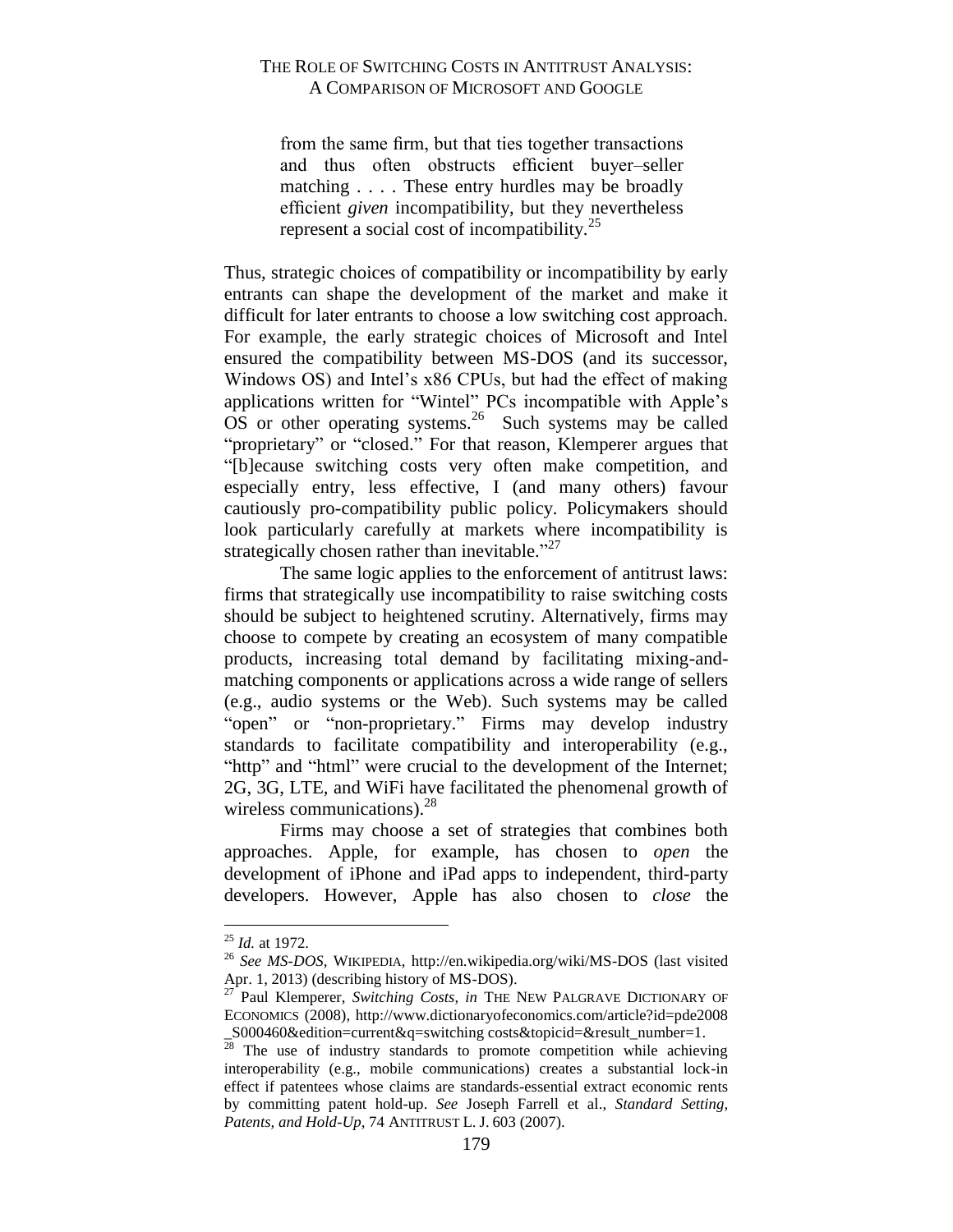from the same firm, but that ties together transactions and thus often obstructs efficient buyer–seller matching . . . . These entry hurdles may be broadly efficient *given* incompatibility, but they nevertheless represent a social cost of incompatibility.<sup>25</sup>

Thus, strategic choices of compatibility or incompatibility by early entrants can shape the development of the market and make it difficult for later entrants to choose a low switching cost approach. For example, the early strategic choices of Microsoft and Intel ensured the compatibility between MS-DOS (and its successor, Windows OS) and Intel's x86 CPUs, but had the effect of making applications written for "Wintel" PCs incompatible with Apple's  $\overrightarrow{OS}$  or other operating systems.<sup>26</sup> Such systems may be called "proprietary" or "closed." For that reason, Klemperer argues that "[b]ecause switching costs very often make competition, and especially entry, less effective, I (and many others) favour cautiously pro-compatibility public policy. Policymakers should look particularly carefully at markets where incompatibility is strategically chosen rather than inevitable."<sup>27</sup>

The same logic applies to the enforcement of antitrust laws: firms that strategically use incompatibility to raise switching costs should be subject to heightened scrutiny. Alternatively, firms may choose to compete by creating an ecosystem of many compatible products, increasing total demand by facilitating mixing-andmatching components or applications across a wide range of sellers (e.g., audio systems or the Web). Such systems may be called "open" or "non-proprietary." Firms may develop industry standards to facilitate compatibility and interoperability (e.g., "http" and "html" were crucial to the development of the Internet; 2G, 3G, LTE, and WiFi have facilitated the phenomenal growth of wireless communications).<sup>28</sup>

Firms may choose a set of strategies that combines both approaches. Apple, for example, has chosen to *open* the development of iPhone and iPad apps to independent, third-party developers. However, Apple has also chosen to *close* the

<sup>25</sup> *Id.* at 1972.

<sup>26</sup> *See MS-DOS*, WIKIPEDIA, http://en.wikipedia.org/wiki/MS-DOS (last visited Apr. 1, 2013) (describing history of MS-DOS).

<sup>&</sup>lt;sup>27</sup> Paul Klemperer, *Switching Costs*, *in* THE NEW PALGRAVE DICTIONARY OF ECONOMICS (2008), http://www.dictionaryofeconomics.com/article?id=pde2008 \_S000460&edition=current&q=switching costs&topicid=&result\_number=1.

 $28$  The use of industry standards to promote competition while achieving interoperability (e.g., mobile communications) creates a substantial lock-in effect if patentees whose claims are standards-essential extract economic rents by committing patent hold-up. *See* Joseph Farrell et al., *Standard Setting, Patents, and Hold-Up*, 74 ANTITRUST L. J. 603 (2007).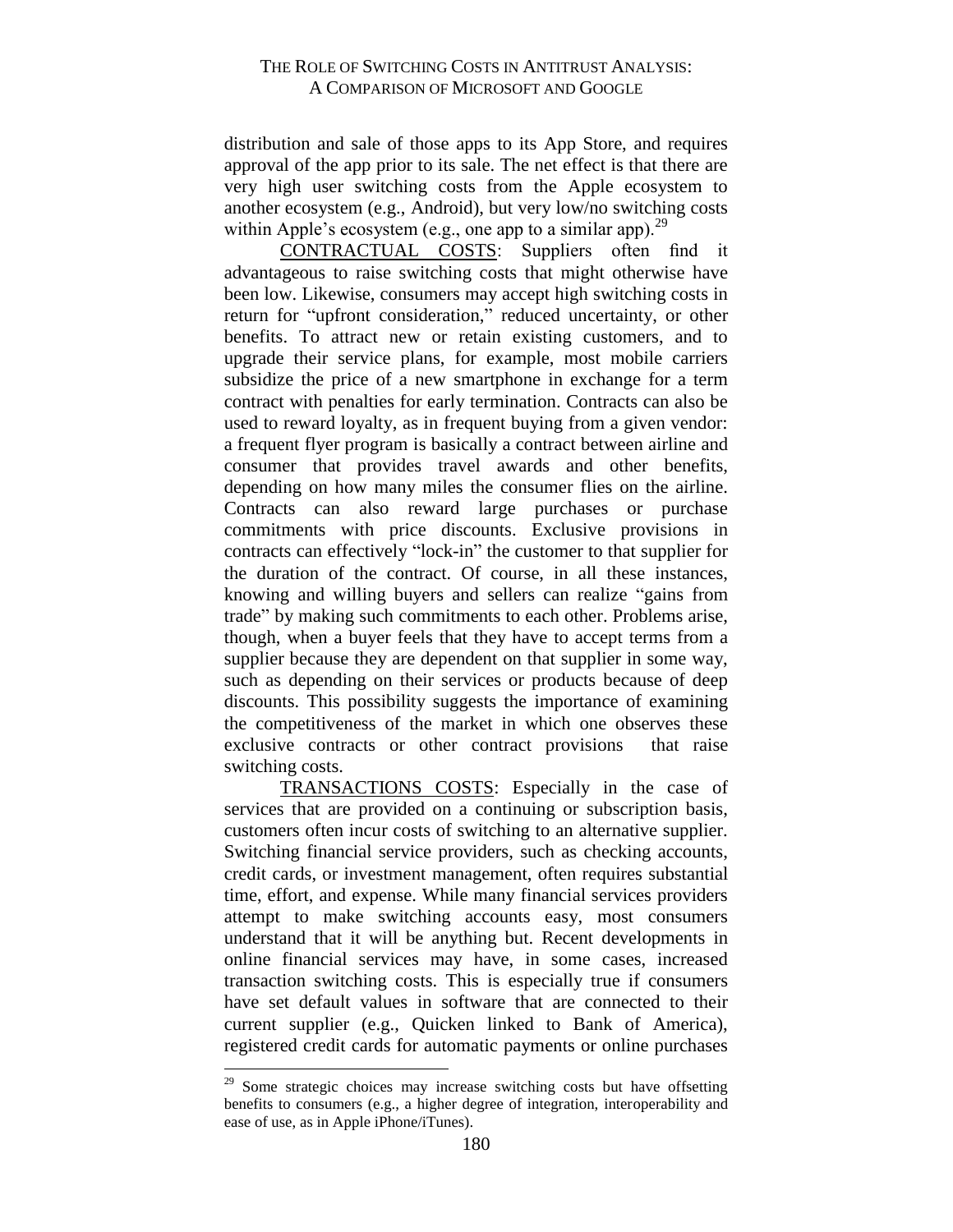distribution and sale of those apps to its App Store, and requires approval of the app prior to its sale. The net effect is that there are very high user switching costs from the Apple ecosystem to another ecosystem (e.g., Android), but very low/no switching costs within Apple's ecosystem (e.g., one app to a similar app).<sup>29</sup>

CONTRACTUAL COSTS: Suppliers often find it advantageous to raise switching costs that might otherwise have been low. Likewise, consumers may accept high switching costs in return for "upfront consideration," reduced uncertainty, or other benefits. To attract new or retain existing customers, and to upgrade their service plans, for example, most mobile carriers subsidize the price of a new smartphone in exchange for a term contract with penalties for early termination. Contracts can also be used to reward loyalty, as in frequent buying from a given vendor: a frequent flyer program is basically a contract between airline and consumer that provides travel awards and other benefits, depending on how many miles the consumer flies on the airline. Contracts can also reward large purchases or purchase commitments with price discounts. Exclusive provisions in contracts can effectively "lock-in" the customer to that supplier for the duration of the contract. Of course, in all these instances, knowing and willing buyers and sellers can realize "gains from trade" by making such commitments to each other. Problems arise, though, when a buyer feels that they have to accept terms from a supplier because they are dependent on that supplier in some way, such as depending on their services or products because of deep discounts. This possibility suggests the importance of examining the competitiveness of the market in which one observes these exclusive contracts or other contract provisions that raise switching costs.

TRANSACTIONS COSTS: Especially in the case of services that are provided on a continuing or subscription basis, customers often incur costs of switching to an alternative supplier. Switching financial service providers, such as checking accounts, credit cards, or investment management, often requires substantial time, effort, and expense. While many financial services providers attempt to make switching accounts easy, most consumers understand that it will be anything but. Recent developments in online financial services may have, in some cases, increased transaction switching costs. This is especially true if consumers have set default values in software that are connected to their current supplier (e.g., Quicken linked to Bank of America), registered credit cards for automatic payments or online purchases

<sup>&</sup>lt;sup>29</sup> Some strategic choices may increase switching costs but have offsetting benefits to consumers (e.g., a higher degree of integration, interoperability and ease of use, as in Apple iPhone/iTunes).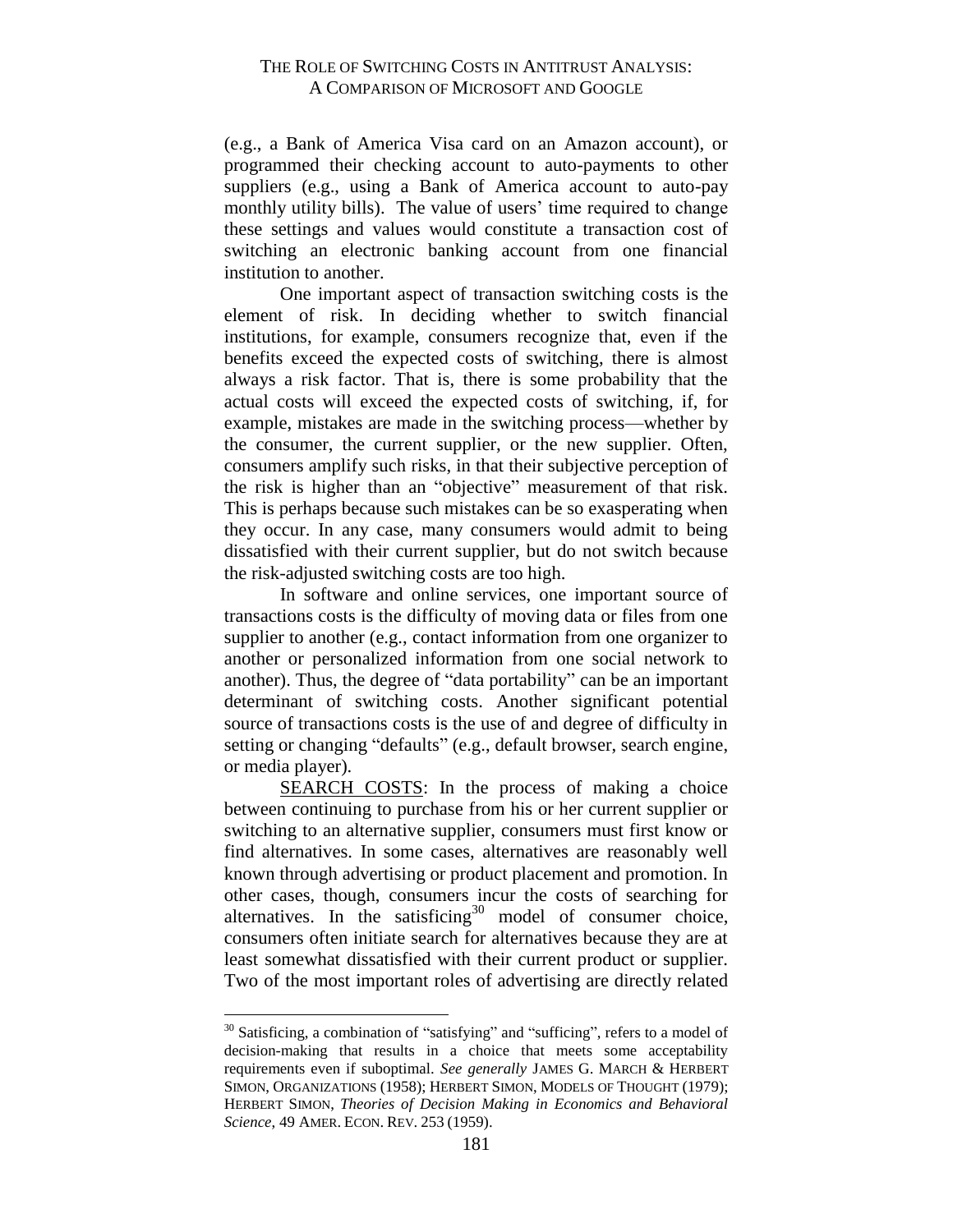(e.g., a Bank of America Visa card on an Amazon account), or programmed their checking account to auto-payments to other suppliers (e.g., using a Bank of America account to auto-pay monthly utility bills). The value of users' time required to change these settings and values would constitute a transaction cost of switching an electronic banking account from one financial institution to another.

One important aspect of transaction switching costs is the element of risk. In deciding whether to switch financial institutions, for example, consumers recognize that, even if the benefits exceed the expected costs of switching, there is almost always a risk factor. That is, there is some probability that the actual costs will exceed the expected costs of switching, if, for example, mistakes are made in the switching process—whether by the consumer, the current supplier, or the new supplier. Often, consumers amplify such risks, in that their subjective perception of the risk is higher than an "objective" measurement of that risk. This is perhaps because such mistakes can be so exasperating when they occur. In any case, many consumers would admit to being dissatisfied with their current supplier, but do not switch because the risk-adjusted switching costs are too high.

In software and online services, one important source of transactions costs is the difficulty of moving data or files from one supplier to another (e.g., contact information from one organizer to another or personalized information from one social network to another). Thus, the degree of "data portability" can be an important determinant of switching costs. Another significant potential source of transactions costs is the use of and degree of difficulty in setting or changing "defaults" (e.g., default browser, search engine, or media player).

SEARCH COSTS: In the process of making a choice between continuing to purchase from his or her current supplier or switching to an alternative supplier, consumers must first know or find alternatives. In some cases, alternatives are reasonably well known through advertising or product placement and promotion. In other cases, though, consumers incur the costs of searching for alternatives. In the satisficing<sup>30</sup> model of consumer choice, consumers often initiate search for alternatives because they are at least somewhat dissatisfied with their current product or supplier. Two of the most important roles of advertising are directly related

<sup>&</sup>lt;sup>30</sup> Satisficing, a combination of "satisfying" and "sufficing", refers to a model of decision-making that results in a choice that meets some acceptability requirements even if suboptimal. *See generally* JAMES G. MARCH & HERBERT SIMON, ORGANIZATIONS (1958); HERBERT SIMON, MODELS OF THOUGHT (1979); HERBERT SIMON, *Theories of Decision Making in Economics and Behavioral Science*, 49 AMER. ECON. REV. 253 (1959).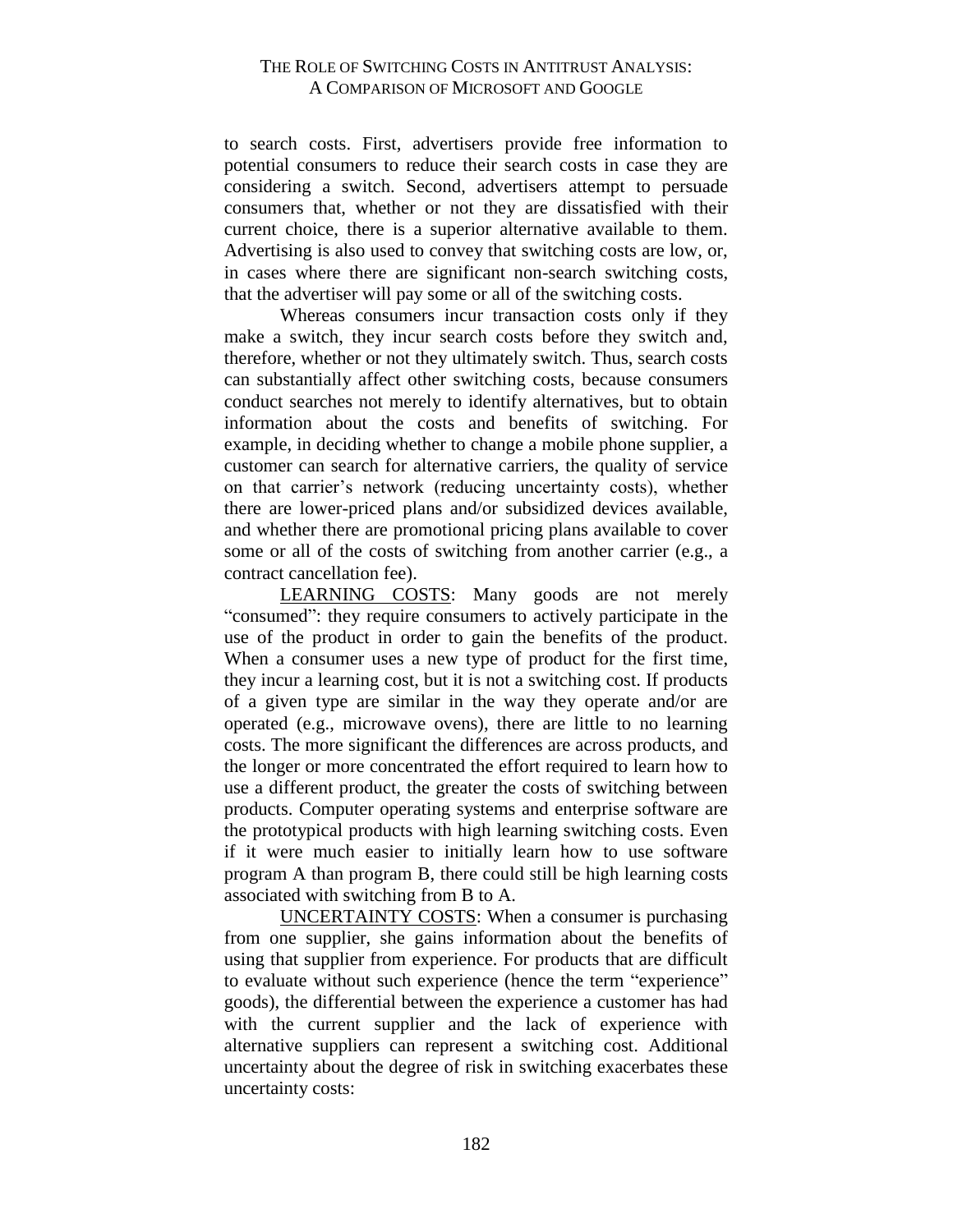to search costs. First, advertisers provide free information to potential consumers to reduce their search costs in case they are considering a switch. Second, advertisers attempt to persuade consumers that, whether or not they are dissatisfied with their current choice, there is a superior alternative available to them. Advertising is also used to convey that switching costs are low, or, in cases where there are significant non-search switching costs, that the advertiser will pay some or all of the switching costs.

Whereas consumers incur transaction costs only if they make a switch, they incur search costs before they switch and, therefore, whether or not they ultimately switch. Thus, search costs can substantially affect other switching costs, because consumers conduct searches not merely to identify alternatives, but to obtain information about the costs and benefits of switching. For example, in deciding whether to change a mobile phone supplier, a customer can search for alternative carriers, the quality of service on that carrier's network (reducing uncertainty costs), whether there are lower-priced plans and/or subsidized devices available, and whether there are promotional pricing plans available to cover some or all of the costs of switching from another carrier (e.g., a contract cancellation fee).

LEARNING COSTS: Many goods are not merely "consumed": they require consumers to actively participate in the use of the product in order to gain the benefits of the product. When a consumer uses a new type of product for the first time, they incur a learning cost, but it is not a switching cost. If products of a given type are similar in the way they operate and/or are operated (e.g., microwave ovens), there are little to no learning costs. The more significant the differences are across products, and the longer or more concentrated the effort required to learn how to use a different product, the greater the costs of switching between products. Computer operating systems and enterprise software are the prototypical products with high learning switching costs. Even if it were much easier to initially learn how to use software program A than program B, there could still be high learning costs associated with switching from B to A.

UNCERTAINTY COSTS: When a consumer is purchasing from one supplier, she gains information about the benefits of using that supplier from experience. For products that are difficult to evaluate without such experience (hence the term "experience" goods), the differential between the experience a customer has had with the current supplier and the lack of experience with alternative suppliers can represent a switching cost. Additional uncertainty about the degree of risk in switching exacerbates these uncertainty costs: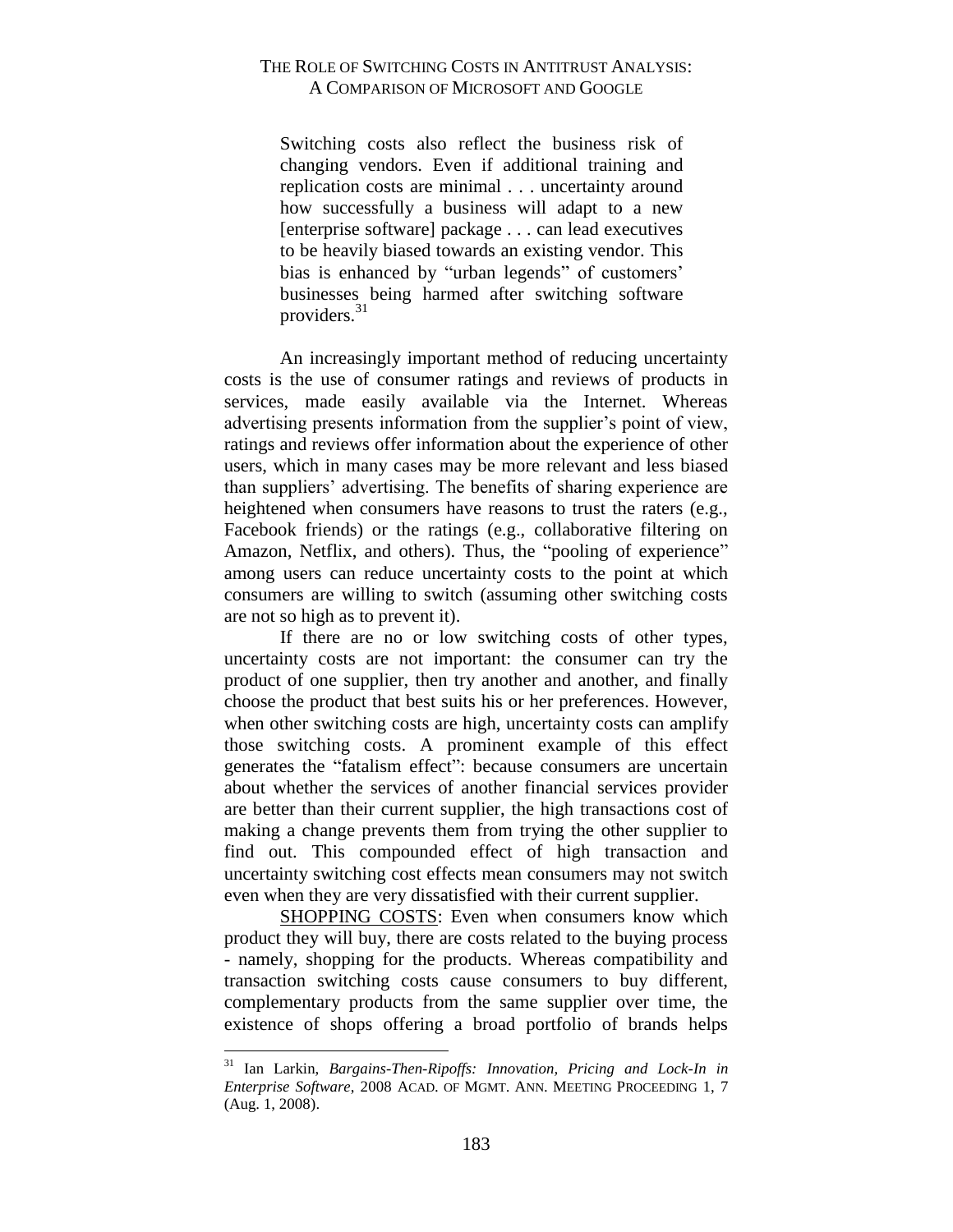Switching costs also reflect the business risk of changing vendors. Even if additional training and replication costs are minimal . . . uncertainty around how successfully a business will adapt to a new [enterprise software] package . . . can lead executives to be heavily biased towards an existing vendor. This bias is enhanced by "urban legends" of customers' businesses being harmed after switching software providers.<sup>31</sup>

An increasingly important method of reducing uncertainty costs is the use of consumer ratings and reviews of products in services, made easily available via the Internet. Whereas advertising presents information from the supplier's point of view, ratings and reviews offer information about the experience of other users, which in many cases may be more relevant and less biased than suppliers' advertising. The benefits of sharing experience are heightened when consumers have reasons to trust the raters (e.g., Facebook friends) or the ratings (e.g., collaborative filtering on Amazon, Netflix, and others). Thus, the "pooling of experience" among users can reduce uncertainty costs to the point at which consumers are willing to switch (assuming other switching costs are not so high as to prevent it).

If there are no or low switching costs of other types, uncertainty costs are not important: the consumer can try the product of one supplier, then try another and another, and finally choose the product that best suits his or her preferences. However, when other switching costs are high, uncertainty costs can amplify those switching costs. A prominent example of this effect generates the "fatalism effect": because consumers are uncertain about whether the services of another financial services provider are better than their current supplier, the high transactions cost of making a change prevents them from trying the other supplier to find out. This compounded effect of high transaction and uncertainty switching cost effects mean consumers may not switch even when they are very dissatisfied with their current supplier.

SHOPPING COSTS: Even when consumers know which product they will buy, there are costs related to the buying process - namely, shopping for the products. Whereas compatibility and transaction switching costs cause consumers to buy different, complementary products from the same supplier over time, the existence of shops offering a broad portfolio of brands helps

<sup>31</sup> Ian Larkin, *Bargains-Then-Ripoffs: Innovation, Pricing and Lock-In in Enterprise Software*, 2008 ACAD. OF MGMT. ANN. MEETING PROCEEDING 1, 7 (Aug. 1, 2008).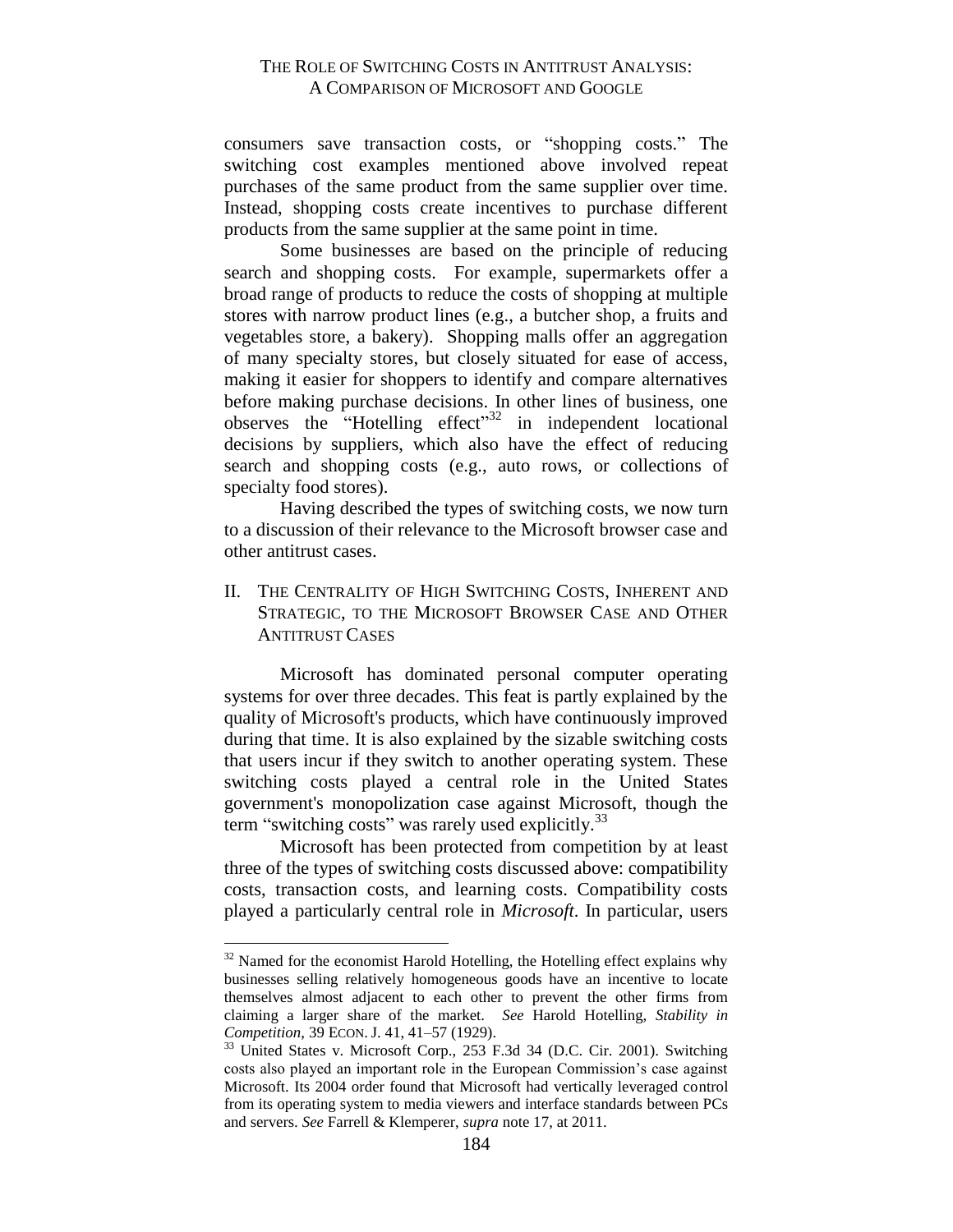consumers save transaction costs, or "shopping costs." The switching cost examples mentioned above involved repeat purchases of the same product from the same supplier over time. Instead, shopping costs create incentives to purchase different products from the same supplier at the same point in time.

Some businesses are based on the principle of reducing search and shopping costs. For example, supermarkets offer a broad range of products to reduce the costs of shopping at multiple stores with narrow product lines (e.g., a butcher shop, a fruits and vegetables store, a bakery). Shopping malls offer an aggregation of many specialty stores, but closely situated for ease of access, making it easier for shoppers to identify and compare alternatives before making purchase decisions. In other lines of business, one observes the "Hotelling effect"<sup>32</sup> in independent locational decisions by suppliers, which also have the effect of reducing search and shopping costs (e.g., auto rows, or collections of specialty food stores).

Having described the types of switching costs, we now turn to a discussion of their relevance to the Microsoft browser case and other antitrust cases.

<span id="page-15-0"></span>II. THE CENTRALITY OF HIGH SWITCHING COSTS, INHERENT AND STRATEGIC, TO THE MICROSOFT BROWSER CASE AND OTHER ANTITRUST CASES

Microsoft has dominated personal computer operating systems for over three decades. This feat is partly explained by the quality of Microsoft's products, which have continuously improved during that time. It is also explained by the sizable switching costs that users incur if they switch to another operating system. These switching costs played a central role in the United States government's monopolization case against Microsoft, though the term "switching costs" was rarely used explicitly.<sup>33</sup>

Microsoft has been protected from competition by at least three of the types of switching costs discussed above: compatibility costs, transaction costs, and learning costs. Compatibility costs played a particularly central role in *Microsoft*. In particular, users

<sup>&</sup>lt;sup>32</sup> Named for the economist Harold Hotelling, the Hotelling effect explains why businesses selling relatively homogeneous goods have an incentive to locate themselves almost adjacent to each other to prevent the other firms from claiming a larger share of the market. *See* Harold Hotelling, *Stability in Competition*, 39 ECON. J. 41, 41–57 (1929).

<sup>&</sup>lt;sup>33</sup> United States v. Microsoft Corp., 253 F.3d 34 (D.C. Cir. 2001). Switching costs also played an important role in the European Commission's case against Microsoft. Its 2004 order found that Microsoft had vertically leveraged control from its operating system to media viewers and interface standards between PCs and servers. *See* Farrell & Klemperer, *supra* note 17, at 2011.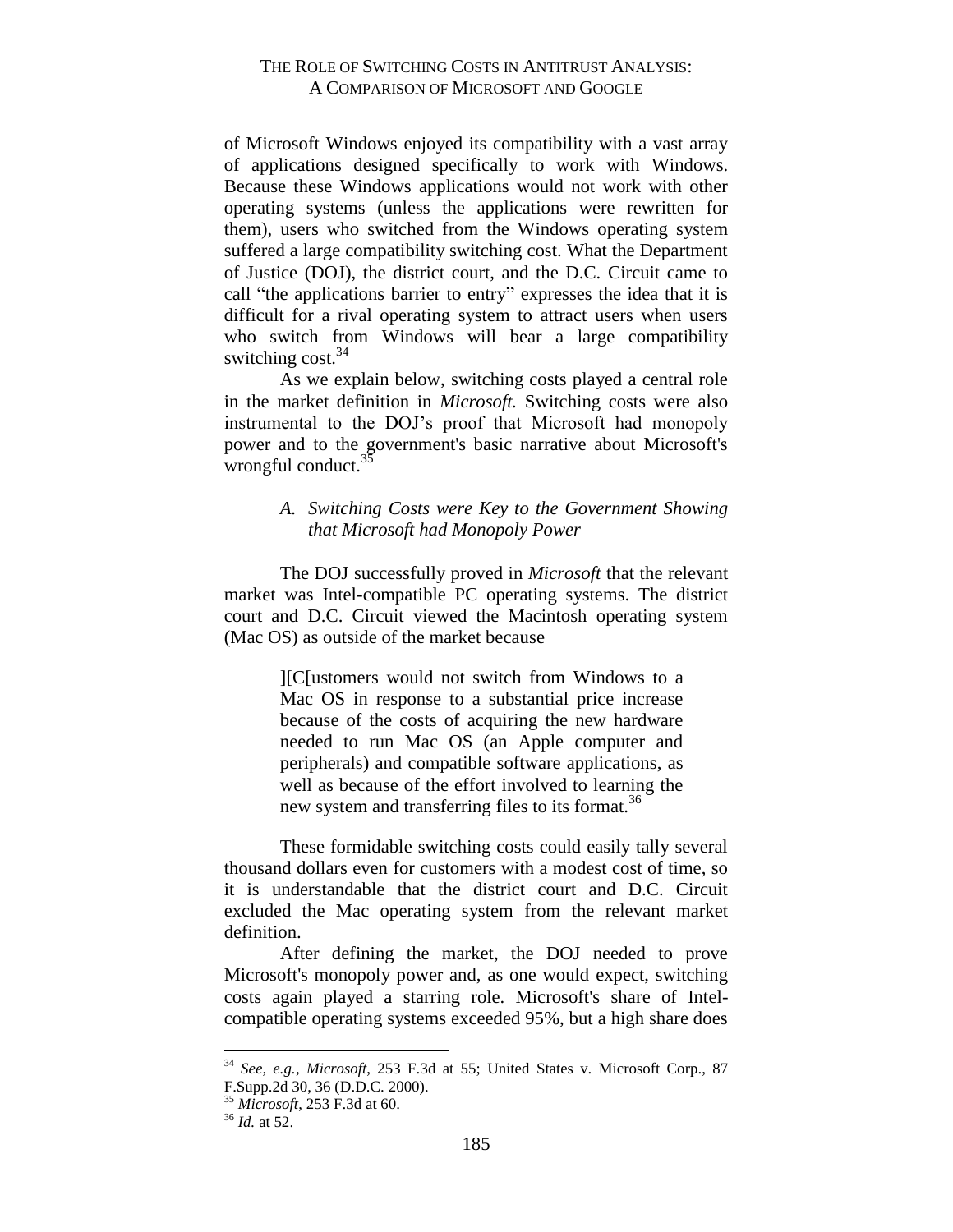of Microsoft Windows enjoyed its compatibility with a vast array of applications designed specifically to work with Windows. Because these Windows applications would not work with other operating systems (unless the applications were rewritten for them), users who switched from the Windows operating system suffered a large compatibility switching cost. What the Department of Justice (DOJ), the district court, and the D.C. Circuit came to call "the applications barrier to entry" expresses the idea that it is difficult for a rival operating system to attract users when users who switch from Windows will bear a large compatibility switching  $cost<sup>34</sup>$ 

As we explain below, switching costs played a central role in the market definition in *Microsoft.* Switching costs were also instrumental to the DOJ's proof that Microsoft had monopoly power and to the government's basic narrative about Microsoft's wrongful conduct. $35$ 

# <span id="page-16-0"></span>*A. Switching Costs were Key to the Government Showing that Microsoft had Monopoly Power*

The DOJ successfully proved in *Microsoft* that the relevant market was Intel-compatible PC operating systems. The district court and D.C. Circuit viewed the Macintosh operating system (Mac OS) as outside of the market because

> ][C[ustomers would not switch from Windows to a Mac OS in response to a substantial price increase because of the costs of acquiring the new hardware needed to run Mac OS (an Apple computer and peripherals) and compatible software applications, as well as because of the effort involved to learning the new system and transferring files to its format.<sup>36</sup>

These formidable switching costs could easily tally several thousand dollars even for customers with a modest cost of time, so it is understandable that the district court and D.C. Circuit excluded the Mac operating system from the relevant market definition.

After defining the market, the DOJ needed to prove Microsoft's monopoly power and, as one would expect, switching costs again played a starring role. Microsoft's share of Intelcompatible operating systems exceeded 95%, but a high share does

<sup>34</sup> *See, e.g.*, *Microsoft*, 253 F.3d at 55; United States v. Microsoft Corp., 87 F.Supp.2d 30, 36 (D.D.C. 2000).

<sup>35</sup> *Microsoft*, 253 F.3d at 60.

<sup>36</sup> *Id.* at 52.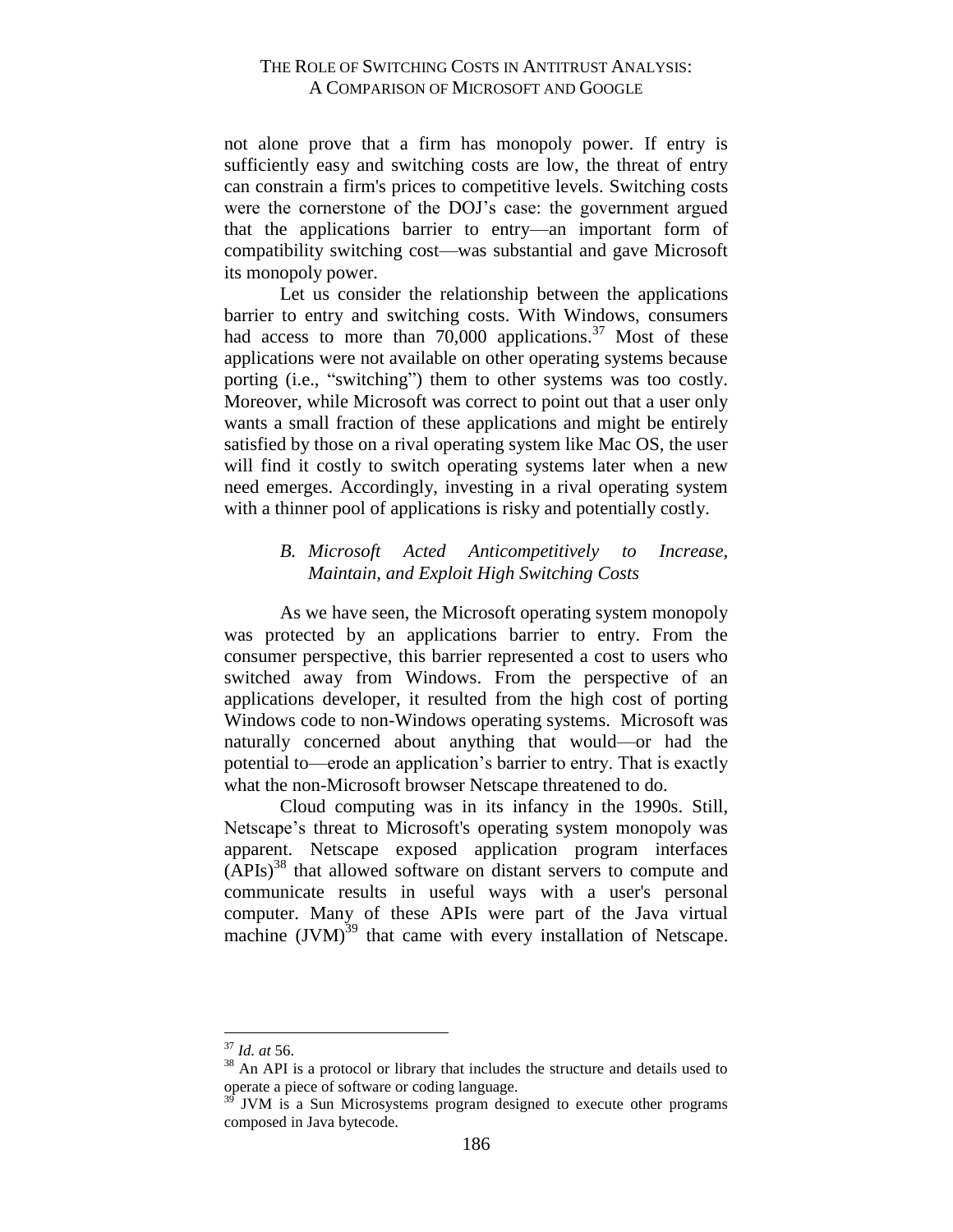not alone prove that a firm has monopoly power. If entry is sufficiently easy and switching costs are low, the threat of entry can constrain a firm's prices to competitive levels. Switching costs were the cornerstone of the DOJ's case: the government argued that the applications barrier to entry—an important form of compatibility switching cost—was substantial and gave Microsoft its monopoly power.

Let us consider the relationship between the applications barrier to entry and switching costs. With Windows, consumers had access to more than  $70,000$  applications.<sup>37</sup> Most of these applications were not available on other operating systems because porting (i.e., "switching") them to other systems was too costly. Moreover, while Microsoft was correct to point out that a user only wants a small fraction of these applications and might be entirely satisfied by those on a rival operating system like Mac OS, the user will find it costly to switch operating systems later when a new need emerges. Accordingly, investing in a rival operating system with a thinner pool of applications is risky and potentially costly.

#### <span id="page-17-0"></span>*B. Microsoft Acted Anticompetitively to Increase, Maintain, and Exploit High Switching Costs*

As we have seen, the Microsoft operating system monopoly was protected by an applications barrier to entry. From the consumer perspective, this barrier represented a cost to users who switched away from Windows. From the perspective of an applications developer, it resulted from the high cost of porting Windows code to non-Windows operating systems. Microsoft was naturally concerned about anything that would—or had the potential to—erode an application's barrier to entry. That is exactly what the non-Microsoft browser Netscape threatened to do.

Cloud computing was in its infancy in the 1990s. Still, Netscape's threat to Microsoft's operating system monopoly was apparent. Netscape exposed application program interfaces  $(APIs)<sup>38</sup>$  that allowed software on distant servers to compute and communicate results in useful ways with a user's personal computer. Many of these APIs were part of the Java virtual machine  $(JVM)^{39}$  that came with every installation of Netscape.

<sup>37</sup> *Id. at* 56.

<sup>&</sup>lt;sup>38</sup> An API is a protocol or library that includes the structure and details used to operate a piece of software or coding language.

JVM is a Sun Microsystems program designed to execute other programs composed in Java bytecode.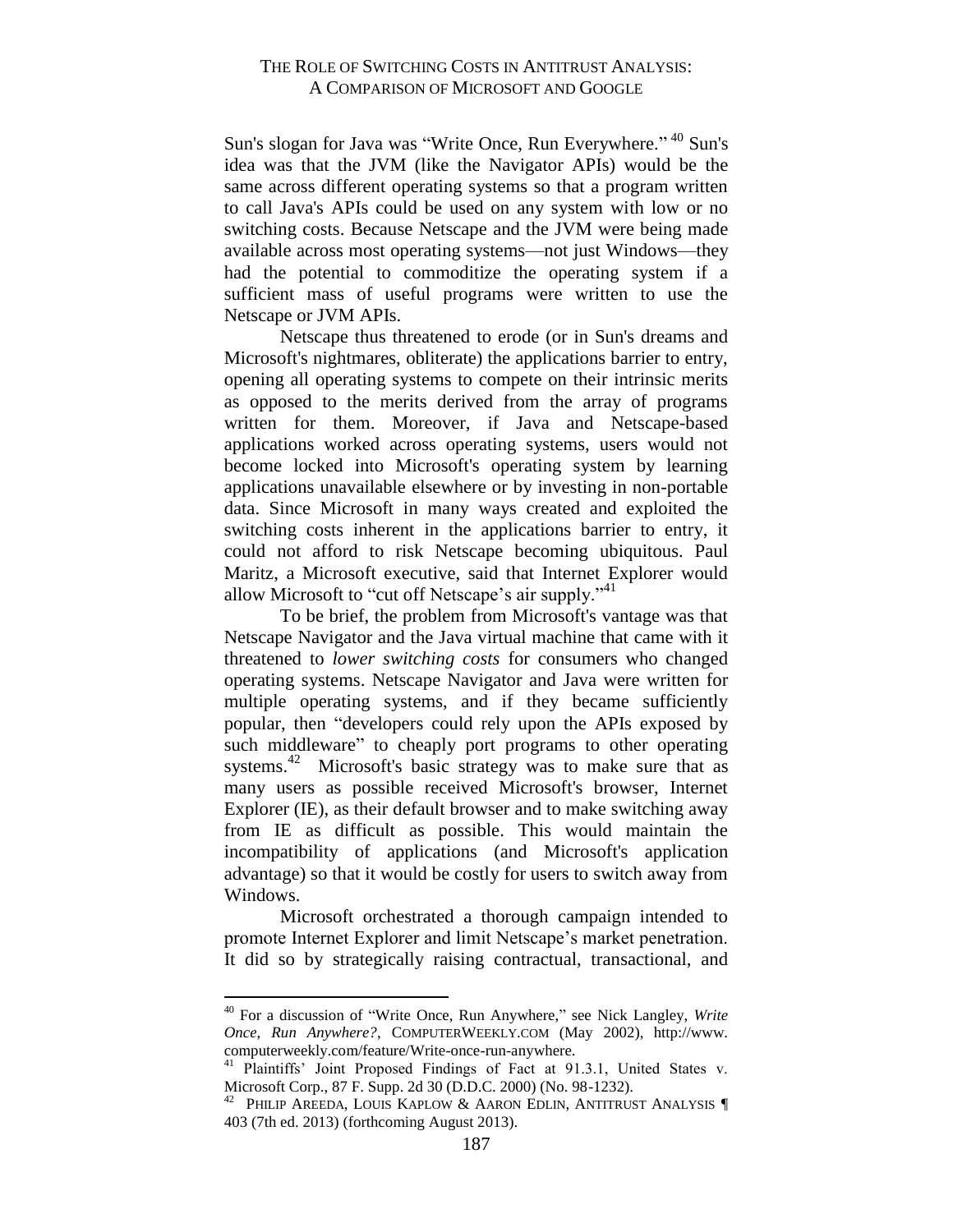Sun's slogan for Java was "Write Once, Run Everywhere." <sup>40</sup> Sun's idea was that the JVM (like the Navigator APIs) would be the same across different operating systems so that a program written to call Java's APIs could be used on any system with low or no switching costs. Because Netscape and the JVM were being made available across most operating systems—not just Windows—they had the potential to commoditize the operating system if a sufficient mass of useful programs were written to use the Netscape or JVM APIs.

Netscape thus threatened to erode (or in Sun's dreams and Microsoft's nightmares, obliterate) the applications barrier to entry, opening all operating systems to compete on their intrinsic merits as opposed to the merits derived from the array of programs written for them. Moreover, if Java and Netscape-based applications worked across operating systems, users would not become locked into Microsoft's operating system by learning applications unavailable elsewhere or by investing in non-portable data. Since Microsoft in many ways created and exploited the switching costs inherent in the applications barrier to entry, it could not afford to risk Netscape becoming ubiquitous. Paul Maritz, a Microsoft executive, said that Internet Explorer would allow Microsoft to "cut off Netscape's air supply."<sup>41</sup>

To be brief, the problem from Microsoft's vantage was that Netscape Navigator and the Java virtual machine that came with it threatened to *lower switching costs* for consumers who changed operating systems. Netscape Navigator and Java were written for multiple operating systems, and if they became sufficiently popular, then "developers could rely upon the APIs exposed by such middleware" to cheaply port programs to other operating systems.<sup>42</sup> Microsoft's basic strategy was to make sure that as many users as possible received Microsoft's browser, Internet Explorer (IE), as their default browser and to make switching away from IE as difficult as possible. This would maintain the incompatibility of applications (and Microsoft's application advantage) so that it would be costly for users to switch away from Windows.

Microsoft orchestrated a thorough campaign intended to promote Internet Explorer and limit Netscape's market penetration. It did so by strategically raising contractual, transactional, and

<sup>40</sup> For a discussion of "Write Once, Run Anywhere," see Nick Langley, *Write Once, Run Anywhere?*, COMPUTERWEEKLY.COM (May 2002), http://www. computerweekly.com/feature/Write-once-run-anywhere.

<sup>&</sup>lt;sup>41</sup> Plaintiffs' Joint Proposed Findings of Fact at 91.3.1, United States v. Microsoft Corp., 87 F. Supp. 2d 30 (D.D.C. 2000) (No. 98-1232).

<sup>42</sup> PHILIP AREEDA, LOUIS KAPLOW & AARON EDLIN, ANTITRUST ANALYSIS ¶ 403 (7th ed. 2013) (forthcoming August 2013).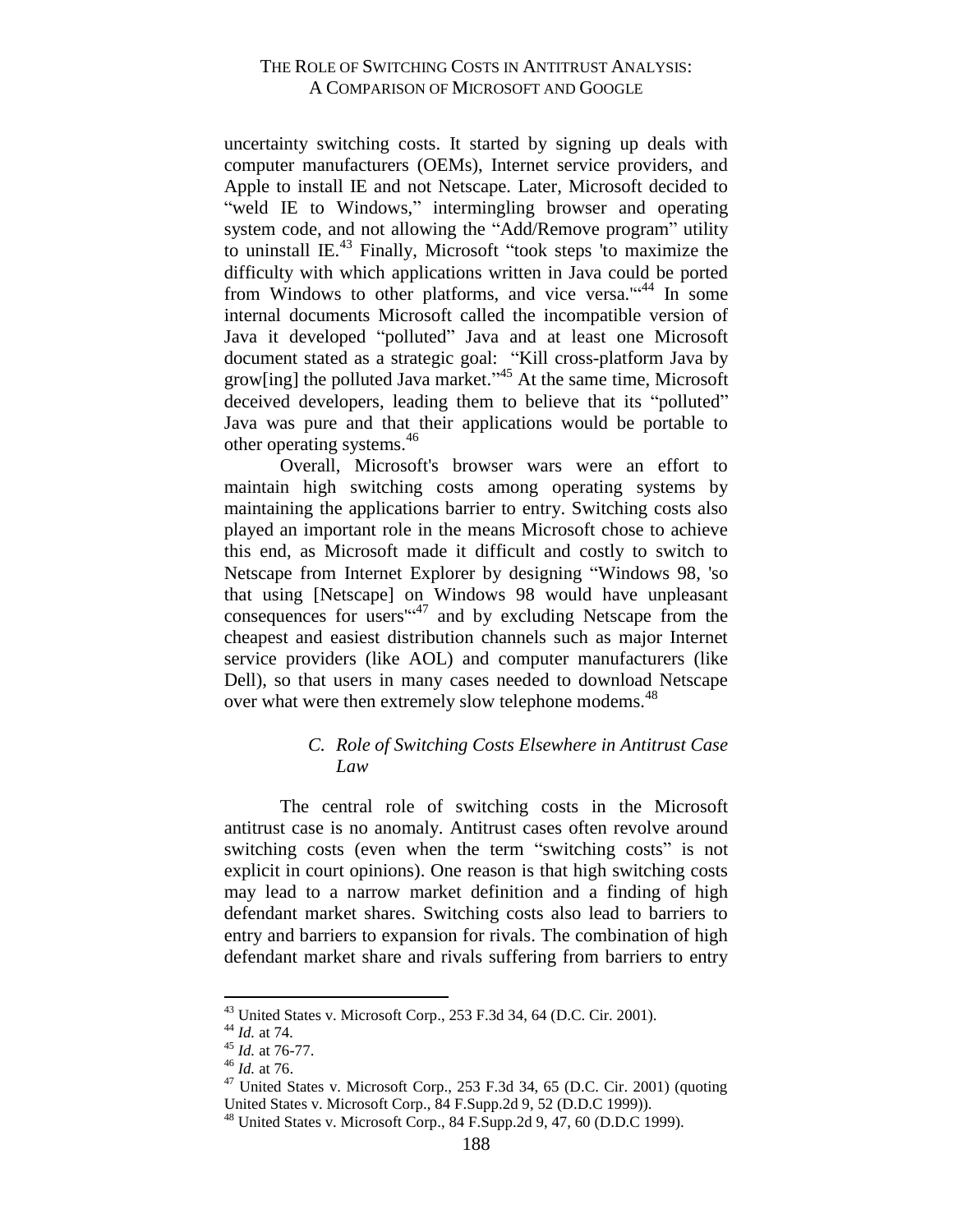uncertainty switching costs. It started by signing up deals with computer manufacturers (OEMs), Internet service providers, and Apple to install IE and not Netscape. Later, Microsoft decided to "weld IE to Windows," intermingling browser and operating system code, and not allowing the "Add/Remove program" utility to uninstall IE.<sup>43</sup> Finally, Microsoft "took steps 'to maximize the difficulty with which applications written in Java could be ported from Windows to other platforms, and vice versa." $44$  In some internal documents Microsoft called the incompatible version of Java it developed "polluted" Java and at least one Microsoft document stated as a strategic goal: "Kill cross-platform Java by grow[ing] the polluted Java market."<sup>45</sup> At the same time, Microsoft deceived developers, leading them to believe that its "polluted" Java was pure and that their applications would be portable to other operating systems.<sup>46</sup>

Overall, Microsoft's browser wars were an effort to maintain high switching costs among operating systems by maintaining the applications barrier to entry. Switching costs also played an important role in the means Microsoft chose to achieve this end, as Microsoft made it difficult and costly to switch to Netscape from Internet Explorer by designing "Windows 98, 'so that using [Netscape] on Windows 98 would have unpleasant consequences for users<sup>"47</sup> and by excluding Netscape from the cheapest and easiest distribution channels such as major Internet service providers (like AOL) and computer manufacturers (like Dell), so that users in many cases needed to download Netscape over what were then extremely slow telephone modems.<sup>48</sup>

#### <span id="page-19-0"></span>*C. Role of Switching Costs Elsewhere in Antitrust Case Law*

The central role of switching costs in the Microsoft antitrust case is no anomaly. Antitrust cases often revolve around switching costs (even when the term "switching costs" is not explicit in court opinions). One reason is that high switching costs may lead to a narrow market definition and a finding of high defendant market shares. Switching costs also lead to barriers to entry and barriers to expansion for rivals. The combination of high defendant market share and rivals suffering from barriers to entry

<sup>43</sup> United States v. Microsoft Corp., 253 F.3d 34, 64 (D.C. Cir. 2001).

<sup>44</sup> *Id.* at 74*.* 

<sup>45</sup> *Id.* at 76-77.

 $^{46}$  *Id.* at 76.

 $47$  United States v. Microsoft Corp., 253 F.3d 34, 65 (D.C. Cir. 2001) (quoting United States v. Microsoft Corp., 84 F.Supp.2d 9, 52 (D.D.C 1999)).

<sup>48</sup> United States v. Microsoft Corp., 84 F.Supp.2d 9, 47, 60 (D.D.C 1999).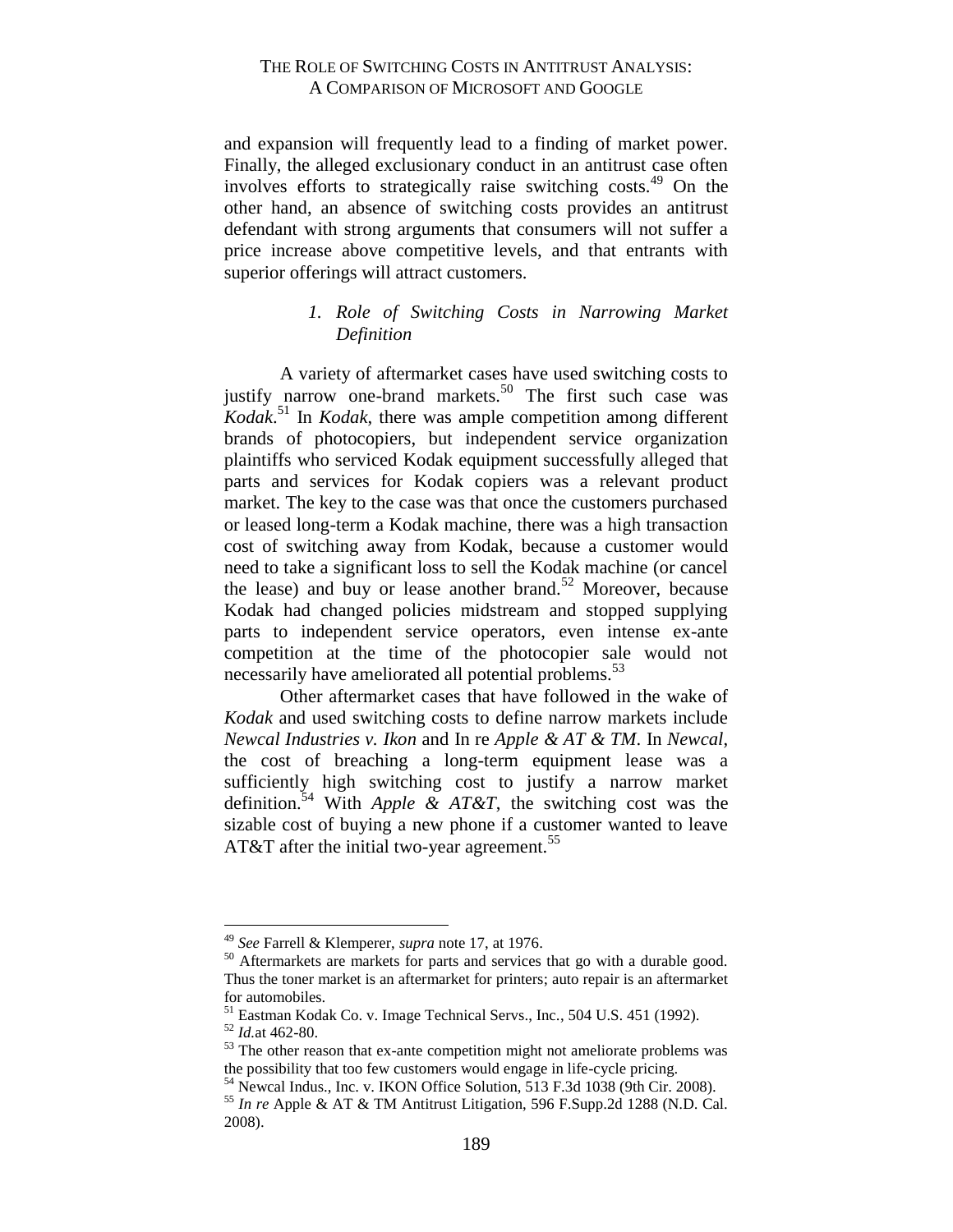and expansion will frequently lead to a finding of market power. Finally, the alleged exclusionary conduct in an antitrust case often involves efforts to strategically raise switching costs.<sup>49</sup> On the other hand, an absence of switching costs provides an antitrust defendant with strong arguments that consumers will not suffer a price increase above competitive levels, and that entrants with superior offerings will attract customers.

# *1. Role of Switching Costs in Narrowing Market Definition*

<span id="page-20-0"></span>A variety of aftermarket cases have used switching costs to justify narrow one-brand markets.<sup>50</sup> The first such case was *Kodak*. <sup>51</sup> In *Kodak*, there was ample competition among different brands of photocopiers, but independent service organization plaintiffs who serviced Kodak equipment successfully alleged that parts and services for Kodak copiers was a relevant product market. The key to the case was that once the customers purchased or leased long-term a Kodak machine, there was a high transaction cost of switching away from Kodak, because a customer would need to take a significant loss to sell the Kodak machine (or cancel the lease) and buy or lease another brand. $52$  Moreover, because Kodak had changed policies midstream and stopped supplying parts to independent service operators, even intense ex-ante competition at the time of the photocopier sale would not necessarily have ameliorated all potential problems.<sup>53</sup>

Other aftermarket cases that have followed in the wake of *Kodak* and used switching costs to define narrow markets include *Newcal Industries v. Ikon* and In re *Apple & AT & TM*. In *Newcal*, the cost of breaching a long-term equipment lease was a sufficiently high switching cost to justify a narrow market definition.<sup>54</sup> With *Apple & AT&T*, the switching cost was the sizable cost of buying a new phone if a customer wanted to leave AT&T after the initial two-year agreement.<sup>55</sup>

<sup>49</sup> *See* Farrell & Klemperer, *supra* note 17, at 1976.

<sup>&</sup>lt;sup>50</sup> Aftermarkets are markets for parts and services that go with a durable good. Thus the toner market is an aftermarket for printers; auto repair is an aftermarket for automobiles.

<sup>51</sup> Eastman Kodak Co. v. Image Technical Servs., Inc., 504 U.S. 451 (1992).

<sup>52</sup> *Id.*at 462-80.

<sup>&</sup>lt;sup>53</sup> The other reason that ex-ante competition might not ameliorate problems was the possibility that too few customers would engage in life-cycle pricing.

<sup>54</sup> Newcal Indus., Inc. v. IKON Office Solution, 513 F.3d 1038 (9th Cir. 2008).

<sup>55</sup> *In re* Apple & AT & TM Antitrust Litigation, 596 F.Supp.2d 1288 (N.D. Cal. 2008).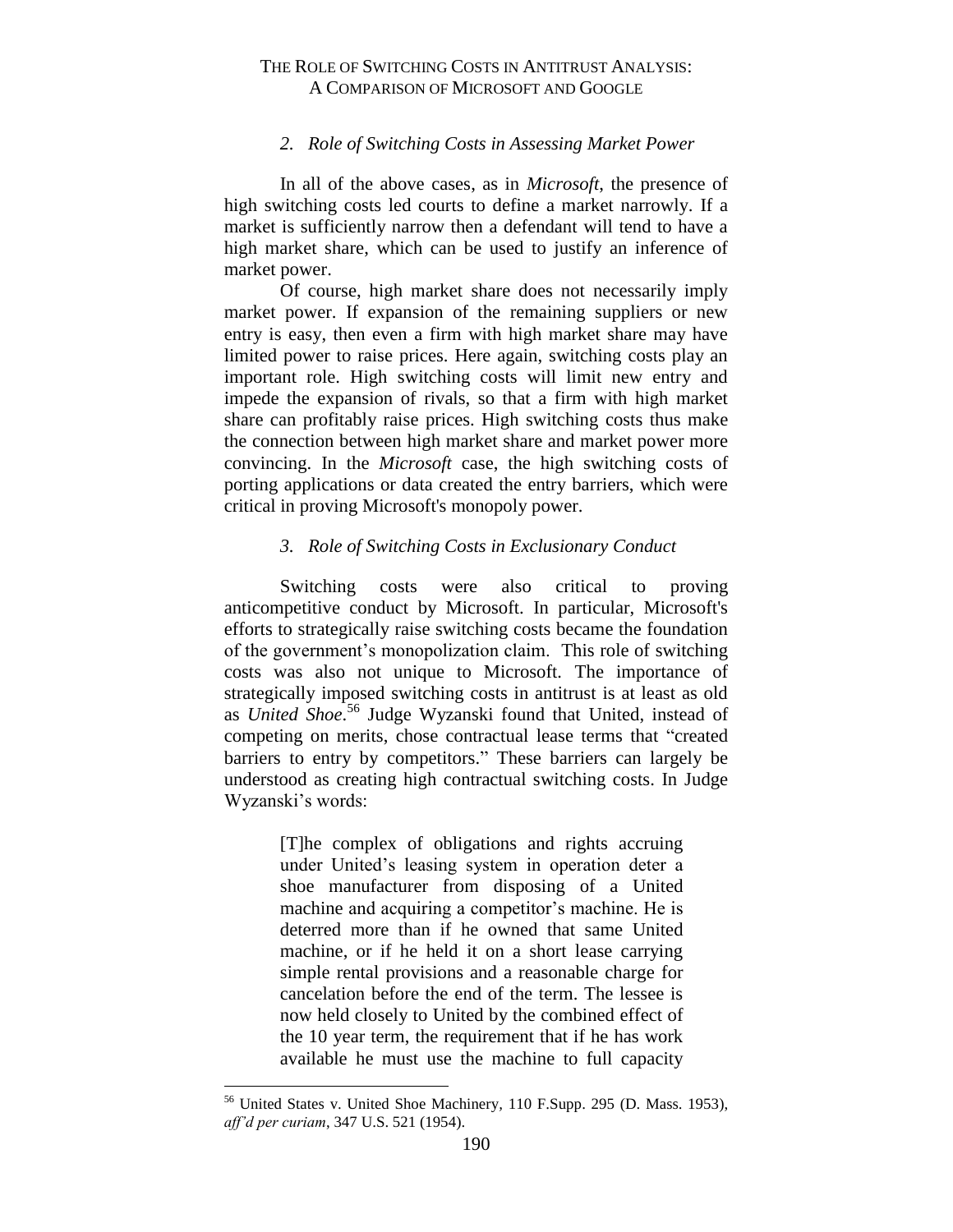#### *2. Role of Switching Costs in Assessing Market Power*

<span id="page-21-0"></span>In all of the above cases, as in *Microsoft*, the presence of high switching costs led courts to define a market narrowly. If a market is sufficiently narrow then a defendant will tend to have a high market share, which can be used to justify an inference of market power.

Of course, high market share does not necessarily imply market power. If expansion of the remaining suppliers or new entry is easy, then even a firm with high market share may have limited power to raise prices. Here again, switching costs play an important role. High switching costs will limit new entry and impede the expansion of rivals, so that a firm with high market share can profitably raise prices. High switching costs thus make the connection between high market share and market power more convincing. In the *Microsoft* case, the high switching costs of porting applications or data created the entry barriers, which were critical in proving Microsoft's monopoly power.

#### *3. Role of Switching Costs in Exclusionary Conduct*

<span id="page-21-1"></span>Switching costs were also critical to proving anticompetitive conduct by Microsoft. In particular, Microsoft's efforts to strategically raise switching costs became the foundation of the government's monopolization claim. This role of switching costs was also not unique to Microsoft*.* The importance of strategically imposed switching costs in antitrust is at least as old as *United Shoe*. <sup>56</sup> Judge Wyzanski found that United, instead of competing on merits, chose contractual lease terms that "created barriers to entry by competitors." These barriers can largely be understood as creating high contractual switching costs. In Judge Wyzanski's words:

> [T]he complex of obligations and rights accruing under United's leasing system in operation deter a shoe manufacturer from disposing of a United machine and acquiring a competitor's machine. He is deterred more than if he owned that same United machine, or if he held it on a short lease carrying simple rental provisions and a reasonable charge for cancelation before the end of the term. The lessee is now held closely to United by the combined effect of the 10 year term, the requirement that if he has work available he must use the machine to full capacity

<sup>56</sup> United States v. United Shoe Machinery*,* 110 F.Supp. 295 (D. Mass. 1953), *aff'd per curiam*, 347 U.S. 521 (1954).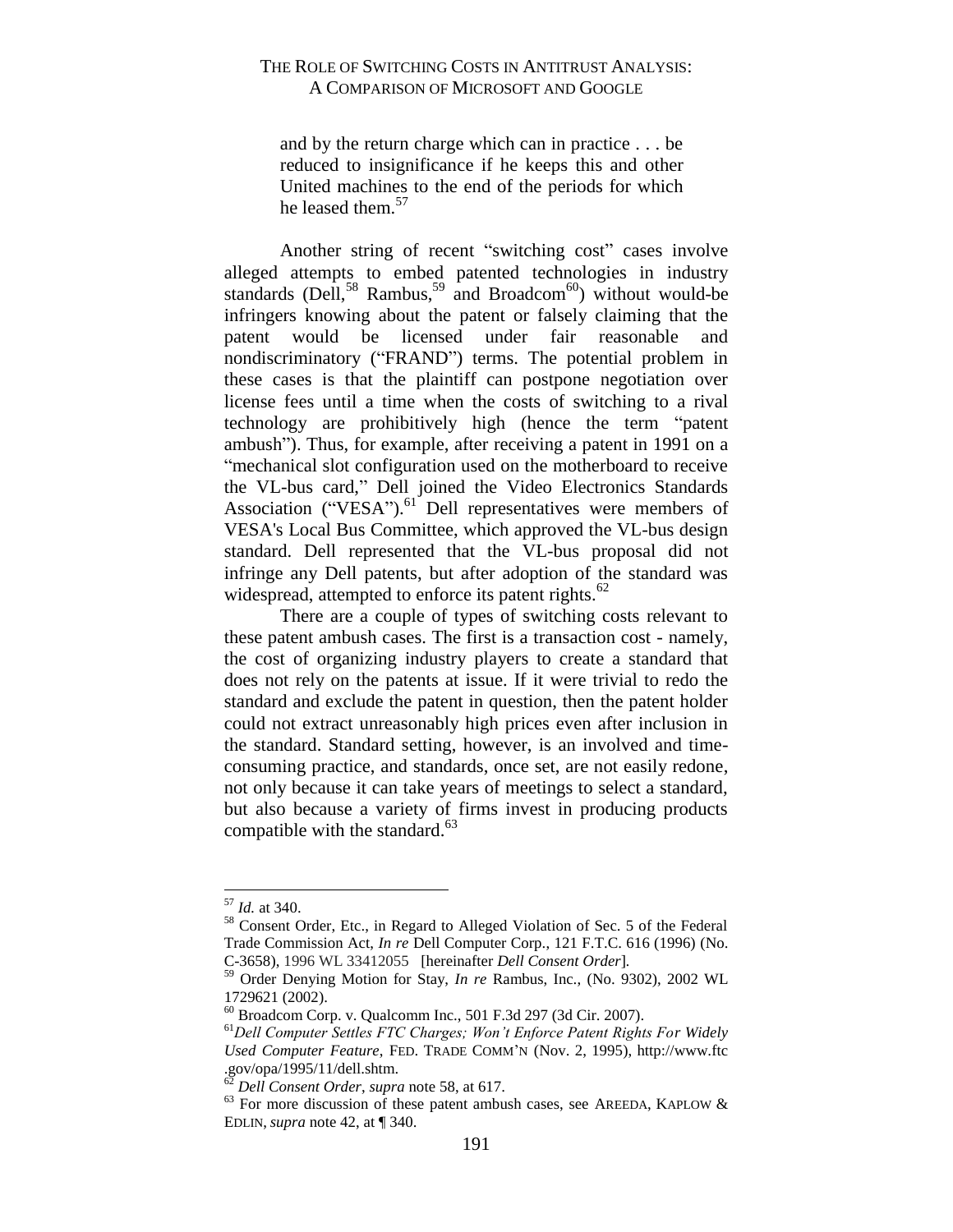and by the return charge which can in practice . . . be reduced to insignificance if he keeps this and other United machines to the end of the periods for which he leased them.<sup>57</sup>

Another string of recent "switching cost" cases involve alleged attempts to embed patented technologies in industry standards (Dell,<sup>58</sup> Rambus,<sup>59</sup> and Broadcom<sup>60</sup>) without would-be infringers knowing about the patent or falsely claiming that the patent would be licensed under fair reasonable and nondiscriminatory ("FRAND") terms. The potential problem in these cases is that the plaintiff can postpone negotiation over license fees until a time when the costs of switching to a rival technology are prohibitively high (hence the term "patent ambush"). Thus, for example, after receiving a patent in 1991 on a "mechanical slot configuration used on the motherboard to receive the VL-bus card," Dell joined the Video Electronics Standards Association ("VESA").<sup>61</sup> Dell representatives were members of VESA's Local Bus Committee, which approved the VL-bus design standard. Dell represented that the VL-bus proposal did not infringe any Dell patents, but after adoption of the standard was widespread, attempted to enforce its patent rights.<sup>62</sup>

There are a couple of types of switching costs relevant to these patent ambush cases. The first is a transaction cost - namely, the cost of organizing industry players to create a standard that does not rely on the patents at issue. If it were trivial to redo the standard and exclude the patent in question, then the patent holder could not extract unreasonably high prices even after inclusion in the standard. Standard setting, however, is an involved and timeconsuming practice, and standards, once set, are not easily redone, not only because it can take years of meetings to select a standard, but also because a variety of firms invest in producing products compatible with the standard. $63$ 

<sup>57</sup> *Id.* at 340.

<sup>&</sup>lt;sup>58</sup> Consent Order, Etc., in Regard to Alleged Violation of Sec. 5 of the Federal Trade Commission Act, *In re* Dell Computer Corp., 121 F.T.C. 616 (1996) (No. C-3658), 1996 WL 33412055 [hereinafter *Dell Consent Order*]*.*

<sup>59</sup> Order Denying Motion for Stay, *In re* Rambus, Inc., (No. 9302), 2002 WL 1729621 (2002).

<sup>60</sup> Broadcom Corp. v. Qualcomm Inc., 501 F.3d 297 (3d Cir. 2007).

<sup>61</sup>*Dell Computer Settles FTC Charges; Won't Enforce Patent Rights For Widely Used Computer Feature*, FED. TRADE COMM'N (Nov. 2, 1995), http://www.ftc .gov/opa/1995/11/dell.shtm.

<sup>62</sup> *Dell Consent Order*, *supra* note 58, at 617.

 $63$  For more discussion of these patent ambush cases, see AREEDA, KAPLOW & EDLIN, *supra* note 42, at ¶ 340.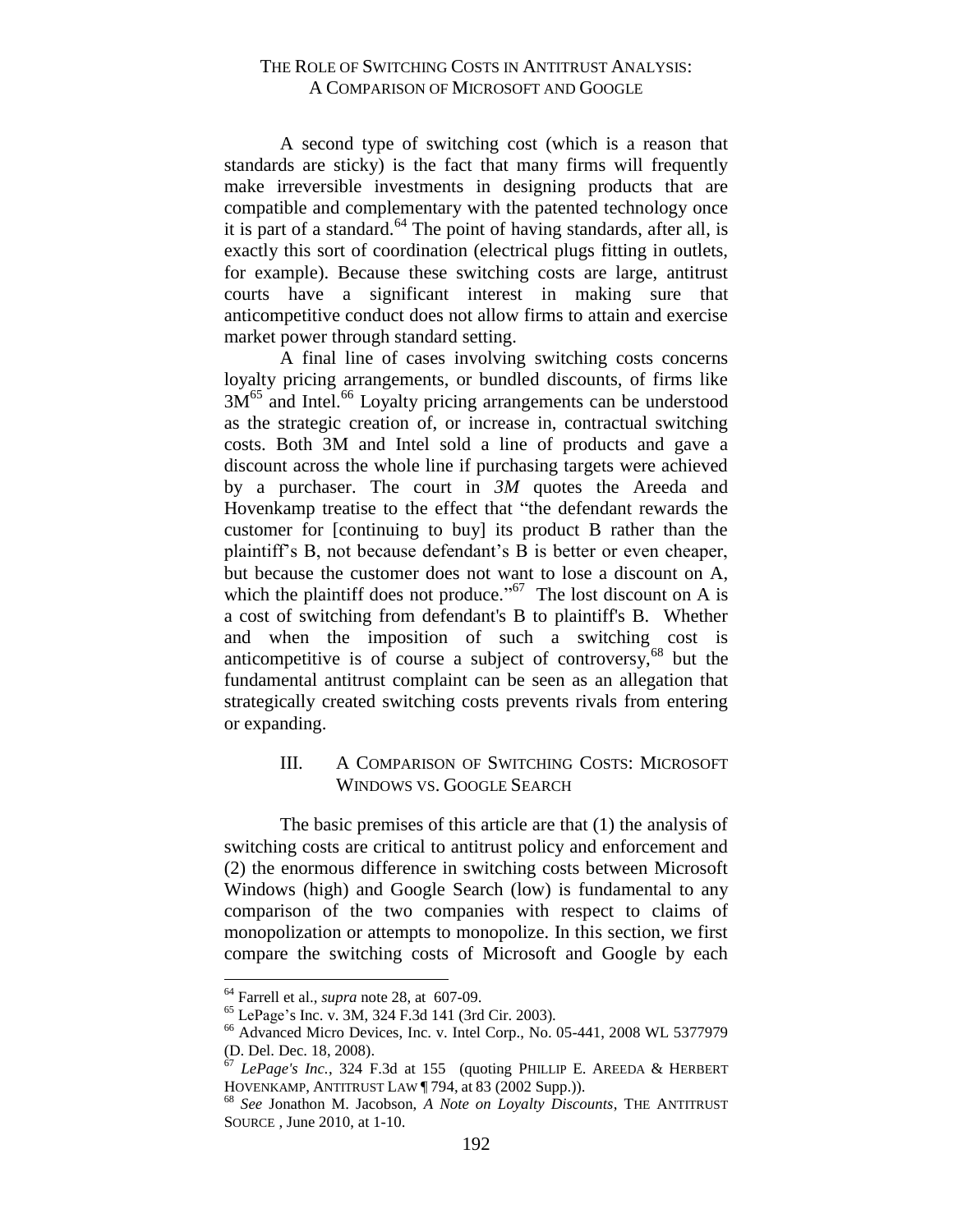A second type of switching cost (which is a reason that standards are sticky) is the fact that many firms will frequently make irreversible investments in designing products that are compatible and complementary with the patented technology once it is part of a standard.<sup>64</sup> The point of having standards, after all, is exactly this sort of coordination (electrical plugs fitting in outlets, for example). Because these switching costs are large, antitrust courts have a significant interest in making sure that anticompetitive conduct does not allow firms to attain and exercise market power through standard setting.

A final line of cases involving switching costs concerns loyalty pricing arrangements, or bundled discounts, of firms like  $3M<sup>65</sup>$  and Intel.<sup>66</sup> Loyalty pricing arrangements can be understood as the strategic creation of, or increase in, contractual switching costs. Both 3M and Intel sold a line of products and gave a discount across the whole line if purchasing targets were achieved by a purchaser. The court in *3M* quotes the Areeda and Hovenkamp treatise to the effect that "the defendant rewards the customer for [continuing to buy] its product B rather than the plaintiff's B, not because defendant's B is better or even cheaper, but because the customer does not want to lose a discount on A, which the plaintiff does not produce."<sup>67</sup> The lost discount on A is a cost of switching from defendant's B to plaintiff's B. Whether and when the imposition of such a switching cost is anticompetitive is of course a subject of controversy,  $68$  but the fundamental antitrust complaint can be seen as an allegation that strategically created switching costs prevents rivals from entering or expanding.

#### <span id="page-23-0"></span>III. A COMPARISON OF SWITCHING COSTS: MICROSOFT WINDOWS VS. GOOGLE SEARCH

The basic premises of this article are that (1) the analysis of switching costs are critical to antitrust policy and enforcement and (2) the enormous difference in switching costs between Microsoft Windows (high) and Google Search (low) is fundamental to any comparison of the two companies with respect to claims of monopolization or attempts to monopolize. In this section, we first compare the switching costs of Microsoft and Google by each

<sup>64</sup> Farrell et al., *supra* note 28, at 607-09.

<sup>65</sup> LePage's Inc. v. 3M, 324 F.3d 141 (3rd Cir. 2003).

<sup>&</sup>lt;sup>66</sup> Advanced Micro Devices, Inc. v. Intel Corp., No. 05-441, 2008 WL 5377979 (D. Del. Dec. 18, 2008).

<sup>67</sup> *LePage's Inc.*, 324 F.3d at 155 (quoting PHILLIP E. AREEDA & HERBERT HOVENKAMP, ANTITRUST LAW ¶ 794, at 83 (2002 Supp.)).

<sup>68</sup> *See* Jonathon M. Jacobson, *A Note on Loyalty Discounts*, THE ANTITRUST SOURCE , June 2010, at 1-10.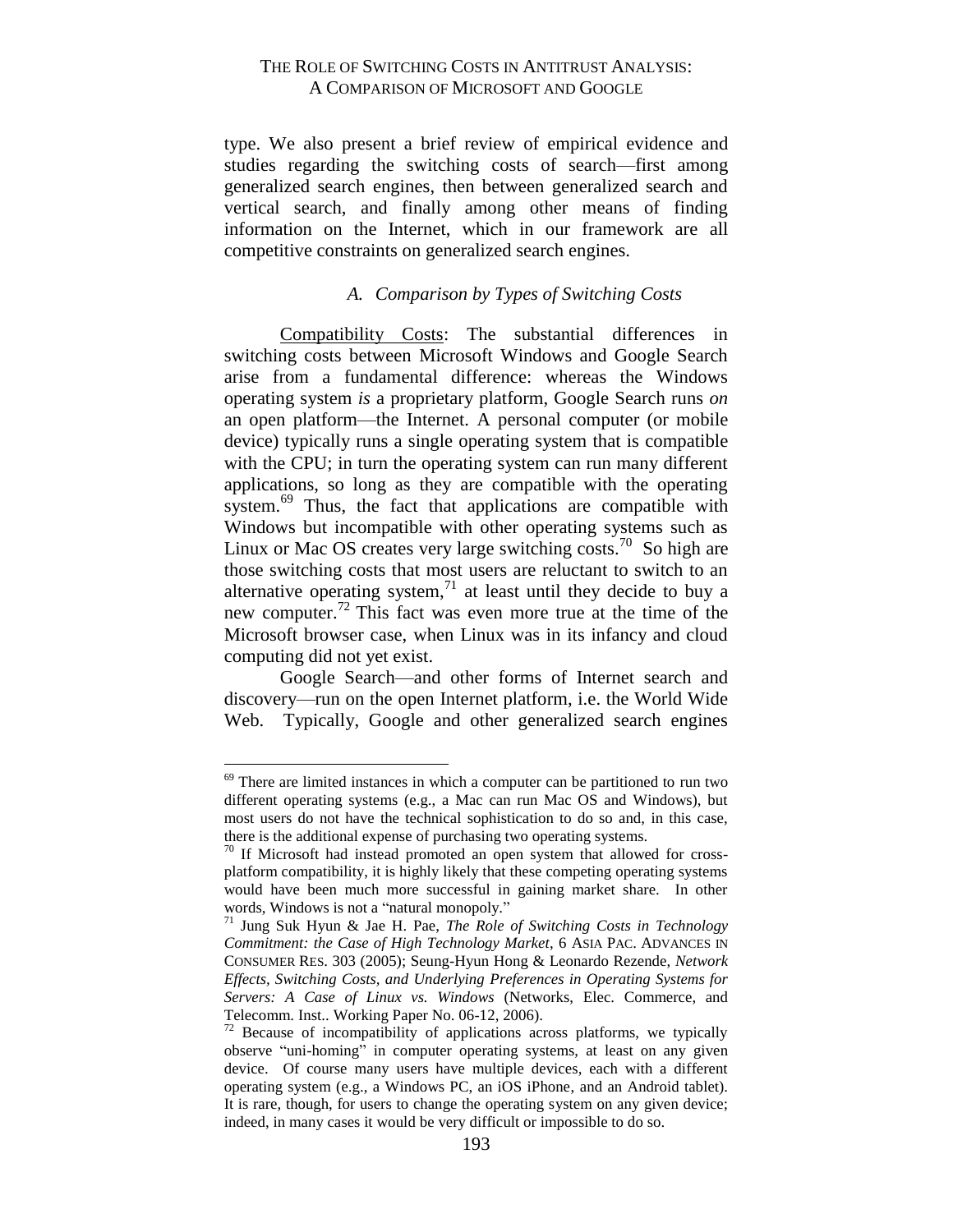type. We also present a brief review of empirical evidence and studies regarding the switching costs of search—first among generalized search engines, then between generalized search and vertical search, and finally among other means of finding information on the Internet, which in our framework are all competitive constraints on generalized search engines.

### *A. Comparison by Types of Switching Costs*

<span id="page-24-0"></span>Compatibility Costs: The substantial differences in switching costs between Microsoft Windows and Google Search arise from a fundamental difference: whereas the Windows operating system *is* a proprietary platform, Google Search runs *on* an open platform—the Internet. A personal computer (or mobile device) typically runs a single operating system that is compatible with the CPU; in turn the operating system can run many different applications, so long as they are compatible with the operating system.<sup>69</sup> Thus, the fact that applications are compatible with Windows but incompatible with other operating systems such as Linux or Mac OS creates very large switching costs.<sup>70</sup> So high are those switching costs that most users are reluctant to switch to an alternative operating system, $<sup>71</sup>$  at least until they decide to buy a</sup> new computer.<sup>72</sup> This fact was even more true at the time of the Microsoft browser case, when Linux was in its infancy and cloud computing did not yet exist.

Google Search—and other forms of Internet search and discovery—run on the open Internet platform, i.e. the World Wide Web. Typically, Google and other generalized search engines

<sup>&</sup>lt;sup>69</sup> There are limited instances in which a computer can be partitioned to run two different operating systems (e.g., a Mac can run Mac OS and Windows), but most users do not have the technical sophistication to do so and, in this case, there is the additional expense of purchasing two operating systems.

 $70$  If Microsoft had instead promoted an open system that allowed for crossplatform compatibility, it is highly likely that these competing operating systems would have been much more successful in gaining market share. In other words, Windows is not a "natural monopoly."

<sup>71</sup> Jung Suk Hyun & Jae H. Pae, *The Role of Switching Costs in Technology Commitment: the Case of High Technology Market*, 6 ASIA PAC. ADVANCES IN CONSUMER RES. 303 (2005); Seung-Hyun Hong & Leonardo Rezende, *Network Effects, Switching Costs, and Underlying Preferences in Operating Systems for Servers: A Case of Linux vs. Windows* (Networks, Elec. Commerce, and Telecomm. Inst.. Working Paper No. 06-12, 2006).

 $72$  Because of incompatibility of applications across platforms, we typically observe "uni-homing" in computer operating systems, at least on any given device. Of course many users have multiple devices, each with a different operating system (e.g., a Windows PC, an iOS iPhone, and an Android tablet). It is rare, though, for users to change the operating system on any given device; indeed, in many cases it would be very difficult or impossible to do so.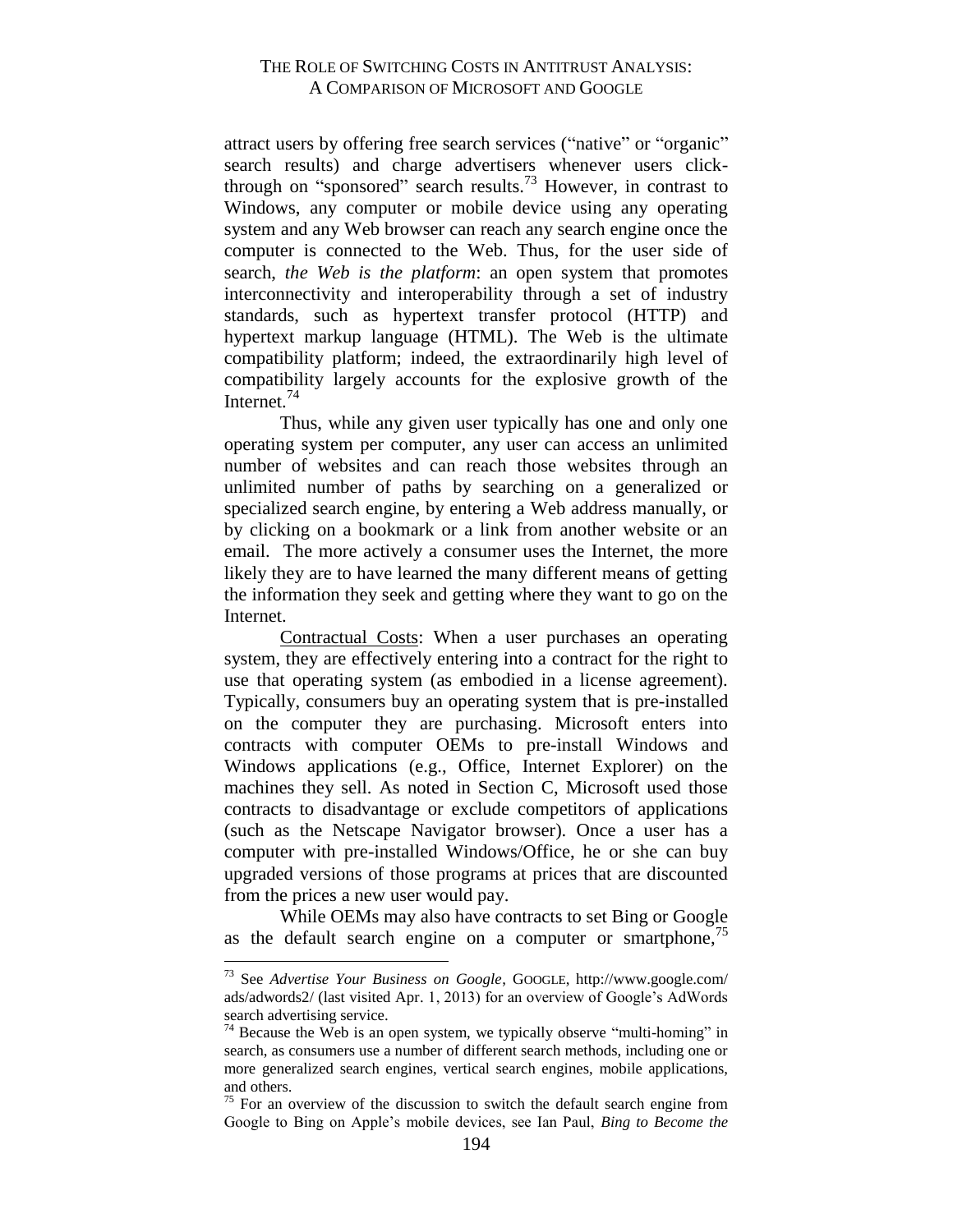attract users by offering free search services ("native" or "organic" search results) and charge advertisers whenever users clickthrough on "sponsored" search results.<sup>73</sup> However, in contrast to Windows, any computer or mobile device using any operating system and any Web browser can reach any search engine once the computer is connected to the Web. Thus, for the user side of search, *the Web is the platform*: an open system that promotes interconnectivity and interoperability through a set of industry standards, such as hypertext transfer protocol (HTTP) and hypertext markup language (HTML). The Web is the ultimate compatibility platform; indeed, the extraordinarily high level of compatibility largely accounts for the explosive growth of the Internet. $^{74}$ 

Thus, while any given user typically has one and only one operating system per computer, any user can access an unlimited number of websites and can reach those websites through an unlimited number of paths by searching on a generalized or specialized search engine, by entering a Web address manually, or by clicking on a bookmark or a link from another website or an email. The more actively a consumer uses the Internet, the more likely they are to have learned the many different means of getting the information they seek and getting where they want to go on the Internet.

Contractual Costs: When a user purchases an operating system, they are effectively entering into a contract for the right to use that operating system (as embodied in a license agreement). Typically, consumers buy an operating system that is pre-installed on the computer they are purchasing. Microsoft enters into contracts with computer OEMs to pre-install Windows and Windows applications (e.g., Office, Internet Explorer) on the machines they sell. As noted in Section C, Microsoft used those contracts to disadvantage or exclude competitors of applications (such as the Netscape Navigator browser). Once a user has a computer with pre-installed Windows/Office, he or she can buy upgraded versions of those programs at prices that are discounted from the prices a new user would pay.

While OEMs may also have contracts to set Bing or Google as the default search engine on a computer or smartphone, $\frac{75}{2}$ 

<sup>73</sup> See *Advertise Your Business on Google*, GOOGLE, http://www.google.com/ ads/adwords2/ (last visited Apr. 1, 2013) for an overview of Google's AdWords search advertising service.

 $74$  Because the Web is an open system, we typically observe "multi-homing" in search, as consumers use a number of different search methods, including one or more generalized search engines, vertical search engines, mobile applications, and others.

 $75$  For an overview of the discussion to switch the default search engine from Google to Bing on Apple's mobile devices, see Ian Paul, *Bing to Become the*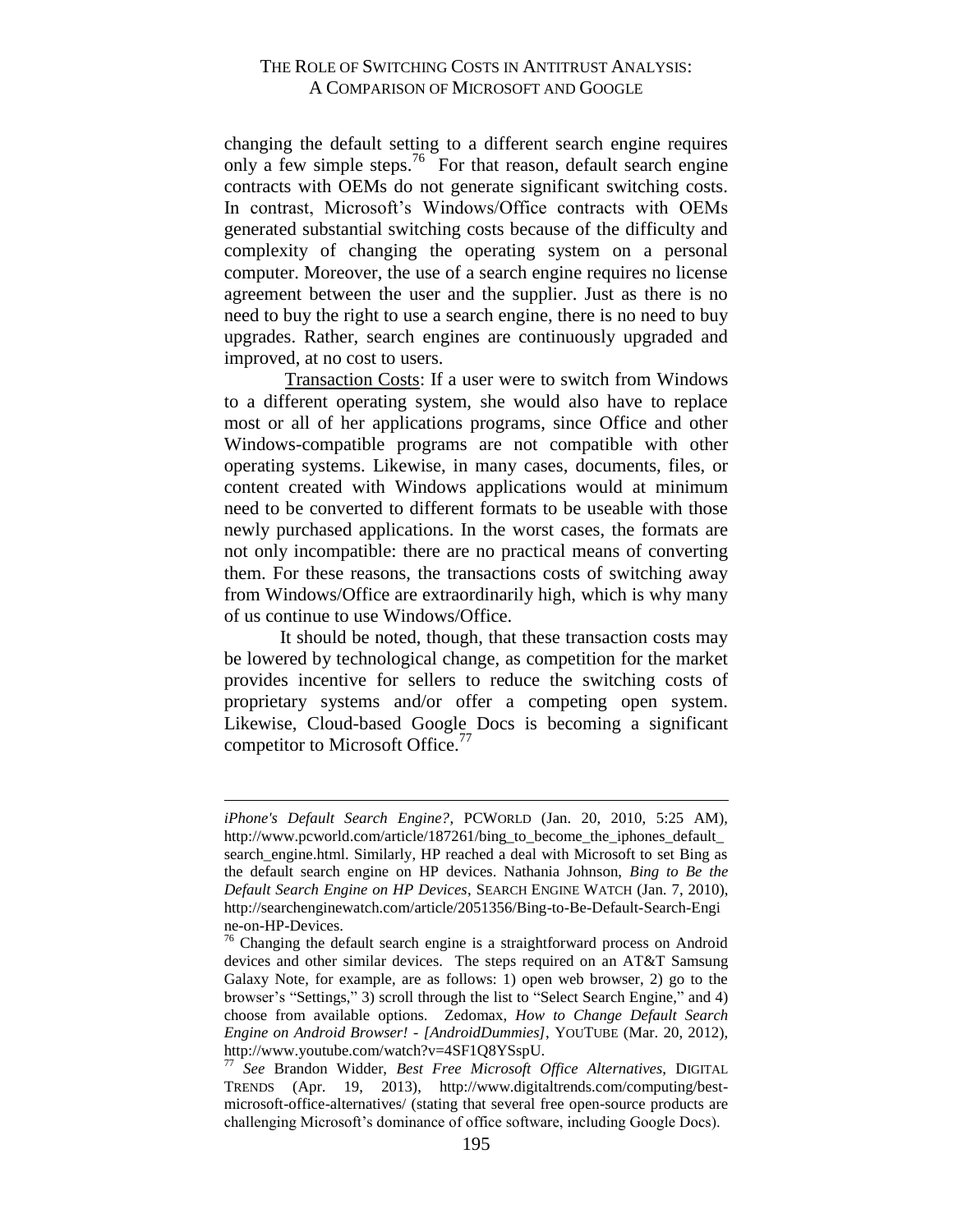changing the default setting to a different search engine requires only a few simple steps.<sup>76</sup> For that reason, default search engine contracts with OEMs do not generate significant switching costs. In contrast, Microsoft's Windows/Office contracts with OEMs generated substantial switching costs because of the difficulty and complexity of changing the operating system on a personal computer. Moreover, the use of a search engine requires no license agreement between the user and the supplier. Just as there is no need to buy the right to use a search engine, there is no need to buy upgrades. Rather, search engines are continuously upgraded and improved, at no cost to users.

Transaction Costs: If a user were to switch from Windows to a different operating system, she would also have to replace most or all of her applications programs, since Office and other Windows-compatible programs are not compatible with other operating systems. Likewise, in many cases, documents, files, or content created with Windows applications would at minimum need to be converted to different formats to be useable with those newly purchased applications. In the worst cases, the formats are not only incompatible: there are no practical means of converting them. For these reasons, the transactions costs of switching away from Windows/Office are extraordinarily high, which is why many of us continue to use Windows/Office.

It should be noted, though, that these transaction costs may be lowered by technological change, as competition for the market provides incentive for sellers to reduce the switching costs of proprietary systems and/or offer a competing open system. Likewise, Cloud-based Google Docs is becoming a significant competitor to Microsoft Office.<sup>77</sup>

*iPhone's Default Search Engine?*, PCWORLD (Jan. 20, 2010, 5:25 AM), http://www.pcworld.com/article/187261/bing\_to\_become\_the\_iphones\_default\_ search\_engine.html. Similarly, HP reached a deal with Microsoft to set Bing as the default search engine on HP devices. Nathania Johnson, *Bing to Be the Default Search Engine on HP Devices*, SEARCH ENGINE WATCH (Jan. 7, 2010), http://searchenginewatch.com/article/2051356/Bing-to-Be-Default-Search-Engi ne-on-HP-Devices.

 $76$  Changing the default search engine is a straightforward process on Android devices and other similar devices. The steps required on an AT&T Samsung Galaxy Note, for example, are as follows: 1) open web browser, 2) go to the browser's "Settings," 3) scroll through the list to "Select Search Engine," and 4) choose from available options. Zedomax, *How to Change Default Search Engine on Android Browser! - [AndroidDummies]*, YOUTUBE (Mar. 20, 2012), http://www.youtube.com/watch?v=4SF1Q8YSspU.

<sup>77</sup> *See* Brandon Widder, *Best Free Microsoft Office Alternatives*, DIGITAL TRENDS (Apr. 19, 2013), http://www.digitaltrends.com/computing/bestmicrosoft-office-alternatives/ (stating that several free open-source products are challenging Microsoft's dominance of office software, including Google Docs).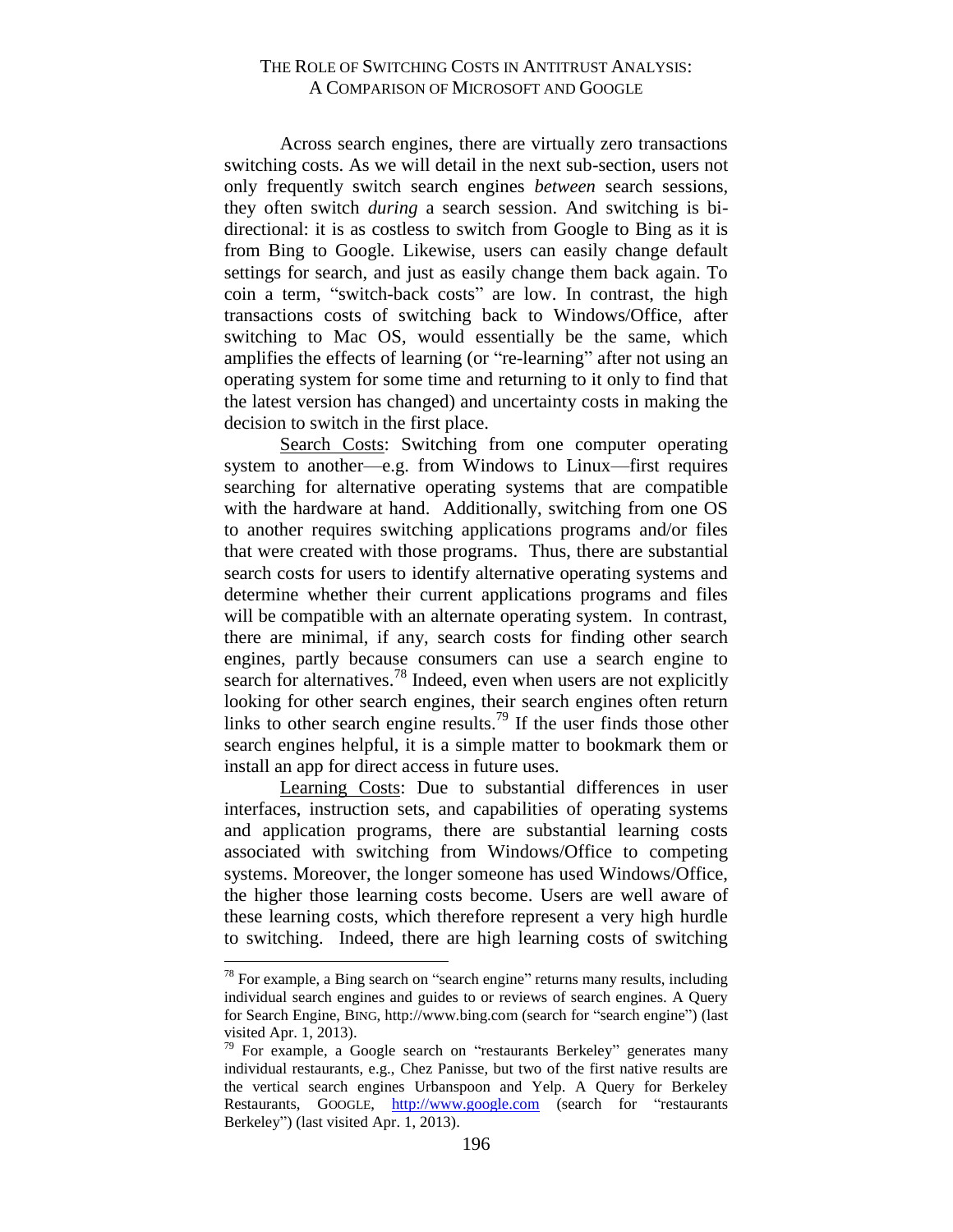Across search engines, there are virtually zero transactions switching costs. As we will detail in the next sub-section, users not only frequently switch search engines *between* search sessions, they often switch *during* a search session. And switching is bidirectional: it is as costless to switch from Google to Bing as it is from Bing to Google. Likewise, users can easily change default settings for search, and just as easily change them back again. To coin a term, "switch-back costs" are low. In contrast, the high transactions costs of switching back to Windows/Office, after switching to Mac OS, would essentially be the same, which amplifies the effects of learning (or "re-learning" after not using an operating system for some time and returning to it only to find that the latest version has changed) and uncertainty costs in making the decision to switch in the first place.

Search Costs: Switching from one computer operating system to another—e.g. from Windows to Linux—first requires searching for alternative operating systems that are compatible with the hardware at hand. Additionally, switching from one OS to another requires switching applications programs and/or files that were created with those programs. Thus, there are substantial search costs for users to identify alternative operating systems and determine whether their current applications programs and files will be compatible with an alternate operating system. In contrast, there are minimal, if any, search costs for finding other search engines, partly because consumers can use a search engine to search for alternatives.<sup>78</sup> Indeed, even when users are not explicitly looking for other search engines, their search engines often return links to other search engine results.<sup>79</sup> If the user finds those other search engines helpful, it is a simple matter to bookmark them or install an app for direct access in future uses.

Learning Costs: Due to substantial differences in user interfaces, instruction sets, and capabilities of operating systems and application programs, there are substantial learning costs associated with switching from Windows/Office to competing systems. Moreover, the longer someone has used Windows/Office, the higher those learning costs become. Users are well aware of these learning costs, which therefore represent a very high hurdle to switching. Indeed, there are high learning costs of switching

 $78$  For example, a Bing search on "search engine" returns many results, including individual search engines and guides to or reviews of search engines. A Query for Search Engine, BING, http://www.bing.com (search for "search engine") (last visited Apr. 1, 2013).

 $79$  For example, a Google search on "restaurants Berkeley" generates many individual restaurants, e.g., Chez Panisse, but two of the first native results are the vertical search engines Urbanspoon and Yelp. A Query for Berkeley Restaurants, GOOGLE, [http://www.google.com](http://www.google.com/) (search for "restaurants Berkeley") (last visited Apr. 1, 2013).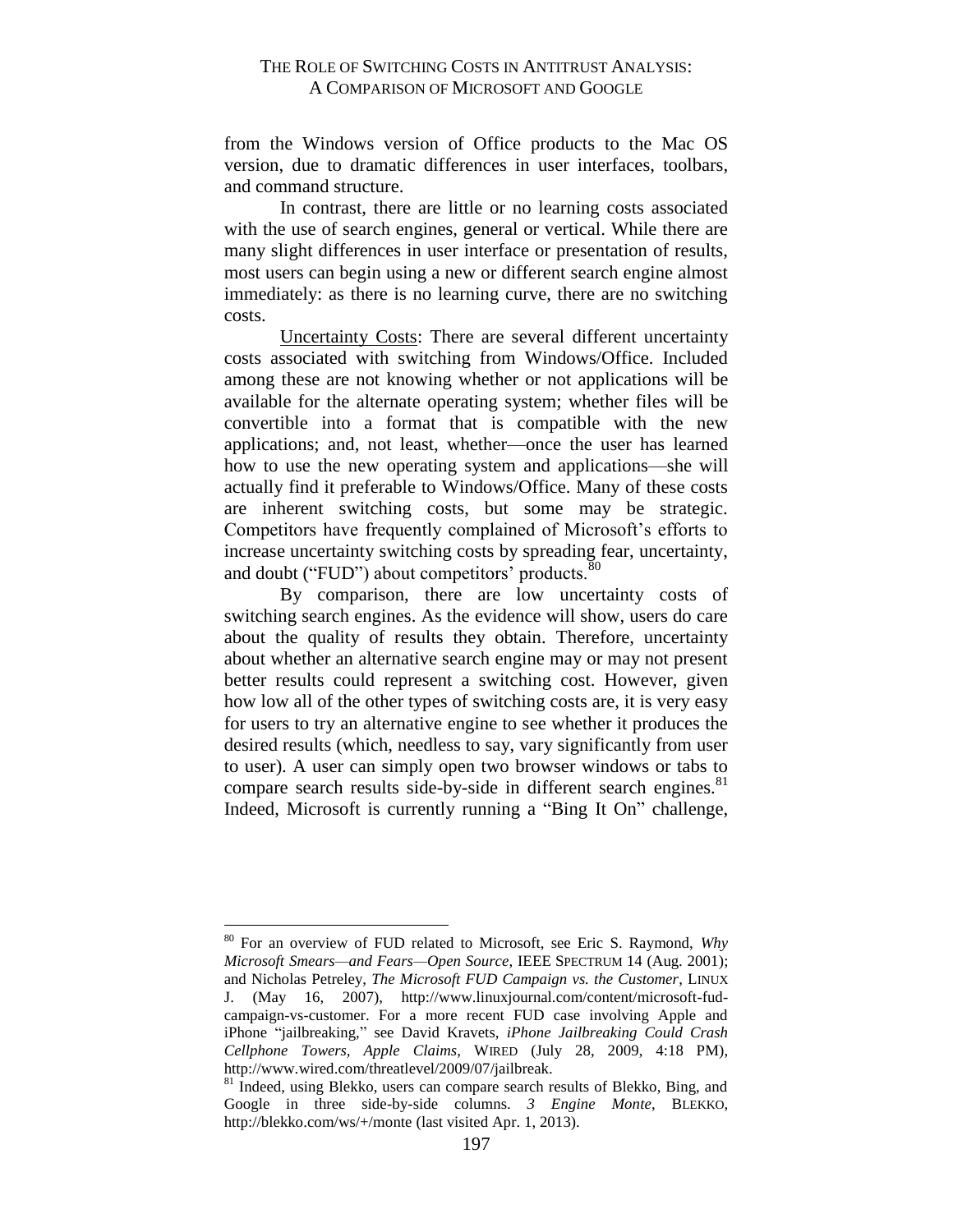from the Windows version of Office products to the Mac OS version, due to dramatic differences in user interfaces, toolbars, and command structure.

In contrast, there are little or no learning costs associated with the use of search engines, general or vertical. While there are many slight differences in user interface or presentation of results, most users can begin using a new or different search engine almost immediately: as there is no learning curve, there are no switching costs.

Uncertainty Costs: There are several different uncertainty costs associated with switching from Windows/Office. Included among these are not knowing whether or not applications will be available for the alternate operating system; whether files will be convertible into a format that is compatible with the new applications; and, not least, whether—once the user has learned how to use the new operating system and applications—she will actually find it preferable to Windows/Office. Many of these costs are inherent switching costs, but some may be strategic. Competitors have frequently complained of Microsoft's efforts to increase uncertainty switching costs by spreading fear, uncertainty, and doubt ("FUD") about competitors' products.<sup>80</sup>

By comparison, there are low uncertainty costs of switching search engines. As the evidence will show, users do care about the quality of results they obtain. Therefore, uncertainty about whether an alternative search engine may or may not present better results could represent a switching cost. However, given how low all of the other types of switching costs are, it is very easy for users to try an alternative engine to see whether it produces the desired results (which, needless to say, vary significantly from user to user). A user can simply open two browser windows or tabs to compare search results side-by-side in different search engines.<sup>81</sup> Indeed, Microsoft is currently running a "Bing It On" challenge,

<sup>80</sup> For an overview of FUD related to Microsoft, see Eric S. Raymond, *Why Microsoft Smears—and Fears—Open Source*, IEEE SPECTRUM 14 (Aug. 2001); and Nicholas Petreley, *The Microsoft FUD Campaign vs. the Customer*, LINUX J. (May 16, 2007), http://www.linuxjournal.com/content/microsoft-fudcampaign-vs-customer. For a more recent FUD case involving Apple and iPhone "jailbreaking," see David Kravets, *iPhone Jailbreaking Could Crash Cellphone Towers, Apple Claims*, WIRED (July 28, 2009, 4:18 PM), http://www.wired.com/threatlevel/2009/07/jailbreak.

<sup>&</sup>lt;sup>81</sup> Indeed, using Blekko, users can compare search results of Blekko, Bing, and Google in three side-by-side columns. *3 Engine Monte*, BLEKKO, http://blekko.com/ws/+/monte (last visited Apr. 1, 2013).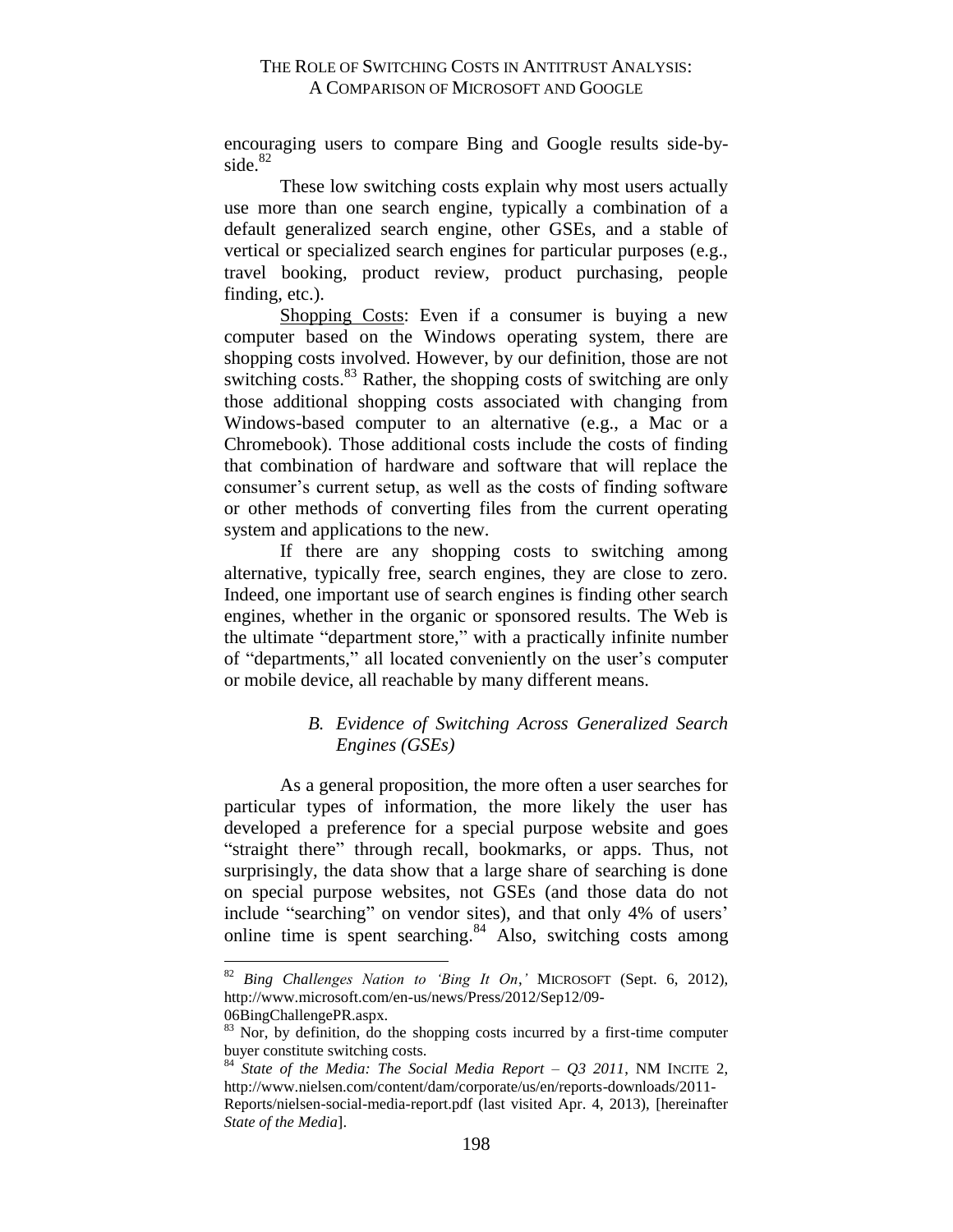encouraging users to compare Bing and Google results side-byside.<sup>82</sup>

These low switching costs explain why most users actually use more than one search engine, typically a combination of a default generalized search engine, other GSEs, and a stable of vertical or specialized search engines for particular purposes (e.g., travel booking, product review, product purchasing, people finding, etc.).

Shopping Costs: Even if a consumer is buying a new computer based on the Windows operating system, there are shopping costs involved. However, by our definition, those are not switching costs.<sup>83</sup> Rather, the shopping costs of switching are only those additional shopping costs associated with changing from Windows-based computer to an alternative (e.g., a Mac or a Chromebook). Those additional costs include the costs of finding that combination of hardware and software that will replace the consumer's current setup, as well as the costs of finding software or other methods of converting files from the current operating system and applications to the new.

If there are any shopping costs to switching among alternative, typically free, search engines, they are close to zero. Indeed, one important use of search engines is finding other search engines, whether in the organic or sponsored results. The Web is the ultimate "department store," with a practically infinite number of "departments," all located conveniently on the user's computer or mobile device, all reachable by many different means.

# *B. Evidence of Switching Across Generalized Search Engines (GSEs)*

<span id="page-29-0"></span>As a general proposition, the more often a user searches for particular types of information, the more likely the user has developed a preference for a special purpose website and goes "straight there" through recall, bookmarks, or apps. Thus, not surprisingly, the data show that a large share of searching is done on special purpose websites, not GSEs (and those data do not include "searching" on vendor sites), and that only 4% of users' online time is spent searching. $84$  Also, switching costs among

<sup>82</sup> *Bing Challenges Nation to 'Bing It On*,*'* MICROSOFT (Sept. 6, 2012), http://www.microsoft.com/en-us/news/Press/2012/Sep12/09- 06BingChallengePR.aspx.

<sup>&</sup>lt;sup>83</sup> Nor, by definition, do the shopping costs incurred by a first-time computer buyer constitute switching costs.

<sup>84</sup> *State of the Media: The Social Media Report – Q3 2011*, NM INCITE 2, http://www.nielsen.com/content/dam/corporate/us/en/reports-downloads/2011-

Reports/nielsen-social-media-report.pdf (last visited Apr. 4, 2013), [hereinafter *State of the Media*].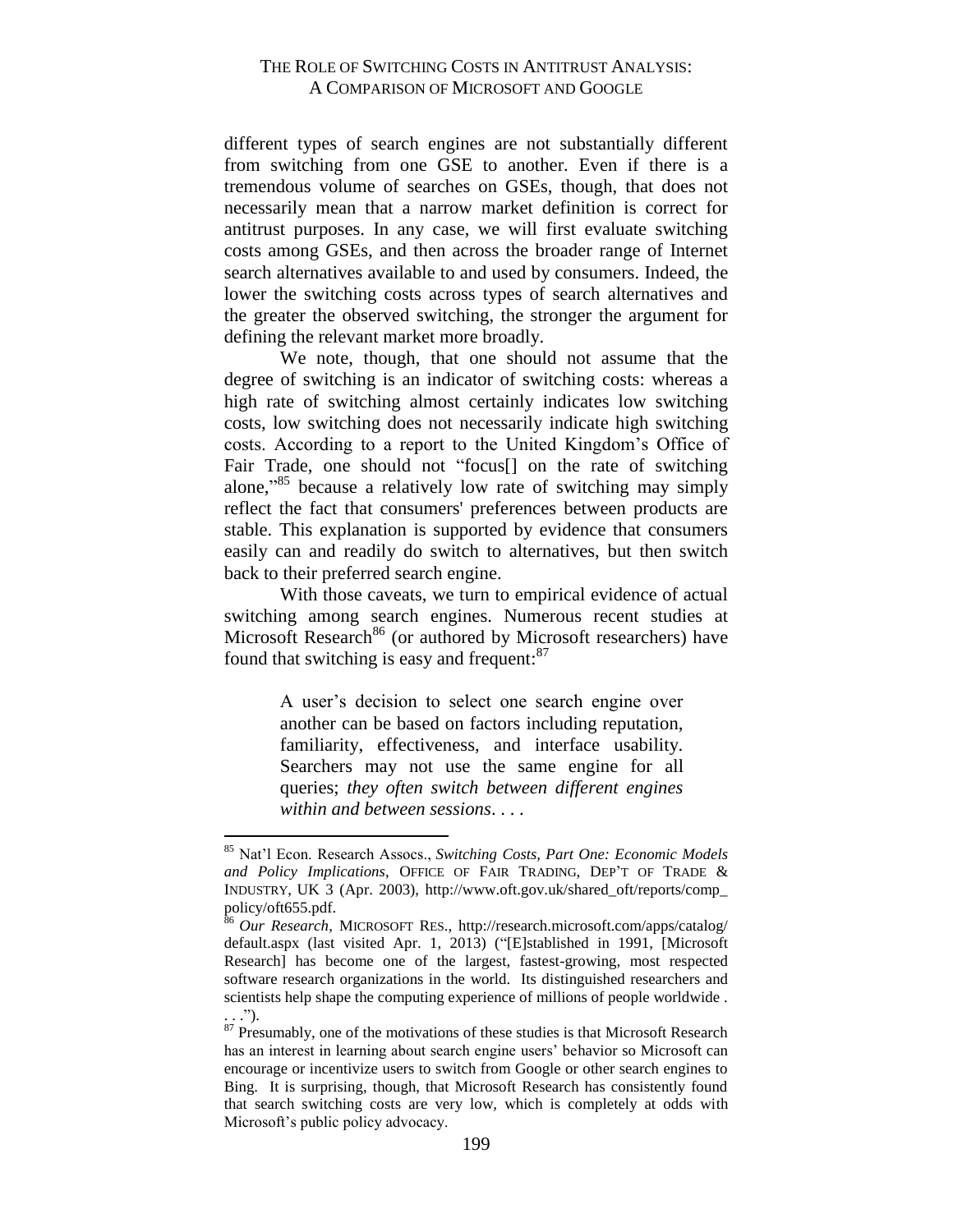different types of search engines are not substantially different from switching from one GSE to another. Even if there is a tremendous volume of searches on GSEs, though, that does not necessarily mean that a narrow market definition is correct for antitrust purposes. In any case, we will first evaluate switching costs among GSEs, and then across the broader range of Internet search alternatives available to and used by consumers. Indeed, the lower the switching costs across types of search alternatives and the greater the observed switching, the stronger the argument for defining the relevant market more broadly.

We note, though, that one should not assume that the degree of switching is an indicator of switching costs: whereas a high rate of switching almost certainly indicates low switching costs, low switching does not necessarily indicate high switching costs. According to a report to the United Kingdom's Office of Fair Trade, one should not "focus<sup>[]</sup> on the rate of switching alone,"<sup>85</sup> because a relatively low rate of switching may simply reflect the fact that consumers' preferences between products are stable. This explanation is supported by evidence that consumers easily can and readily do switch to alternatives, but then switch back to their preferred search engine.

With those caveats, we turn to empirical evidence of actual switching among search engines. Numerous recent studies at Microsoft Research<sup>86</sup> (or authored by Microsoft researchers) have found that switching is easy and frequent:<sup>87</sup>

> A user's decision to select one search engine over another can be based on factors including reputation, familiarity, effectiveness, and interface usability. Searchers may not use the same engine for all queries; *they often switch between different engines within and between sessions*. . . .

<sup>85</sup> Nat'l Econ. Research Assocs., *Switching Costs, Part One: Economic Models and Policy Implications*, OFFICE OF FAIR TRADING, DEP'T OF TRADE & INDUSTRY, UK 3 (Apr. 2003), http://www.oft.gov.uk/shared\_oft/reports/comp\_ policy/oft655.pdf.

<sup>86</sup> *Our Research*, MICROSOFT RES., http://research.microsoft.com/apps/catalog/ default.aspx (last visited Apr. 1, 2013) ("[E]stablished in 1991, [Microsoft Research] has become one of the largest, fastest-growing, most respected software research organizations in the world. Its distinguished researchers and scientists help shape the computing experience of millions of people worldwide .  $\ldots$ ").

 $87$  Presumably, one of the motivations of these studies is that Microsoft Research has an interest in learning about search engine users' behavior so Microsoft can encourage or incentivize users to switch from Google or other search engines to Bing. It is surprising, though, that Microsoft Research has consistently found that search switching costs are very low, which is completely at odds with Microsoft's public policy advocacy.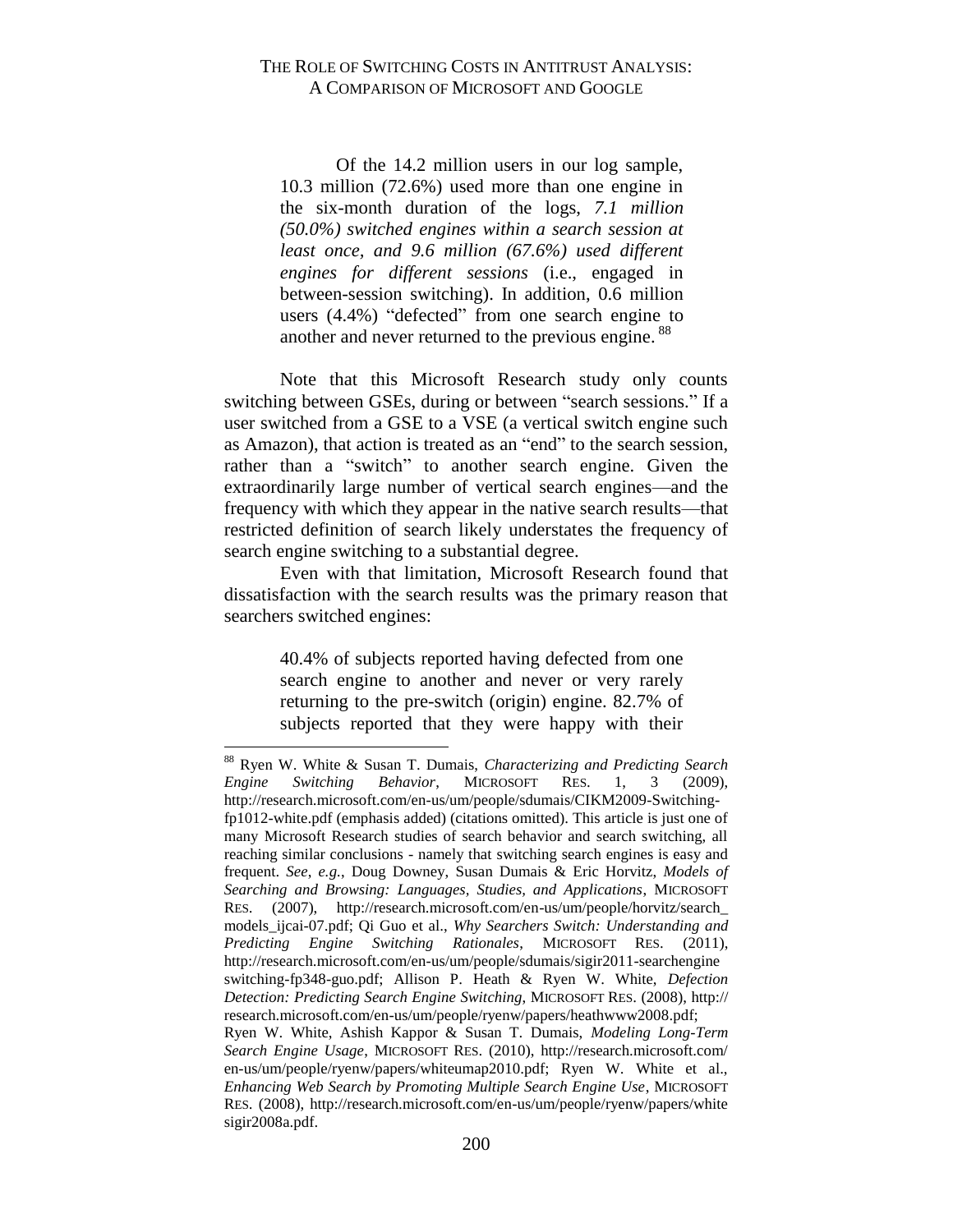Of the 14.2 million users in our log sample, 10.3 million (72.6%) used more than one engine in the six-month duration of the logs, *7.1 million (50.0%) switched engines within a search session at least once, and 9.6 million (67.6%) used different engines for different sessions* (i.e., engaged in between-session switching). In addition, 0.6 million users (4.4%) "defected" from one search engine to another and never returned to the previous engine.<sup>88</sup>

Note that this Microsoft Research study only counts switching between GSEs, during or between "search sessions." If a user switched from a GSE to a VSE (a vertical switch engine such as Amazon), that action is treated as an "end" to the search session, rather than a "switch" to another search engine. Given the extraordinarily large number of vertical search engines—and the frequency with which they appear in the native search results—that restricted definition of search likely understates the frequency of search engine switching to a substantial degree.

Even with that limitation, Microsoft Research found that dissatisfaction with the search results was the primary reason that searchers switched engines:

> 40.4% of subjects reported having defected from one search engine to another and never or very rarely returning to the pre-switch (origin) engine. 82.7% of subjects reported that they were happy with their

<sup>88</sup> Ryen W. White & Susan T. Dumais, *Characterizing and Predicting Search Engine Switching Behavior*, MICROSOFT RES. 1, 3 (2009), http://research.microsoft.com/en-us/um/people/sdumais/CIKM2009-Switchingfp1012-white.pdf (emphasis added) (citations omitted). This article is just one of many Microsoft Research studies of search behavior and search switching, all reaching similar conclusions - namely that switching search engines is easy and frequent. *See*, *e.g.*, Doug Downey, Susan Dumais & Eric Horvitz, *Models of Searching and Browsing: Languages, Studies, and Applications*, MICROSOFT RES. (2007), http://research.microsoft.com/en-us/um/people/horvitz/search\_ models\_ijcai-07.pdf; Qi Guo et al., *Why Searchers Switch: Understanding and Predicting Engine Switching Rationales*, MICROSOFT RES. (2011), http://research.microsoft.com/en-us/um/people/sdumais/sigir2011-searchengine switching-fp348-guo.pdf; Allison P. Heath & Ryen W. White, *Defection Detection: Predicting Search Engine Switching*, MICROSOFT RES. (2008), http:// research.microsoft.com/en-us/um/people/ryenw/papers/heathwww2008.pdf; Ryen W. White, Ashish Kappor & Susan T. Dumais, *Modeling Long-Term Search Engine Usage*, MICROSOFT RES. (2010), http://research.microsoft.com/ en-us/um/people/ryenw/papers/whiteumap2010.pdf; Ryen W. White et al., *Enhancing Web Search by Promoting Multiple Search Engine Use*, MICROSOFT RES. (2008), http://research.microsoft.com/en-us/um/people/ryenw/papers/white sigir2008a.pdf.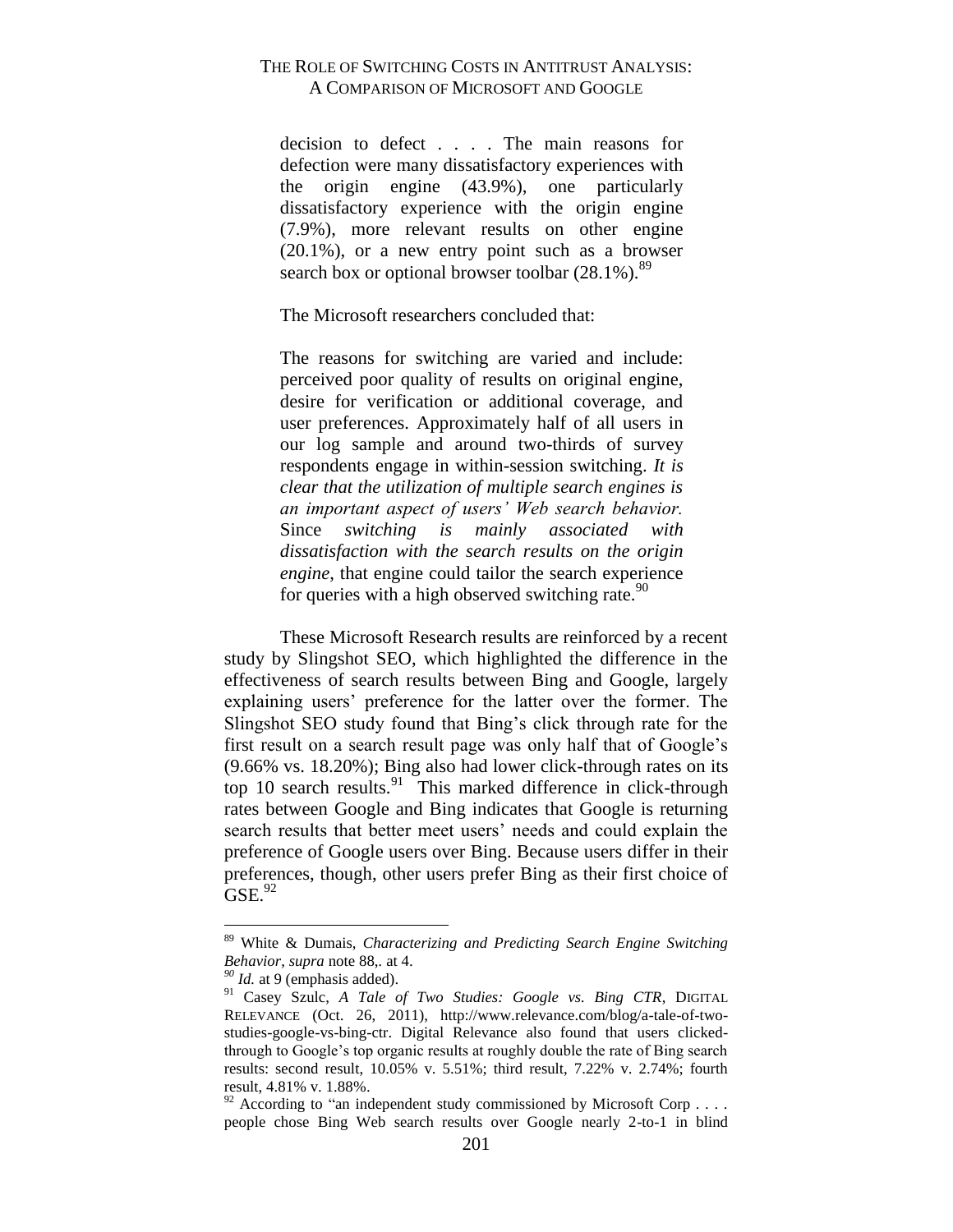decision to defect . . . . The main reasons for defection were many dissatisfactory experiences with the origin engine (43.9%), one particularly dissatisfactory experience with the origin engine (7.9%), more relevant results on other engine (20.1%), or a new entry point such as a browser search box or optional browser toolbar  $(28.1\%)$ .<sup>89</sup>

The Microsoft researchers concluded that:

The reasons for switching are varied and include: perceived poor quality of results on original engine, desire for verification or additional coverage, and user preferences. Approximately half of all users in our log sample and around two-thirds of survey respondents engage in within-session switching. *It is clear that the utilization of multiple search engines is an important aspect of users' Web search behavior.* Since *switching is mainly associated with dissatisfaction with the search results on the origin engine*, that engine could tailor the search experience for queries with a high observed switching rate.  $90$ 

These Microsoft Research results are reinforced by a recent study by Slingshot SEO, which highlighted the difference in the effectiveness of search results between Bing and Google, largely explaining users' preference for the latter over the former. The Slingshot SEO study found that Bing's click through rate for the first result on a search result page was only half that of Google's (9.66% vs. 18.20%); Bing also had lower click-through rates on its top 10 search results. $91$  This marked difference in click-through rates between Google and Bing indicates that Google is returning search results that better meet users' needs and could explain the preference of Google users over Bing. Because users differ in their preferences, though, other users prefer Bing as their first choice of  $GSE<sup>92</sup>$ 

<sup>89</sup> White & Dumais, *Characterizing and Predicting Search Engine Switching Behavior*, *supra* note 88,*.* at 4.

*<sup>90</sup> Id.* at 9 (emphasis added).

<sup>91</sup> Casey Szulc, *A Tale of Two Studies: Google vs. Bing CTR*, DIGITAL RELEVANCE (Oct. 26, 2011), http://www.relevance.com/blog/a-tale-of-twostudies-google-vs-bing-ctr. Digital Relevance also found that users clickedthrough to Google's top organic results at roughly double the rate of Bing search results: second result, 10.05% v. 5.51%; third result, 7.22% v. 2.74%; fourth result, 4.81% v. 1.88%.

 $92$  According to "an independent study commissioned by Microsoft Corp . . . . people chose Bing Web search results over Google nearly 2-to-1 in blind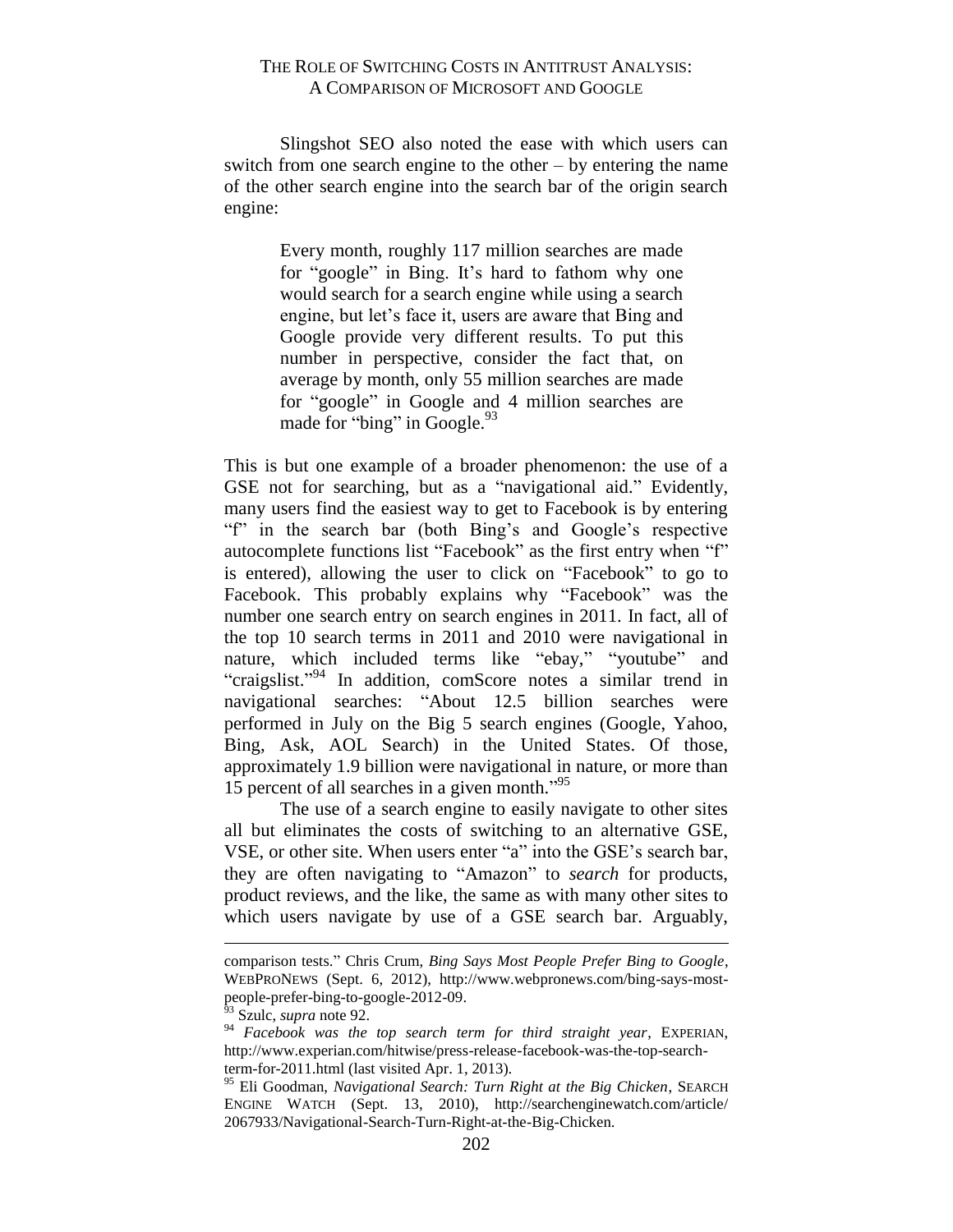Slingshot SEO also noted the ease with which users can switch from one search engine to the other – by entering the name of the other search engine into the search bar of the origin search engine:

> Every month, roughly 117 million searches are made for "google" in Bing. It's hard to fathom why one would search for a search engine while using a search engine, but let's face it, users are aware that Bing and Google provide very different results. To put this number in perspective, consider the fact that, on average by month, only 55 million searches are made for "google" in Google and 4 million searches are made for "bing" in Google.<sup>93</sup>

This is but one example of a broader phenomenon: the use of a GSE not for searching, but as a "navigational aid." Evidently, many users find the easiest way to get to Facebook is by entering "f" in the search bar (both Bing's and Google's respective autocomplete functions list "Facebook" as the first entry when "f" is entered), allowing the user to click on "Facebook" to go to Facebook. This probably explains why "Facebook" was the number one search entry on search engines in 2011. In fact, all of the top 10 search terms in 2011 and 2010 were navigational in nature, which included terms like "ebay," "youtube" and "craigslist."<sup>94</sup> In addition, comScore notes a similar trend in navigational searches: "About 12.5 billion searches were performed in July on the Big 5 search engines (Google, Yahoo, Bing, Ask, AOL Search) in the United States. Of those, approximately 1.9 billion were navigational in nature, or more than 15 percent of all searches in a given month." 95

The use of a search engine to easily navigate to other sites all but eliminates the costs of switching to an alternative GSE, VSE, or other site. When users enter "a" into the GSE's search bar, they are often navigating to "Amazon" to *search* for products, product reviews, and the like, the same as with many other sites to which users navigate by use of a GSE search bar. Arguably,

comparison tests." Chris Crum, *Bing Says Most People Prefer Bing to Google*, WEBPRONEWS (Sept. 6, 2012), http://www.webpronews.com/bing-says-mostpeople-prefer-bing-to-google-2012-09.

<sup>93</sup> Szulc, *supra* note 92.

<sup>94</sup> *Facebook was the top search term for third straight year*, EXPERIAN, http://www.experian.com/hitwise/press-release-facebook-was-the-top-searchterm-for-2011.html (last visited Apr. 1, 2013).

<sup>95</sup> Eli Goodman, *Navigational Search: Turn Right at the Big Chicken*, SEARCH ENGINE WATCH (Sept. 13, 2010), http://searchenginewatch.com/article/ 2067933/Navigational-Search-Turn-Right-at-the-Big-Chicken.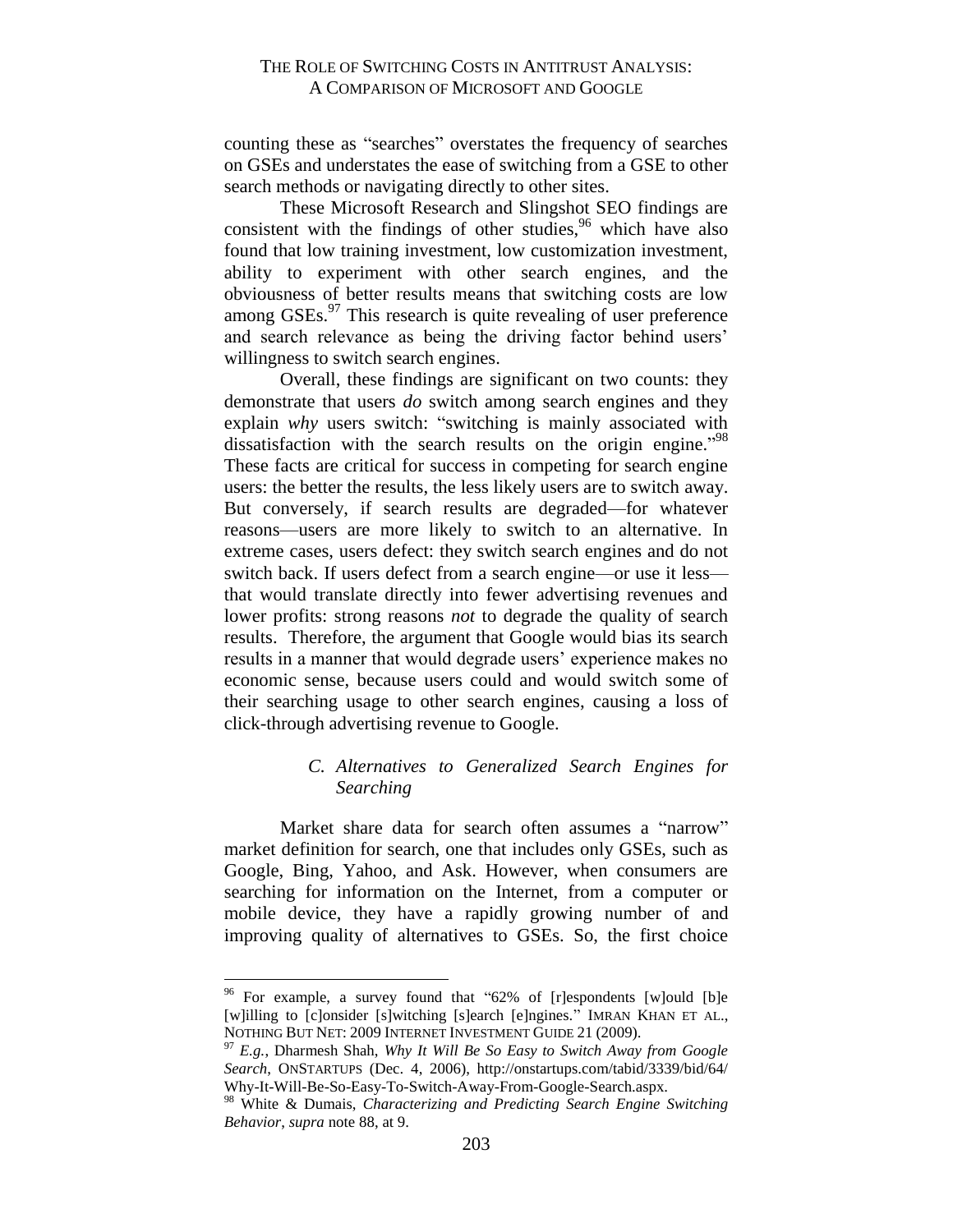counting these as "searches" overstates the frequency of searches on GSEs and understates the ease of switching from a GSE to other search methods or navigating directly to other sites.

These Microsoft Research and Slingshot SEO findings are consistent with the findings of other studies, $96$  which have also found that low training investment, low customization investment, ability to experiment with other search engines, and the obviousness of better results means that switching costs are low among  $GSEs$ <sup>97</sup>. This research is quite revealing of user preference and search relevance as being the driving factor behind users' willingness to switch search engines.

Overall, these findings are significant on two counts: they demonstrate that users *do* switch among search engines and they explain *why* users switch: "switching is mainly associated with dissatisfaction with the search results on the origin engine."<sup>98</sup> These facts are critical for success in competing for search engine users: the better the results, the less likely users are to switch away. But conversely, if search results are degraded—for whatever reasons—users are more likely to switch to an alternative. In extreme cases, users defect: they switch search engines and do not switch back. If users defect from a search engine—or use it less that would translate directly into fewer advertising revenues and lower profits: strong reasons *not* to degrade the quality of search results. Therefore, the argument that Google would bias its search results in a manner that would degrade users' experience makes no economic sense, because users could and would switch some of their searching usage to other search engines, causing a loss of click-through advertising revenue to Google.

# *C. Alternatives to Generalized Search Engines for Searching*

<span id="page-34-0"></span>Market share data for search often assumes a "narrow" market definition for search, one that includes only GSEs, such as Google, Bing, Yahoo, and Ask. However, when consumers are searching for information on the Internet, from a computer or mobile device, they have a rapidly growing number of and improving quality of alternatives to GSEs. So, the first choice

<sup>&</sup>lt;sup>96</sup> For example, a survey found that "62% of [r]espondents [w]ould [b]e [w]illing to [c]onsider [s]witching [s]earch [e]ngines." IMRAN KHAN ET AL., NOTHING BUT NET: 2009 INTERNET INVESTMENT GUIDE 21 (2009).

<sup>97</sup> *E.g.*, Dharmesh Shah, *Why It Will Be So Easy to Switch Away from Google Search*, ONSTARTUPS (Dec. 4, 2006), http://onstartups.com/tabid/3339/bid/64/ Why-It-Will-Be-So-Easy-To-Switch-Away-From-Google-Search.aspx.

<sup>98</sup> White & Dumais, *Characterizing and Predicting Search Engine Switching Behavior*, *supra* note 88, at 9.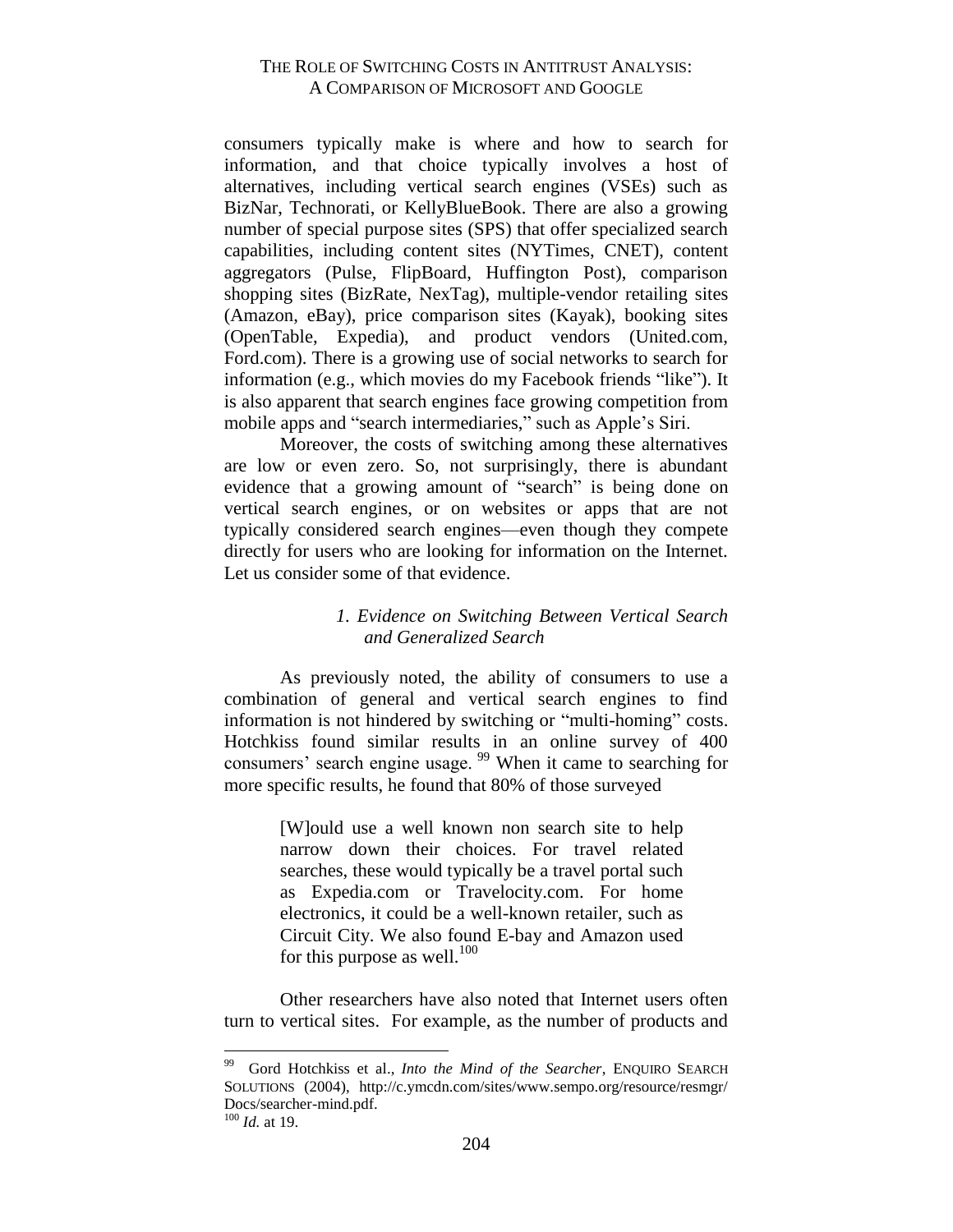consumers typically make is where and how to search for information, and that choice typically involves a host of alternatives, including vertical search engines (VSEs) such as BizNar, Technorati, or KellyBlueBook. There are also a growing number of special purpose sites (SPS) that offer specialized search capabilities, including content sites (NYTimes, CNET), content aggregators (Pulse, FlipBoard, Huffington Post), comparison shopping sites (BizRate, NexTag), multiple-vendor retailing sites (Amazon, eBay), price comparison sites (Kayak), booking sites (OpenTable, Expedia), and product vendors (United.com, Ford.com). There is a growing use of social networks to search for information (e.g., which movies do my Facebook friends "like"). It is also apparent that search engines face growing competition from mobile apps and "search intermediaries," such as Apple's Siri.

Moreover, the costs of switching among these alternatives are low or even zero. So, not surprisingly, there is abundant evidence that a growing amount of "search" is being done on vertical search engines, or on websites or apps that are not typically considered search engines—even though they compete directly for users who are looking for information on the Internet. Let us consider some of that evidence.

# <span id="page-35-0"></span>*1. Evidence on Switching Between Vertical Search and Generalized Search*

As previously noted, the ability of consumers to use a combination of general and vertical search engines to find information is not hindered by switching or "multi-homing" costs. Hotchkiss found similar results in an online survey of 400 consumers' search engine usage. <sup>99</sup> When it came to searching for more specific results, he found that 80% of those surveyed

> [W]ould use a well known non search site to help narrow down their choices. For travel related searches, these would typically be a travel portal such as Expedia.com or Travelocity.com. For home electronics, it could be a well-known retailer, such as Circuit City. We also found E-bay and Amazon used for this purpose as well.<sup>100</sup>

Other researchers have also noted that Internet users often turn to vertical sites. For example, as the number of products and

<sup>&</sup>lt;sup>99</sup> Gord Hotchkiss et al., *Into the Mind of the Searcher*, ENQUIRO SEARCH SOLUTIONS (2004), http://c.ymcdn.com/sites/www.sempo.org/resource/resmgr/ Docs/searcher-mind.pdf.

 $100$  *Id.* at 19.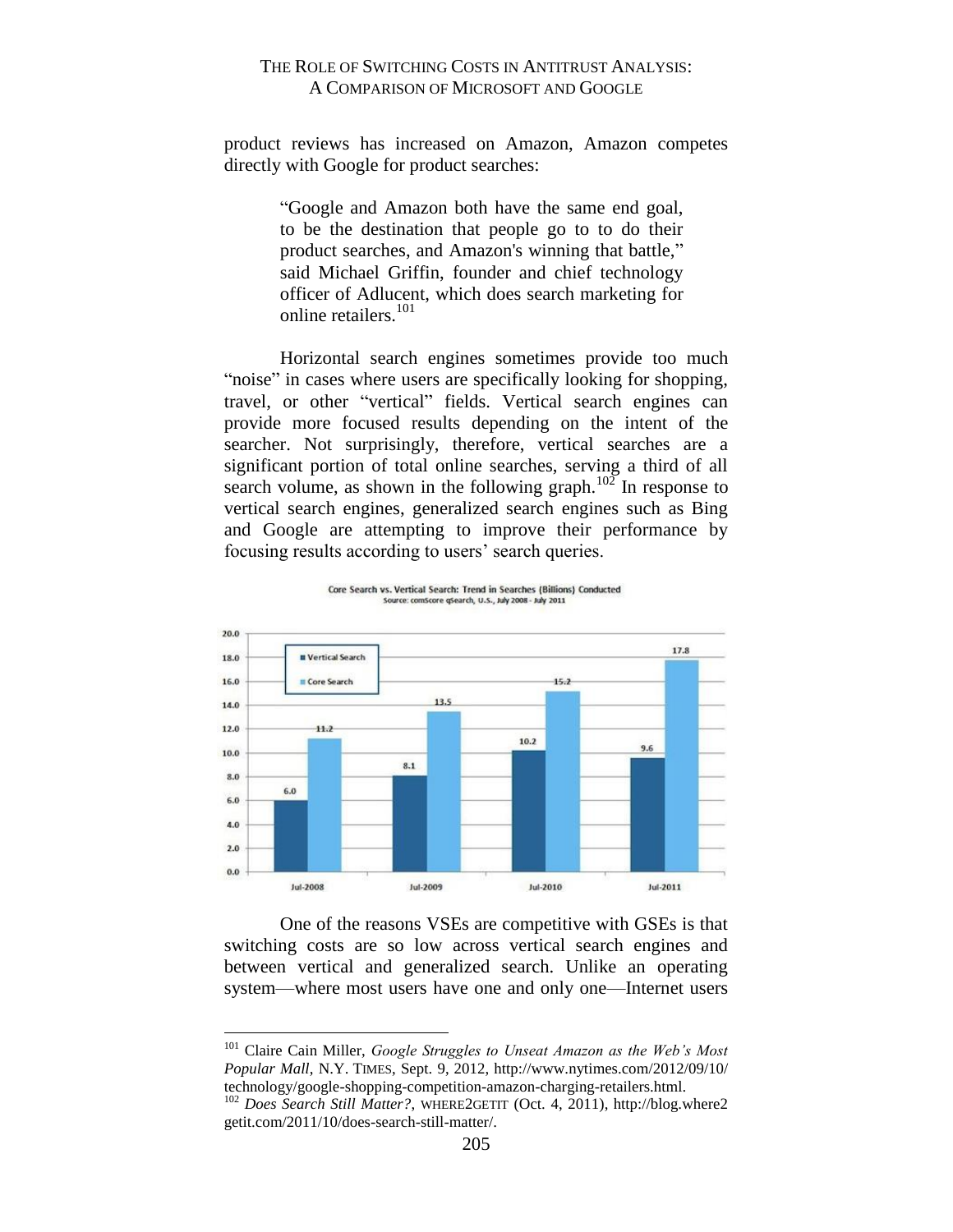product reviews has increased on Amazon, Amazon competes directly with Google for product searches:

> "Google and Amazon both have the same end goal, to be the destination that people go to to do their product searches, and Amazon's winning that battle," said Michael Griffin, founder and chief technology officer of Adlucent, which does search marketing for online retailers.<sup>101</sup>

Horizontal search engines sometimes provide too much "noise" in cases where users are specifically looking for shopping, travel, or other "vertical" fields. Vertical search engines can provide more focused results depending on the intent of the searcher. Not surprisingly, therefore, vertical searches are a significant portion of total online searches, serving a third of all search volume, as shown in the following graph.<sup>102</sup> In response to vertical search engines, generalized search engines such as Bing and Google are attempting to improve their performance by focusing results according to users' search queries.



Core Search vs. Vertical Search: Trend in Searches (Billions) Conducted Source: comScore qSearch, U.S., July 2008 - July 2011

One of the reasons VSEs are competitive with GSEs is that switching costs are so low across vertical search engines and between vertical and generalized search. Unlike an operating system—where most users have one and only one—Internet users

<sup>101</sup> Claire Cain Miller, *Google Struggles to Unseat Amazon as the Web's Most Popular Mall*, N.Y. TIMES, Sept. 9, 2012, http://www.nytimes.com/2012/09/10/ technology/google-shopping-competition-amazon-charging-retailers.html.

<sup>102</sup> *Does Search Still Matter?*, WHERE2GETIT (Oct. 4, 2011), http://blog.where2 getit.com/2011/10/does-search-still-matter/.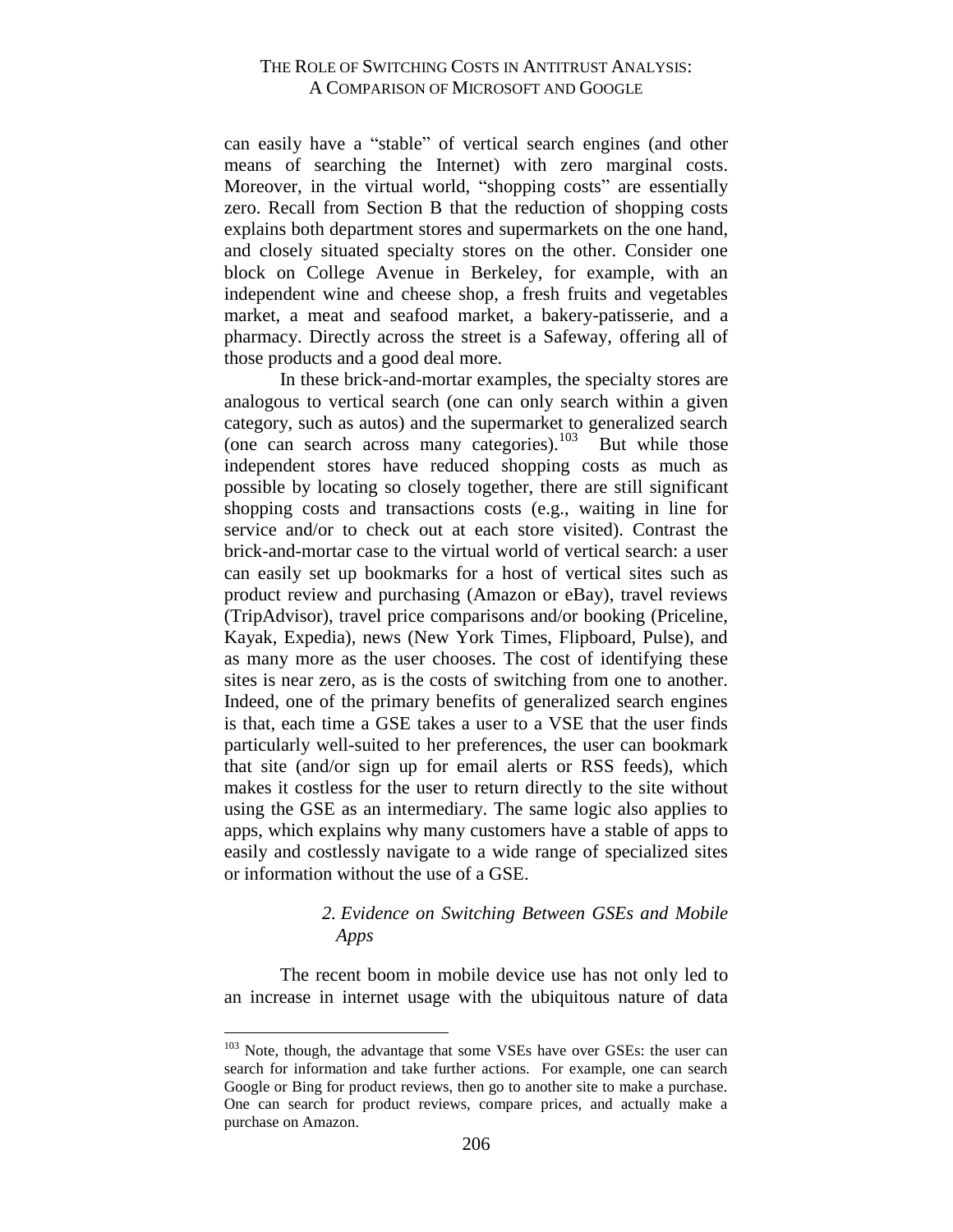can easily have a "stable" of vertical search engines (and other means of searching the Internet) with zero marginal costs. Moreover, in the virtual world, "shopping costs" are essentially zero. Recall from Section B that the reduction of shopping costs explains both department stores and supermarkets on the one hand, and closely situated specialty stores on the other. Consider one block on College Avenue in Berkeley, for example, with an independent wine and cheese shop, a fresh fruits and vegetables market, a meat and seafood market, a bakery-patisserie, and a pharmacy. Directly across the street is a Safeway, offering all of those products and a good deal more.

In these brick-and-mortar examples, the specialty stores are analogous to vertical search (one can only search within a given category, such as autos) and the supermarket to generalized search (one can search across many categories). $103$  But while those independent stores have reduced shopping costs as much as possible by locating so closely together, there are still significant shopping costs and transactions costs (e.g., waiting in line for service and/or to check out at each store visited). Contrast the brick-and-mortar case to the virtual world of vertical search: a user can easily set up bookmarks for a host of vertical sites such as product review and purchasing (Amazon or eBay), travel reviews (TripAdvisor), travel price comparisons and/or booking (Priceline, Kayak, Expedia), news (New York Times, Flipboard, Pulse), and as many more as the user chooses. The cost of identifying these sites is near zero, as is the costs of switching from one to another. Indeed, one of the primary benefits of generalized search engines is that, each time a GSE takes a user to a VSE that the user finds particularly well-suited to her preferences, the user can bookmark that site (and/or sign up for email alerts or RSS feeds), which makes it costless for the user to return directly to the site without using the GSE as an intermediary. The same logic also applies to apps, which explains why many customers have a stable of apps to easily and costlessly navigate to a wide range of specialized sites or information without the use of a GSE.

#### <span id="page-37-0"></span>*2. Evidence on Switching Between GSEs and Mobile Apps*

The recent boom in mobile device use has not only led to an increase in internet usage with the ubiquitous nature of data

<sup>&</sup>lt;sup>103</sup> Note, though, the advantage that some VSEs have over GSEs: the user can search for information and take further actions. For example, one can search Google or Bing for product reviews, then go to another site to make a purchase. One can search for product reviews, compare prices, and actually make a purchase on Amazon.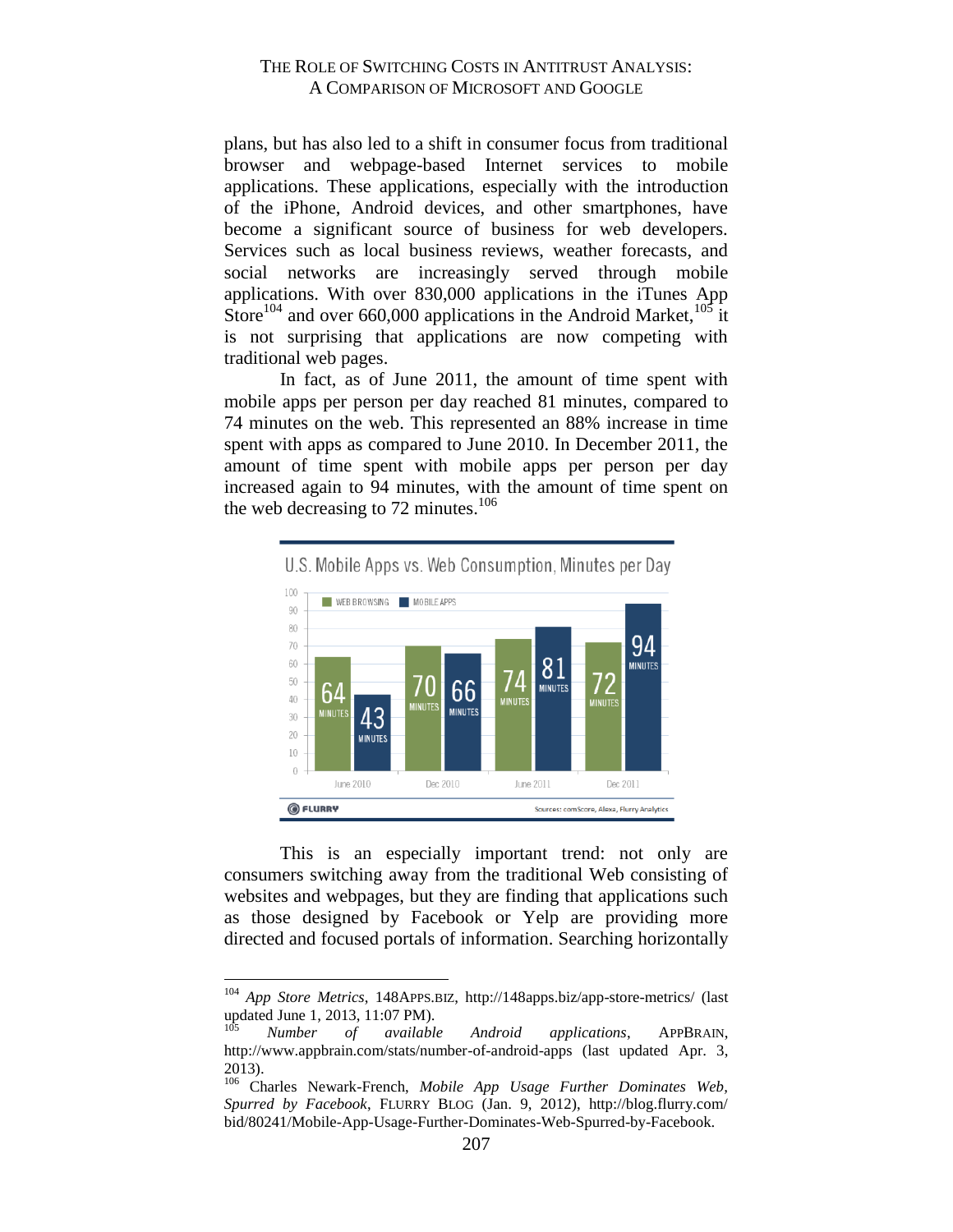plans, but has also led to a shift in consumer focus from traditional browser and webpage-based Internet services to mobile applications. These applications, especially with the introduction of the iPhone, Android devices, and other smartphones, have become a significant source of business for web developers. Services such as local business reviews, weather forecasts, and social networks are increasingly served through mobile applications. With over 830,000 applications in the iTunes App Store<sup>104</sup> and over 660,000 applications in the Android Market,<sup>105</sup> it is not surprising that applications are now competing with traditional web pages.

In fact, as of June 2011, the amount of time spent with mobile apps per person per day reached 81 minutes, compared to 74 minutes on the web. This represented an 88% increase in time spent with apps as compared to June 2010. In December 2011, the amount of time spent with mobile apps per person per day increased again to 94 minutes, with the amount of time spent on the web decreasing to 72 minutes.<sup>106</sup>



This is an especially important trend: not only are consumers switching away from the traditional Web consisting of websites and webpages, but they are finding that applications such as those designed by Facebook or Yelp are providing more directed and focused portals of information. Searching horizontally

<sup>104</sup> *App Store Metrics*, 148APPS.BIZ, http://148apps.biz/app-store-metrics/ (last updated June 1, 2013, 11:07 PM).

Number of available Android applications, APPBRAIN, http://www.appbrain.com/stats/number-of-android-apps (last updated Apr. 3, 2013).

<sup>106</sup> Charles Newark-French, *Mobile App Usage Further Dominates Web, Spurred by Facebook*, FLURRY BLOG (Jan. 9, 2012), http://blog.flurry.com/ bid/80241/Mobile-App-Usage-Further-Dominates-Web-Spurred-by-Facebook.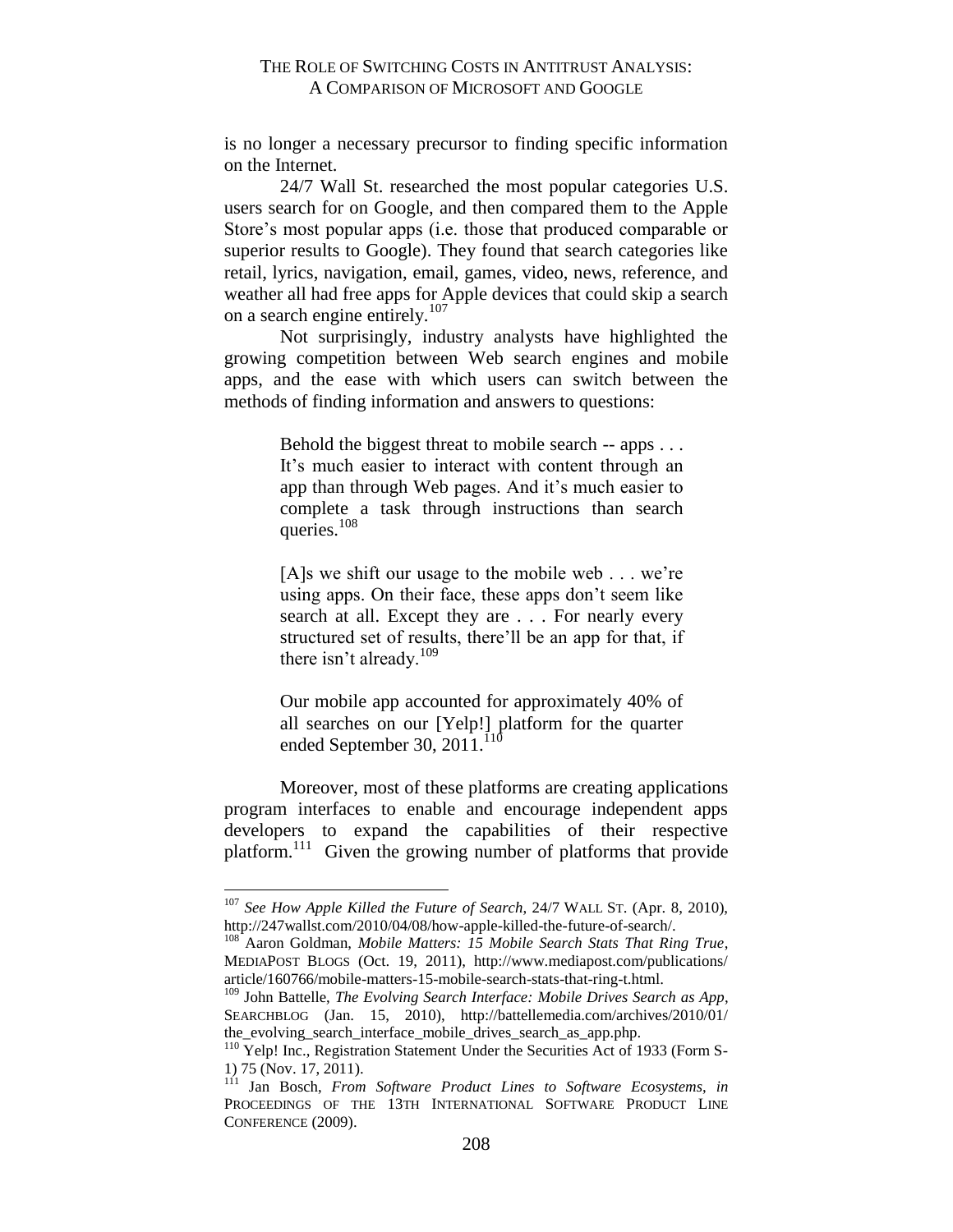is no longer a necessary precursor to finding specific information on the Internet.

24/7 Wall St. researched the most popular categories U.S. users search for on Google, and then compared them to the Apple Store's most popular apps (i.e. those that produced comparable or superior results to Google). They found that search categories like retail, lyrics, navigation, email, games, video, news, reference, and weather all had free apps for Apple devices that could skip a search on a search engine entirely.<sup>107</sup>

Not surprisingly, industry analysts have highlighted the growing competition between Web search engines and mobile apps, and the ease with which users can switch between the methods of finding information and answers to questions:

> Behold the biggest threat to mobile search -- apps . . . It's much easier to interact with content through an app than through Web pages. And it's much easier to complete a task through instructions than search queries. $108$

> [A]s we shift our usage to the mobile web . . . we're using apps. On their face, these apps don't seem like search at all. Except they are . . . For nearly every structured set of results, there'll be an app for that, if there isn't already.<sup>109</sup>

> Our mobile app accounted for approximately 40% of all searches on our [Yelp!] platform for the quarter ended September 30, 2011. $110$

Moreover, most of these platforms are creating applications program interfaces to enable and encourage independent apps developers to expand the capabilities of their respective platform.<sup>111</sup> Given the growing number of platforms that provide

<sup>107</sup> *See How Apple Killed the Future of Search*, 24/7 WALL ST. (Apr. 8, 2010), http://247wallst.com/2010/04/08/how-apple-killed-the-future-of-search/.

<sup>108</sup> Aaron Goldman, *Mobile Matters: 15 Mobile Search Stats That Ring True*, MEDIAPOST BLOGS (Oct. 19, 2011), http://www.mediapost.com/publications/ article/160766/mobile-matters-15-mobile-search-stats-that-ring-t.html.

<sup>109</sup> John Battelle, *The Evolving Search Interface: Mobile Drives Search as App*, SEARCHBLOG (Jan. 15, 2010), http://battellemedia.com/archives/2010/01/ the\_evolving\_search\_interface\_mobile\_drives\_search\_as\_app.php.

<sup>&</sup>lt;sup>110</sup> Yelp! Inc., Registration Statement Under the Securities Act of 1933 (Form S-1) 75 (Nov. 17, 2011).

<sup>111</sup> Jan Bosch, *From Software Product Lines to Software Ecosystems*, *in*  PROCEEDINGS OF THE 13TH INTERNATIONAL SOFTWARE PRODUCT LINE CONFERENCE (2009).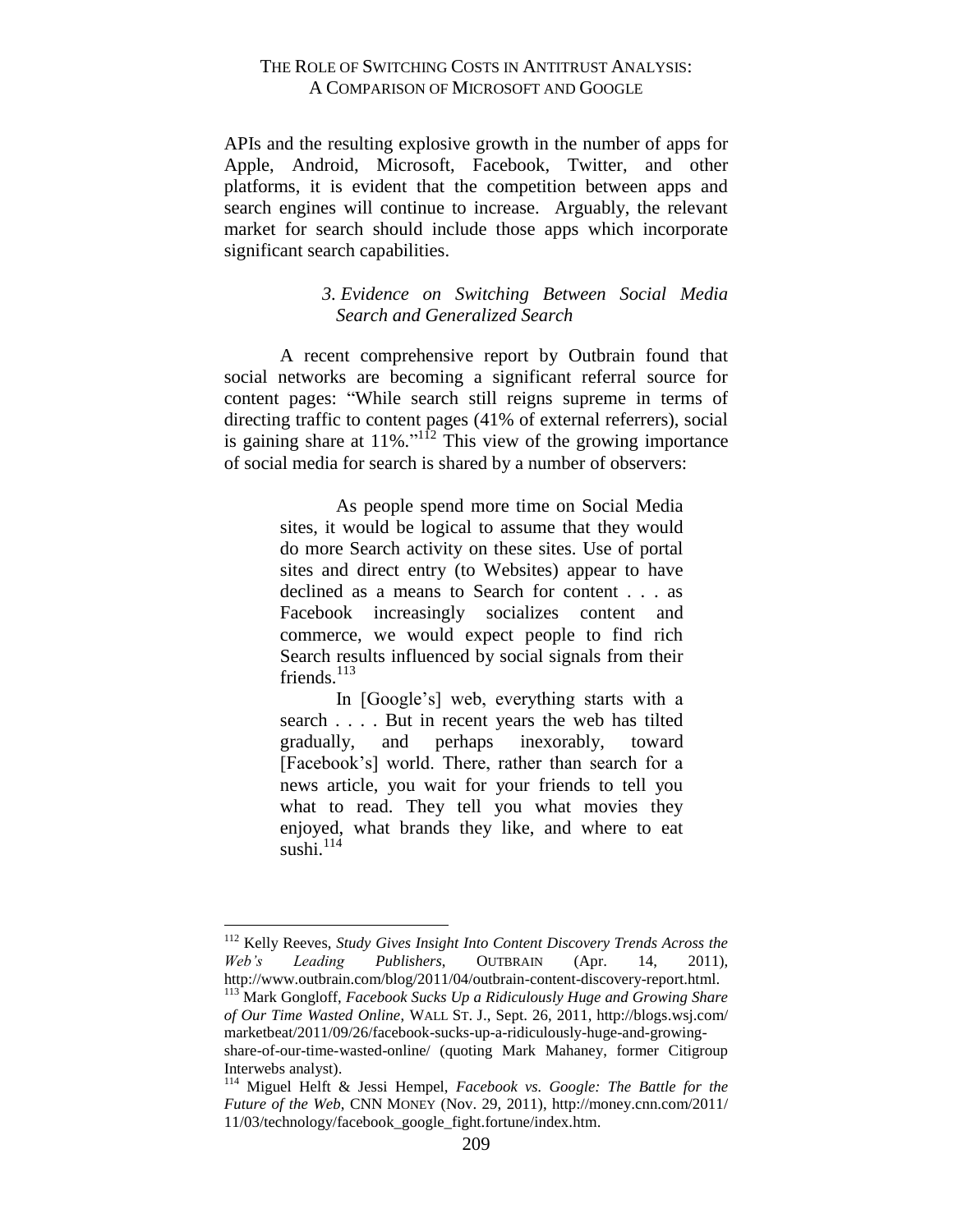APIs and the resulting explosive growth in the number of apps for Apple, Android, Microsoft, Facebook, Twitter, and other platforms, it is evident that the competition between apps and search engines will continue to increase. Arguably, the relevant market for search should include those apps which incorporate significant search capabilities.

# *3. Evidence on Switching Between Social Media Search and Generalized Search*

<span id="page-40-0"></span>A recent comprehensive report by Outbrain found that social networks are becoming a significant referral source for content pages: "While search still reigns supreme in terms of directing traffic to content pages (41% of external referrers), social is gaining share at  $11\%$ ."<sup>112</sup> This view of the growing importance of social media for search is shared by a number of observers:

> As people spend more time on Social Media sites, it would be logical to assume that they would do more Search activity on these sites. Use of portal sites and direct entry (to Websites) appear to have declined as a means to Search for content . . . as Facebook increasingly socializes content and commerce, we would expect people to find rich Search results influenced by social signals from their friends. $^{113}$

> In [Google's] web, everything starts with a search . . . . But in recent years the web has tilted gradually, and perhaps inexorably, toward [Facebook's] world. There, rather than search for a news article, you wait for your friends to tell you what to read. They tell you what movies they enjoyed, what brands they like, and where to eat sushi. $114$

<sup>112</sup> Kelly Reeves, *Study Gives Insight Into Content Discovery Trends Across the Web's Leading Publishers*, OUTBRAIN (Apr. 14, 2011), http://www.outbrain.com/blog/2011/04/outbrain-content-discovery-report.html.

 $\overline{a}$ 

<sup>113</sup> Mark Gongloff, *Facebook Sucks Up a Ridiculously Huge and Growing Share of Our Time Wasted Online*, WALL ST. J., Sept. 26, 2011, http://blogs.wsj.com/ marketbeat/2011/09/26/facebook-sucks-up-a-ridiculously-huge-and-growingshare-of-our-time-wasted-online/ (quoting Mark Mahaney, former Citigroup Interwebs analyst).

<sup>114</sup> Miguel Helft & Jessi Hempel, *Facebook vs. Google: The Battle for the Future of the Web*, CNN MONEY (Nov. 29, 2011), http://money.cnn.com/2011/ 11/03/technology/facebook\_google\_fight.fortune/index.htm.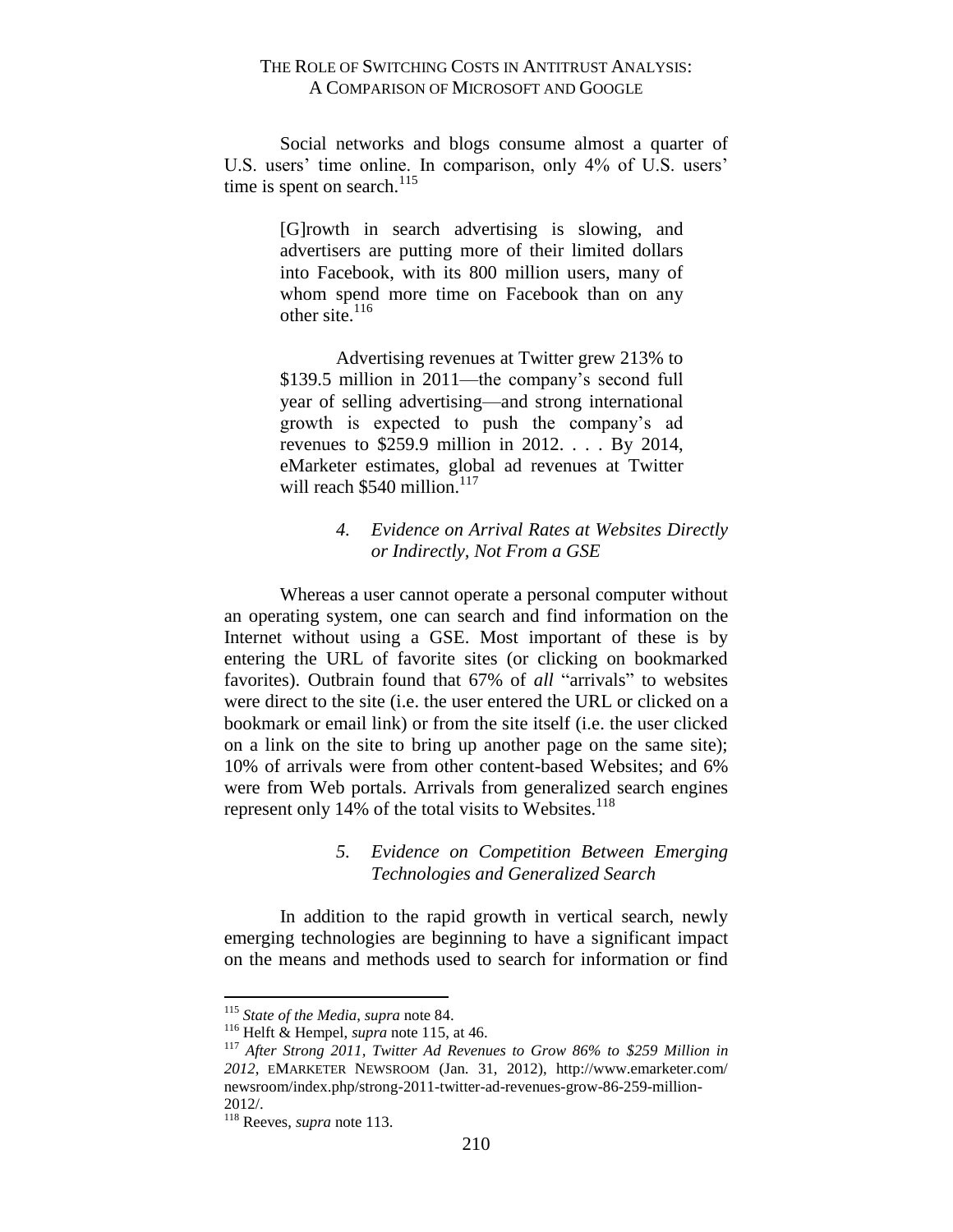Social networks and blogs consume almost a quarter of U.S. users' time online. In comparison, only 4% of U.S. users' time is spent on search.<sup>115</sup>

> [G]rowth in search advertising is slowing, and advertisers are putting more of their limited dollars into Facebook, with its 800 million users, many of whom spend more time on Facebook than on any other site. $116$

> Advertising revenues at Twitter grew 213% to \$139.5 million in 2011—the company's second full year of selling advertising—and strong international growth is expected to push the company's ad revenues to \$259.9 million in 2012. . . . By 2014, eMarketer estimates, global ad revenues at Twitter will reach  $$540$  million.<sup>117</sup>

#### *4. Evidence on Arrival Rates at Websites Directly or Indirectly, Not From a GSE*

<span id="page-41-0"></span>Whereas a user cannot operate a personal computer without an operating system, one can search and find information on the Internet without using a GSE. Most important of these is by entering the URL of favorite sites (or clicking on bookmarked favorites). Outbrain found that 67% of *all* "arrivals" to websites were direct to the site (i.e. the user entered the URL or clicked on a bookmark or email link) or from the site itself (i.e. the user clicked on a link on the site to bring up another page on the same site); 10% of arrivals were from other content-based Websites; and 6% were from Web portals. Arrivals from generalized search engines represent only 14% of the total visits to Websites. $118$ 

#### *5. Evidence on Competition Between Emerging Technologies and Generalized Search*

<span id="page-41-1"></span>In addition to the rapid growth in vertical search, newly emerging technologies are beginning to have a significant impact on the means and methods used to search for information or find

<sup>115</sup> *State of the Media*, *supra* note 84.

<sup>116</sup> Helft & Hempel, *supra* note 115, at 46.

<sup>117</sup> *After Strong 2011, Twitter Ad Revenues to Grow 86% to \$259 Million in 2012*, EMARKETER NEWSROOM (Jan. 31, 2012), http://www.emarketer.com/ newsroom/index.php/strong-2011-twitter-ad-revenues-grow-86-259-million-2012/.

<sup>118</sup> Reeves, *supra* note 113.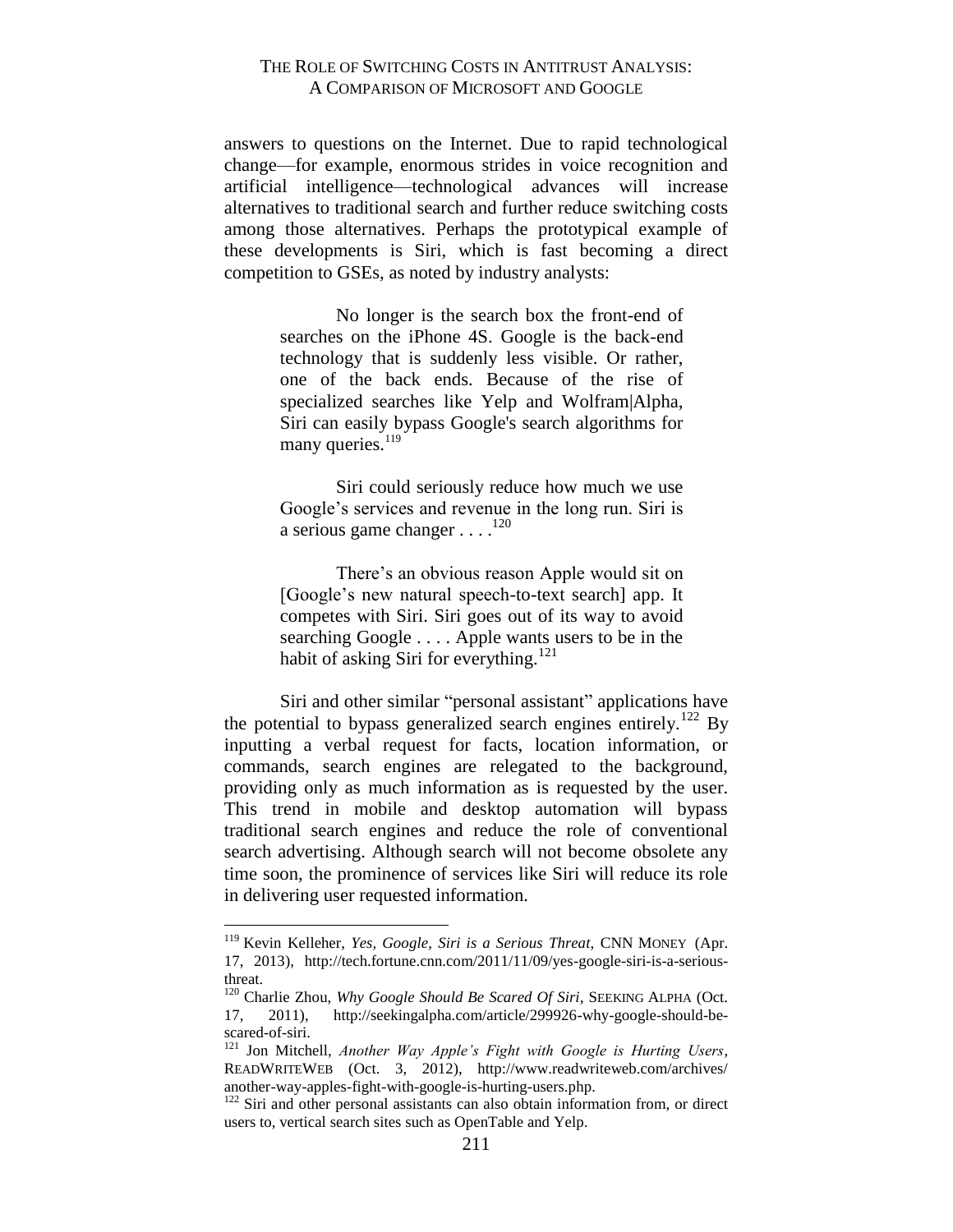answers to questions on the Internet. Due to rapid technological change—for example, enormous strides in voice recognition and artificial intelligence—technological advances will increase alternatives to traditional search and further reduce switching costs among those alternatives. Perhaps the prototypical example of these developments is Siri, which is fast becoming a direct competition to GSEs, as noted by industry analysts:

> No longer is the search box the front-end of searches on the iPhone 4S. Google is the back-end technology that is suddenly less visible. Or rather, one of the back ends. Because of the rise of specialized searches like Yelp and Wolfram|Alpha, Siri can easily bypass Google's search algorithms for many queries.<sup>119</sup>

> Siri could seriously reduce how much we use Google's services and revenue in the long run. Siri is a serious game changer  $\dots$ .<sup>120</sup>

> There's an obvious reason Apple would sit on [Google's new natural speech-to-text search] app. It competes with Siri. Siri goes out of its way to avoid searching Google . . . . Apple wants users to be in the habit of asking Siri for everything.<sup>121</sup>

Siri and other similar "personal assistant" applications have the potential to bypass generalized search engines entirely.<sup>122</sup> By inputting a verbal request for facts, location information, or commands, search engines are relegated to the background, providing only as much information as is requested by the user. This trend in mobile and desktop automation will bypass traditional search engines and reduce the role of conventional search advertising. Although search will not become obsolete any time soon, the prominence of services like Siri will reduce its role in delivering user requested information.

<sup>119</sup> Kevin Kelleher, *Yes, Google, Siri is a Serious Threat*, CNN MONEY (Apr. 17, 2013), http://tech.fortune.cnn.com/2011/11/09/yes-google-siri-is-a-seriousthreat.

<sup>&</sup>lt;sup>120</sup> Charlie Zhou, *Why Google Should Be Scared Of Siri*, SEEKING ALPHA (Oct. 17, 2011), http://seekingalpha.com/article/299926-why-google-should-bescared-of-siri.

<sup>121</sup> Jon Mitchell, *Another Way Apple's Fight with Google is Hurting Users*, READWRITEWEB (Oct. 3, 2012), http://www.readwriteweb.com/archives/ another-way-apples-fight-with-google-is-hurting-users.php.

<sup>&</sup>lt;sup>122</sup> Siri and other personal assistants can also obtain information from, or direct users to, vertical search sites such as OpenTable and Yelp.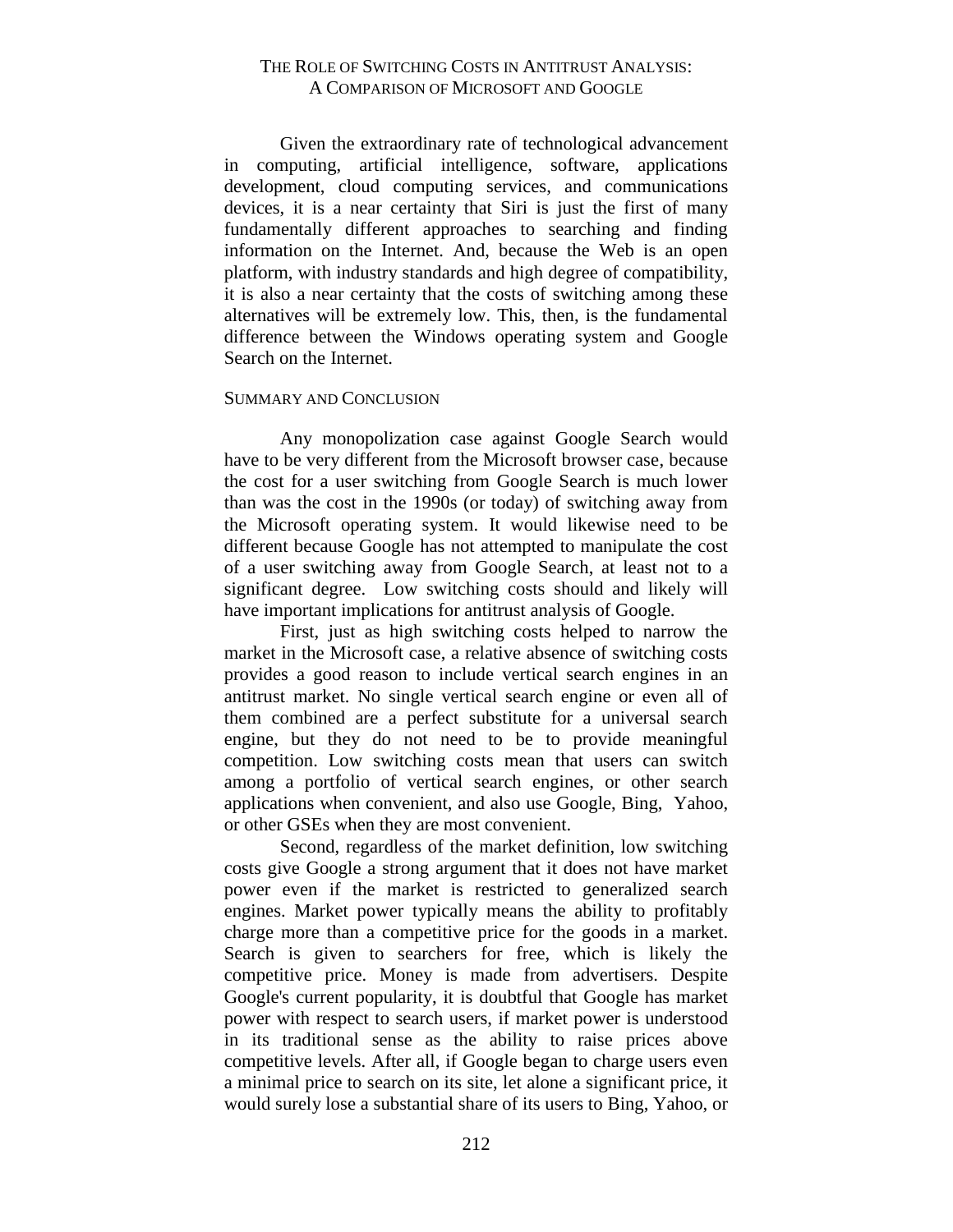Given the extraordinary rate of technological advancement in computing, artificial intelligence, software, applications development, cloud computing services, and communications devices, it is a near certainty that Siri is just the first of many fundamentally different approaches to searching and finding information on the Internet. And, because the Web is an open platform, with industry standards and high degree of compatibility, it is also a near certainty that the costs of switching among these alternatives will be extremely low. This, then, is the fundamental difference between the Windows operating system and Google Search on the Internet.

#### <span id="page-43-0"></span>SUMMARY AND CONCLUSION

Any monopolization case against Google Search would have to be very different from the Microsoft browser case, because the cost for a user switching from Google Search is much lower than was the cost in the 1990s (or today) of switching away from the Microsoft operating system. It would likewise need to be different because Google has not attempted to manipulate the cost of a user switching away from Google Search, at least not to a significant degree. Low switching costs should and likely will have important implications for antitrust analysis of Google.

First, just as high switching costs helped to narrow the market in the Microsoft case, a relative absence of switching costs provides a good reason to include vertical search engines in an antitrust market. No single vertical search engine or even all of them combined are a perfect substitute for a universal search engine, but they do not need to be to provide meaningful competition. Low switching costs mean that users can switch among a portfolio of vertical search engines, or other search applications when convenient, and also use Google, Bing, Yahoo, or other GSEs when they are most convenient.

Second, regardless of the market definition, low switching costs give Google a strong argument that it does not have market power even if the market is restricted to generalized search engines. Market power typically means the ability to profitably charge more than a competitive price for the goods in a market. Search is given to searchers for free, which is likely the competitive price. Money is made from advertisers. Despite Google's current popularity, it is doubtful that Google has market power with respect to search users, if market power is understood in its traditional sense as the ability to raise prices above competitive levels. After all, if Google began to charge users even a minimal price to search on its site, let alone a significant price, it would surely lose a substantial share of its users to Bing, Yahoo, or